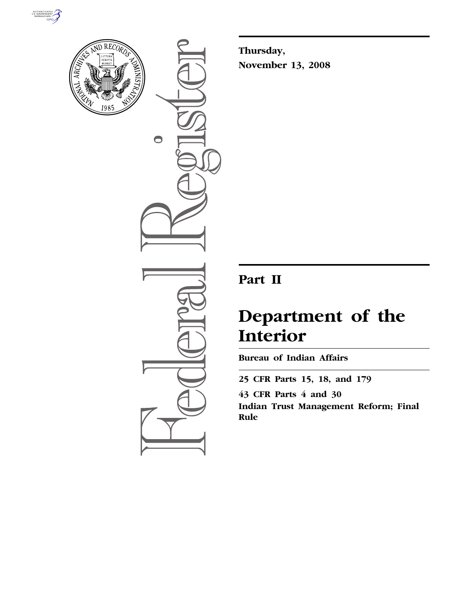



 $\bigcirc$ 

**Thursday, November 13, 2008** 

# **Part II**

# **Department of the Interior**

**Bureau of Indian Affairs** 

**25 CFR Parts 15, 18, and 179 43 CFR Parts 4 and 30 Indian Trust Management Reform; Final Rule**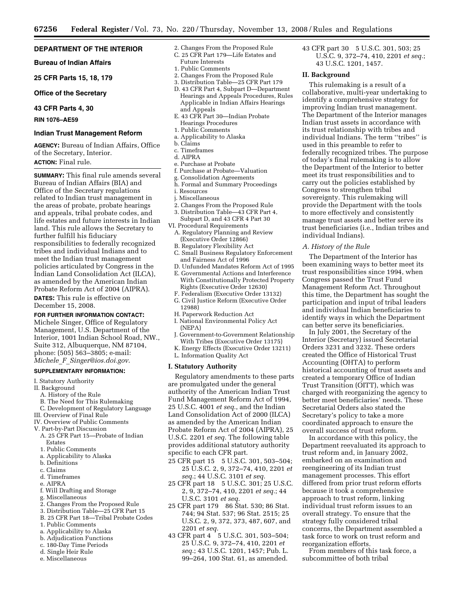# **DEPARTMENT OF THE INTERIOR**

**Bureau of Indian Affairs** 

**25 CFR Parts 15, 18, 179** 

## **Office of the Secretary**

**43 CFR Parts 4, 30** 

**RIN 1076–AE59** 

# **Indian Trust Management Reform**

**AGENCY:** Bureau of Indian Affairs, Office of the Secretary, Interior.

# **ACTION:** Final rule.

**SUMMARY:** This final rule amends several Bureau of Indian Affairs (BIA) and Office of the Secretary regulations related to Indian trust management in the areas of probate, probate hearings and appeals, tribal probate codes, and life estates and future interests in Indian land. This rule allows the Secretary to further fulfill his fiduciary responsibilities to federally recognized tribes and individual Indians and to meet the Indian trust management policies articulated by Congress in the Indian Land Consolidation Act (ILCA), as amended by the American Indian Probate Reform Act of 2004 (AIPRA).

**DATES:** This rule is effective on December 15, 2008.

## **FOR FURTHER INFORMATION CONTACT:**

Michele Singer, Office of Regulatory Management, U.S. Department of the Interior, 1001 Indian School Road, NW., Suite 312, Albuquerque, NM 87104, phone: (505) 563–3805; e-mail: *Michele*\_*F*\_*Singer@ios.doi.gov*.

# **SUPPLEMENTARY INFORMATION:**

- I. Statutory Authority
- II. Background
- A. History of the Rule
- B. The Need for This Rulemaking
- C. Development of Regulatory Language
- III. Overview of Final Rule
- IV. Overview of Public Comments
- V. Part-by-Part Discussion
- A. 25 CFR Part 15—Probate of Indian Estates
- 1. Public Comments
- a. Applicability to Alaska
- b. Definitions
- c. Claims
- d. Timeframes
- e. AIPRA
- f. Will Drafting and Storage
- g. Miscellaneous
- 2. Changes From the Proposed Rule
- 3. Distribution Table—25 CFR Part 15
- B. 25 CFR Part 18—Tribal Probate Codes
- 1. Public Comments
- a. Applicability to Alaska
- b. Adjudication Functions
- c. 180-Day Time Periods
- d. Single Heir Rule
- e. Miscellaneous
- 2. Changes From the Proposed Rule
- C. 25 CFR Part 179—Life Estates and
- Future Interests
- 1. Public Comments
- 2. Changes From the Proposed Rule 3. Distribution Table—25 CFR Part 179
- 
- D. 43 CFR Part 4, Subpart D—Department Hearings and Appeals Procedures, Rules Applicable in Indian Affairs Hearings and Appeals
- E. 43 CFR Part 30—Indian Probate Hearings Procedures
- 1. Public Comments
- a. Applicability to Alaska
- b. Claims
- c. Timeframes
- d. AIPRA
- e. Purchase at Probate
- f. Purchase at Probate—Valuation
- g. Consolidation Agreements
- h. Formal and Summary Proceedings i. Resources
- 
- j. Miscellaneous 2. Changes From the Proposed Rule
- 3. Distribution Table—43 CFR Part 4, Subpart D, and 43 CFR 4 Part 30
- VI. Procedural Requirements
- A. Regulatory Planning and Review (Executive Order 12866)
- B. Regulatory Flexibility Act
- C. Small Business Regulatory Enforcement and Fairness Act of 1996
- D. Unfunded Mandates Reform Act of 1995 E. Governmental Actions and Interference
- With Constitutionally Protected Property Rights (Executive Order 12630)
- F. Federalism (Executive Order 13132)
- G. Civil Justice Reform (Executive Order 12988)
- H. Paperwork Reduction Act
- I. National Environmental Policy Act (NEPA)
- J. Government-to-Government Relationship With Tribes (Executive Order 13175)
- K. Energy Effects (Executive Order 13211)
- L. Information Quality Act

## **I. Statutory Authority**

Regulatory amendments to these parts are promulgated under the general authority of the American Indian Trust Fund Management Reform Act of 1994, 25 U.S.C. 4001 *et seq.*, and the Indian Land Consolidation Act of 2000 (ILCA) as amended by the American Indian Probate Reform Act of 2004 (AIPRA), 25 U.S.C. 2201 *et seq.* The following table provides additional statutory authority specific to each CFR part.

- 25 CFR part 15 5 U.S.C. 301, 503–504; 25 U.S.C. 2, 9, 372–74, 410, 2201 *et seq.*; 44 U.S.C. 3101 *et seq.*
- 25 CFR part 18 5 U.S.C. 301; 25 U.S.C. 2, 9, 372–74, 410, 2201 *et seq.*; 44 U.S.C. 3101 *et seq.*
- 25 CFR part 179 86 Stat. 530; 86 Stat. 744; 94 Stat. 537; 96 Stat. 2515; 25 U.S.C. 2, 9, 372, 373, 487, 607, and 2201 *et seq.*
- 43 CFR part 4 5 U.S.C. 301, 503–504; 25 U.S.C. 9, 372–74, 410, 2201 *et seq.*; 43 U.S.C. 1201, 1457; Pub. L. 99–264, 100 Stat. 61, as amended.

43 CFR part 30 5 U.S.C. 301, 503; 25 U.S.C. 9, 372–74, 410, 2201 *et seq.*; 43 U.S.C. 1201, 1457.

# **II. Background**

This rulemaking is a result of a collaborative, multi-year undertaking to identify a comprehensive strategy for improving Indian trust management. The Department of the Interior manages Indian trust assets in accordance with its trust relationship with tribes and individual Indians. The term ''tribes'' is used in this preamble to refer to federally recognized tribes. The purpose of today's final rulemaking is to allow the Department of the Interior to better meet its trust responsibilities and to carry out the policies established by Congress to strengthen tribal sovereignty. This rulemaking will provide the Department with the tools to more effectively and consistently manage trust assets and better serve its trust beneficiaries (i.e., Indian tribes and individual Indians).

# *A. History of the Rule*

The Department of the Interior has been examining ways to better meet its trust responsibilities since 1994, when Congress passed the Trust Fund Management Reform Act. Throughout this time, the Department has sought the participation and input of tribal leaders and individual Indian beneficiaries to identify ways in which the Department can better serve its beneficiaries.

In July 2001, the Secretary of the Interior (Secretary) issued Secretarial Orders 3231 and 3232. These orders created the Office of Historical Trust Accounting (OHTA) to perform historical accounting of trust assets and created a temporary Office of Indian Trust Transition (OITT), which was charged with reorganizing the agency to better meet beneficiaries' needs. These Secretarial Orders also stated the Secretary's policy to take a more coordinated approach to ensure the overall success of trust reform.

In accordance with this policy, the Department reevaluated its approach to trust reform and, in January 2002, embarked on an examination and reengineering of its Indian trust management processes. This effort differed from prior trust reform efforts because it took a comprehensive approach to trust reform, linking individual trust reform issues to an overall strategy. To ensure that the strategy fully considered tribal concerns, the Department assembled a task force to work on trust reform and reorganization efforts.

From members of this task force, a subcommittee of both tribal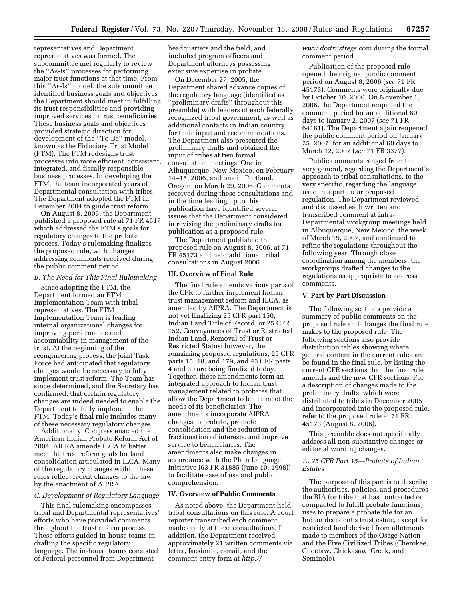representatives and Department representatives was formed. The subcommittee met regularly to review the ''As-Is'' processes for performing major trust functions at that time. From this ''As-Is'' model, the subcommittee identified business goals and objectives the Department should meet in fulfilling its trust responsibilities and providing improved services to trust beneficiaries. These business goals and objectives provided strategic direction for development of the ''To-Be'' model, known as the Fiduciary Trust Model (FTM). The FTM redesigns trust processes into more efficient, consistent, integrated, and fiscally responsible business processes. In developing the FTM, the team incorporated years of Departmental consultation with tribes. The Department adopted the FTM in December 2004 to guide trust reform.

On August 8, 2006, the Department published a proposed rule at 71 FR 4517 which addressed the FTM's goals for regulatory changes to the probate process. Today's rulemaking finalizes the proposed rule, with changes addressing comments received during the public comment period.

#### *B. The Need for This Final Rulemaking*

Since adopting the FTM, the Department formed an FTM Implementation Team with tribal representatives. The FTM Implementation Team is leading internal organizational changes for improving performance and accountability in management of the trust. At the beginning of the reengineering process, the Joint Task Force had anticipated that regulatory changes would be necessary to fully implement trust reform. The Team has since determined, and the Secretary has confirmed, that certain regulatory changes are indeed needed to enable the Department to fully implement the FTM. Today's final rule includes many of these necessary regulatory changes.

Additionally, Congress enacted the American Indian Probate Reform Act of 2004. AIPRA amends ILCA to better meet the trust reform goals for land consolidation articulated in ILCA. Many of the regulatory changes within these rules reflect recent changes to the law by the enactment of AIPRA.

# *C. Development of Regulatory Language*

This final rulemaking encompasses tribal and Departmental representatives' efforts who have provided comments throughout the trust reform process. These efforts guided in-house teams in drafting the specific regulatory language. The in-house teams consisted of Federal personnel from Department

headquarters and the field, and included program officers and Department attorneys possessing extensive expertise in probate.

On December 27, 2005, the Department shared advance copies of the regulatory language (identified as ''preliminary drafts'' throughout this preamble) with leaders of each federally recognized tribal government, as well as additional contacts in Indian country, for their input and recommendations. The Department also presented the preliminary drafts and obtained the input of tribes at two formal consultation meetings: One in Albuquerque, New Mexico, on February 14–15, 2006, and one in Portland, Oregon, on March 29, 2006. Comments received during these consultations and in the time leading up to this publication have identified several issues that the Department considered in revising the preliminary drafts for publication as a proposed rule.

The Department published the proposed rule on August 8, 2006, at 71 FR 45173 and held additional tribal consultations in August 2006.

#### **III. Overview of Final Rule**

The final rule amends various parts of the CFR to further implement Indian trust management reform and ILCA, as amended by AIPRA. The Department is not yet finalizing 25 CFR part 150, Indian Land Title of Record, or 25 CFR 152, Conveyances of Trust or Restricted Indian Land, Removal of Trust or Restricted Status; however, the remaining proposed regulations, 25 CFR parts 15, 18, and 179, and 43 CFR parts 4 and 30 are being finalized today. Together, these amendments form an integrated approach to Indian trust management related to probates that allow the Department to better meet the needs of its beneficiaries. The amendments incorporate AIPRA changes to probate, promote consolidation and the reduction of fractionation of interests, and improve service to beneficiaries. The amendments also make changes in accordance with the Plain Language Initiative (63 FR 31885 (June 10, 1998)) to facilitate ease of use and public comprehension.

#### **IV. Overview of Public Comments**

As noted above, the Department held tribal consultations on this rule. A court reporter transcribed each comment made orally at these consultations. In addition, the Department received approximately 21 written comments via letter, facsimile, e-mail, and the comment entry form at *http://* 

*www.doitrustregs.com* during the formal comment period.

Publication of the proposed rule opened the original public comment period on August 8, 2006 (*see* 71 FR 45173). Comments were originally due by October 10, 2006. On November 1, 2006, the Department reopened the comment period for an additional 60 days to January 2, 2007 (*see* 71 FR 64181). The Department again reopened the public comment period on January 25, 2007, for an additional 60 days to March 12, 2007 (*see* 71 FR 3377).

Public comments ranged from the very general, regarding the Department's approach to tribal consultations, to the very specific, regarding the language used in a particular proposed regulation. The Department reviewed and discussed each written and transcribed comment at intra-Departmental workgroup meetings held in Albuquerque, New Mexico, the week of March 19, 2007, and continued to refine the regulations throughout the following year. Through close coordination among the members, the workgroups drafted changes to the regulations as appropriate to address comments.

#### **V. Part-by-Part Discussion**

The following sections provide a summary of public comments on the proposed rule and changes the final rule makes to the proposed rule. The following sections also provide distribution tables showing where general content in the current rule can be found in the final rule, by listing the current CFR sections that the final rule amends and the new CFR sections. For a description of changes made to the preliminary drafts, which were distributed to tribes in December 2005 and incorporated into the proposed rule, refer to the proposed rule at 71 FR 45173 (August 8, 2006).

This preamble does not specifically address all non-substantive changes or editorial wording changes.

# *A. 25 CFR Part 15—Probate of Indian Estates*

The purpose of this part is to describe the authorities, policies, and procedures the BIA (or tribe that has contracted or compacted to fulfill probate functions) uses to prepare a probate file for an Indian decedent's trust estate, except for restricted land derived from allotments made to members of the Osage Nation and the Five Civilized Tribes (Cherokee, Choctaw, Chickasaw, Creek, and Seminole).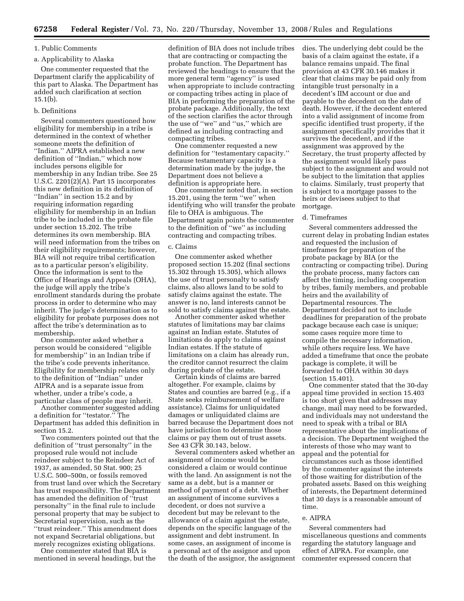# 1. Public Comments

# a. Applicability to Alaska

One commenter requested that the Department clarify the applicability of this part to Alaska. The Department has added such clarification at section  $15.1(b)$ .

#### b. Definitions

Several commenters questioned how eligibility for membership in a tribe is determined in the context of whether someone meets the definition of ''Indian.'' AIPRA established a new definition of ''Indian,'' which now includes persons eligible for membership in any Indian tribe. See 25 U.S.C. 2201(2)(A). Part 15 incorporates this new definition in its definition of ''Indian'' in section 15.2 and by requiring information regarding eligibility for membership in an Indian tribe to be included in the probate file under section 15.202. The tribe determines its own membership. BIA will need information from the tribes on their eligibility requirements; however, BIA will not require tribal certification as to a particular person's eligibility. Once the information is sent to the Office of Hearings and Appeals (OHA), the judge will apply the tribe's enrollment standards during the probate process in order to determine who may inherit. The judge's determination as to eligibility for probate purposes does not affect the tribe's determination as to membership.

One commenter asked whether a person would be considered ''eligible for membership'' in an Indian tribe if the tribe's code prevents inheritance. Eligibility for membership relates only to the definition of ''Indian'' under AIPRA and is a separate issue from whether, under a tribe's code, a particular class of people may inherit.

Another commenter suggested adding a definition for ''testator.'' The Department has added this definition in section 15.2.

Two commenters pointed out that the definition of ''trust personalty'' in the proposed rule would not include reindeer subject to the Reindeer Act of 1937, as amended, 50 Stat. 900; 25 U.S.C. 500–500n, or fossils removed from trust land over which the Secretary has trust responsibility. The Department has amended the definition of ''trust personalty'' in the final rule to include personal property that may be subject to Secretarial supervision, such as the ''trust reindeer.'' This amendment does not expand Secretarial obligations, but merely recognizes existing obligations.

One commenter stated that BIA is mentioned in several headings, but the definition of BIA does not include tribes that are contracting or compacting the probate function. The Department has reviewed the headings to ensure that the more general term ''agency'' is used when appropriate to include contracting or compacting tribes acting in place of BIA in performing the preparation of the probate package. Additionally, the text of the section clarifies the actor through the use of ''we'' and ''us,'' which are defined as including contracting and compacting tribes.

One commenter requested a new definition for ''testamentary capacity.'' Because testamentary capacity is a determination made by the judge, the Department does not believe a definition is appropriate here.

One commenter noted that, in section 15.201, using the term ''we'' when identifying who will transfer the probate file to OHA is ambiguous. The Department again points the commenter to the definition of ''we'' as including contracting and compacting tribes.

#### c. Claims

One commenter asked whether proposed section 15.202 (final sections 15.302 through 15.305), which allows the use of trust personalty to satisfy claims, also allows land to be sold to satisfy claims against the estate. The answer is no, land interests cannot be sold to satisfy claims against the estate.

Another commenter asked whether statutes of limitations may bar claims against an Indian estate. Statutes of limitations do apply to claims against Indian estates. If the statute of limitations on a claim has already run, the creditor cannot resurrect the claim during probate of the estate.

Certain kinds of claims are barred altogether. For example, claims by States and counties are barred (e.g., if a State seeks reimbursement of welfare assistance). Claims for unliquidated damages or unliquidated claims are barred because the Department does not have jurisdiction to determine those claims or pay them out of trust assets. See 43 CFR 30.143, below.

Several commenters asked whether an assignment of income would be considered a claim or would continue with the land. An assignment is not the same as a debt, but is a manner or method of payment of a debt. Whether an assignment of income survives a decedent, or does not survive a decedent but may be relevant to the allowance of a claim against the estate, depends on the specific language of the assignment and debt instrument. In some cases, an assignment of income is a personal act of the assignor and upon the death of the assignor, the assignment

dies. The underlying debt could be the basis of a claim against the estate, if a balance remains unpaid. The final provision at 43 CFR 30.146 makes it clear that claims may be paid only from intangible trust personalty in a decedent's IIM account or due and payable to the decedent on the date of death. However, if the decedent entered into a valid assignment of income from specific identified trust property, if the assignment specifically provides that it survives the decedent, and if the assignment was approved by the Secretary, the trust property affected by the assignment would likely pass subject to the assignment and would not be subject to the limitation that applies to claims. Similarly, trust property that is subject to a mortgage passes to the heirs or devisees subject to that mortgage.

#### d. Timeframes

Several commenters addressed the current delay in probating Indian estates and requested the inclusion of timeframes for preparation of the probate package by BIA (or the contracting or compacting tribe). During the probate process, many factors can affect the timing, including cooperation by tribes, family members, and probable heirs and the availability of Departmental resources. The Department decided not to include deadlines for preparation of the probate package because each case is unique; some cases require more time to compile the necessary information, while others require less. We have added a timeframe that once the probate package is complete, it will be forwarded to OHA within 30 days (section 15.401).

One commenter stated that the 30-day appeal time provided in section 15.403 is too short given that addresses may change, mail may need to be forwarded, and individuals may not understand the need to speak with a tribal or BIA representative about the implications of a decision. The Department weighed the interests of those who may want to appeal and the potential for circumstances such as those identified by the commenter against the interests of those waiting for distribution of the probated assets. Based on this weighing of interests, the Department determined that 30 days is a reasonable amount of time.

#### e. AIPRA

Several commenters had miscellaneous questions and comments regarding the statutory language and effect of AIPRA. For example, one commenter expressed concern that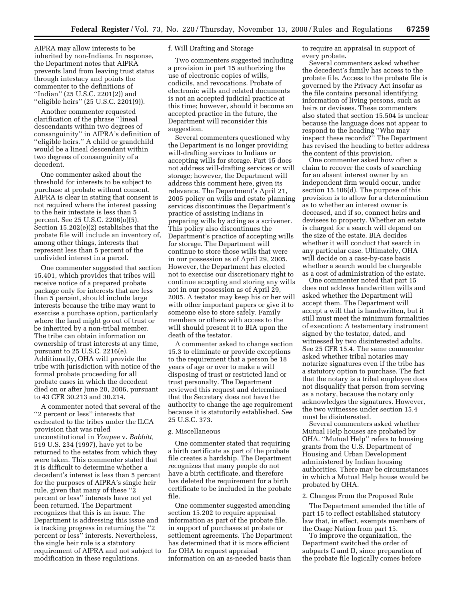AIPRA may allow interests to be inherited by non-Indians. In response, the Department notes that AIPRA prevents land from leaving trust status through intestacy and points the commenter to the definitions of ''Indian'' (25 U.S.C. 2201(2)) and ''eligible heirs'' (25 U.S.C. 2201(9)).

Another commenter requested clarification of the phrase ''lineal descendants within two degrees of consanguinity'' in AIPRA's definition of ''eligible heirs.'' A child or grandchild would be a lineal descendant within two degrees of consanguinity of a decedent.

One commenter asked about the threshold for interests to be subject to purchase at probate without consent. AIPRA is clear in stating that consent is not required where the interest passing to the heir intestate is less than 5 percent. See 25 U.S.C. 2206(o)(5). Section 15.202(e)(2) establishes that the probate file will include an inventory of, among other things, interests that represent less than 5 percent of the undivided interest in a parcel.

One commenter suggested that section 15.401, which provides that tribes will receive notice of a prepared probate package only for interests that are less than 5 percent, should include large interests because the tribe may want to exercise a purchase option, particularly where the land might go out of trust or be inherited by a non-tribal member. The tribe can obtain information on ownership of trust interests at any time, pursuant to 25 U.S.C. 2216(e). Additionally, OHA will provide the tribe with jurisdiction with notice of the formal probate proceeding for all probate cases in which the decedent died on or after June 20, 2006, pursuant to 43 CFR 30.213 and 30.214.

A commenter noted that several of the ''2 percent or less'' interests that escheated to the tribes under the ILCA provision that was ruled unconstitutional in *Youpee* v. *Babbitt,*  519 U.S. 234 (1997), have yet to be returned to the estates from which they were taken. This commenter stated that it is difficult to determine whether a decedent's interest is less than 5 percent for the purposes of AIPRA's single heir rule, given that many of these ''2 percent or less'' interests have not yet been returned. The Department recognizes that this is an issue. The Department is addressing this issue and is tracking progress in returning the ''2 percent or less'' interests. Nevertheless, the single heir rule is a statutory requirement of AIPRA and not subject to modification in these regulations.

# f. Will Drafting and Storage

Two commenters suggested including a provision in part 15 authorizing the use of electronic copies of wills, codicils, and revocations. Probate of electronic wills and related documents is not an accepted judicial practice at this time; however, should it become an accepted practice in the future, the Department will reconsider this suggestion.

Several commenters questioned why the Department is no longer providing will-drafting services to Indians or accepting wills for storage. Part 15 does not address will-drafting services or will storage; however, the Department will address this comment here, given its relevance. The Department's April 21, 2005 policy on wills and estate planning services discontinues the Department's practice of assisting Indians in preparing wills by acting as a scrivener. This policy also discontinues the Department's practice of accepting wills for storage. The Department will continue to store those wills that were in our possession as of April 29, 2005. However, the Department has elected not to exercise our discretionary right to continue accepting and storing any wills not in our possession as of April 29, 2005. A testator may keep his or her will with other important papers or give it to someone else to store safely. Family members or others with access to the will should present it to BIA upon the death of the testator.

A commenter asked to change section 15.3 to eliminate or provide exceptions to the requirement that a person be 18 years of age or over to make a will disposing of trust or restricted land or trust personalty. The Department reviewed this request and determined that the Secretary does not have the authority to change the age requirement because it is statutorily established. *See*  25 U.S.C. 373.

#### g. Miscellaneous

One commenter stated that requiring a birth certificate as part of the probate file creates a hardship. The Department recognizes that many people do not have a birth certificate, and therefore has deleted the requirement for a birth certificate to be included in the probate file.

One commenter suggested amending section 15.202 to require appraisal information as part of the probate file, in support of purchases at probate or settlement agreements. The Department has determined that it is more efficient for OHA to request appraisal information on an as-needed basis than

to require an appraisal in support of every probate.

Several commenters asked whether the decedent's family has access to the probate file. Access to the probate file is governed by the Privacy Act insofar as the file contains personal identifying information of living persons, such as heirs or devisees. These commenters also stated that section 15.504 is unclear because the language does not appear to respond to the heading ''Who may inspect these records?'' The Department has revised the heading to better address the content of this provision.

One commenter asked how often a claim to recover the costs of searching for an absent interest owner by an independent firm would occur, under section 15.106(d). The purpose of this provision is to allow for a determination as to whether an interest owner is deceased, and if so, connect heirs and devisees to property. Whether an estate is charged for a search will depend on the size of the estate. BIA decides whether it will conduct that search in any particular case. Ultimately, OHA will decide on a case-by-case basis whether a search would be chargeable as a cost of administration of the estate.

One commenter noted that part 15 does not address handwritten wills and asked whether the Department will accept them. The Department will accept a will that is handwritten, but it still must meet the minimum formalities of execution: A testamentary instrument signed by the testator, dated, and witnessed by two disinterested adults. See 25 CFR 15.4. The same commenter asked whether tribal notaries may notarize signatures even if the tribe has a statutory option to purchase. The fact that the notary is a tribal employee does not disqualify that person from serving as a notary, because the notary only acknowledges the signatures. However, the two witnesses under section 15.4 must be disinterested.

Several commenters asked whether Mutual Help houses are probated by OHA. ''Mutual Help'' refers to housing grants from the U.S. Department of Housing and Urban Development administered by Indian housing authorities. There may be circumstances in which a Mutual Help house would be probated by OHA.

#### 2. Changes From the Proposed Rule

The Department amended the title of part 15 to reflect established statutory law that, in effect, exempts members of the Osage Nation from part 15.

To improve the organization, the Department switched the order of subparts C and D, since preparation of the probate file logically comes before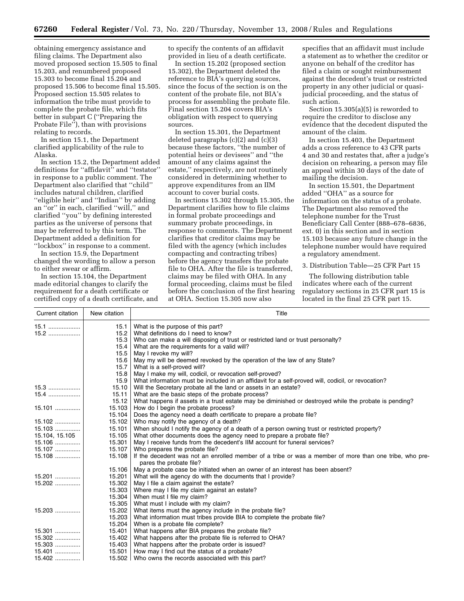obtaining emergency assistance and filing claims. The Department also moved proposed section 15.505 to final 15.203, and renumbered proposed 15.303 to become final 15.204 and proposed 15.506 to become final 15.505. Proposed section 15.505 relates to information the tribe must provide to complete the probate file, which fits better in subpart C (''Preparing the Probate File''), than with provisions relating to records.

In section 15.1, the Department clarified applicability of the rule to Alaska.

In section 15.2, the Department added definitions for ''affidavit'' and ''testator'' in response to a public comment. The Department also clarified that ''child'' includes natural children, clarified "eligible heir" and "Indian" by adding an ''or'' in each, clarified ''will,'' and clarified ''you'' by defining interested parties as the universe of persons that may be referred to by this term. The Department added a definition for ''lockbox'' in response to a comment.

In section 15.9, the Department changed the wording to allow a person to either swear or affirm.

In section 15.104, the Department made editorial changes to clarify the requirement for a death certificate or certified copy of a death certificate, and to specify the contents of an affidavit provided in lieu of a death certificate.

In section 15.202 (proposed section 15.302), the Department deleted the reference to BIA's querying sources, since the focus of the section is on the content of the probate file, not BIA's process for assembling the probate file. Final section 15.204 covers BIA's obligation with respect to querying sources.

In section 15.301, the Department deleted paragraphs (c)(2) and (c)(3) because these factors, ''the number of potential heirs or devisees'' and ''the amount of any claims against the estate,'' respectively, are not routinely considered in determining whether to approve expenditures from an IIM account to cover burial costs.

In sections 15.302 through 15.305, the Department clarifies how to file claims in formal probate proceedings and summary probate proceedings, in response to comments. The Department clarifies that creditor claims may be filed with the agency (which includes compacting and contracting tribes) before the agency transfers the probate file to OHA. After the file is transferred, claims may be filed with OHA. In any formal proceeding, claims must be filed before the conclusion of the first hearing at OHA. Section 15.305 now also

specifies that an affidavit must include a statement as to whether the creditor or anyone on behalf of the creditor has filed a claim or sought reimbursement against the decedent's trust or restricted property in any other judicial or quasijudicial proceeding, and the status of such action.

Section 15.305(a)(5) is reworded to require the creditor to disclose any evidence that the decedent disputed the amount of the claim.

In section 15.403, the Department adds a cross reference to 43 CFR parts 4 and 30 and restates that, after a judge's decision on rehearing, a person may file an appeal within 30 days of the date of mailing the decision.

In section 15.501, the Department added ''OHA'' as a source for information on the status of a probate. The Department also removed the telephone number for the Trust Beneficiary Call Center (888–678–6836, ext. 0) in this section and in section 15.103 because any future change in the telephone number would have required a regulatory amendment.

# 3. Distribution Table—25 CFR Part 15

The following distribution table indicates where each of the current regulatory sections in 25 CFR part 15 is located in the final 25 CFR part 15.

| Current citation | New citation | Title                                                                                                  |
|------------------|--------------|--------------------------------------------------------------------------------------------------------|
| 15.1             | 15.1         | What is the purpose of this part?                                                                      |
| 15.2             | 15.2         | What definitions do I need to know?                                                                    |
|                  | 15.3         | Who can make a will disposing of trust or restricted land or trust personalty?                         |
|                  | 15.4         | What are the requirements for a valid will?                                                            |
|                  | 15.5         | May I revoke my will?                                                                                  |
|                  | 15.6         | May my will be deemed revoked by the operation of the law of any State?                                |
|                  | 15.7         | What is a self-proved will?                                                                            |
|                  | 15.8         | May I make my will, codicil, or revocation self-proved?                                                |
|                  | 15.9         | What information must be included in an affidavit for a self-proved will, codicil, or revocation?      |
|                  | 15.10        | Will the Secretary probate all the land or assets in an estate?                                        |
| $15.4$           | 15.11        | What are the basic steps of the probate process?                                                       |
|                  | 15.12        | What happens if assets in a trust estate may be diminished or destroyed while the probate is pending?  |
|                  | 15.103       | How do I begin the probate process?                                                                    |
|                  | 15.104       | Does the agency need a death certificate to prepare a probate file?                                    |
|                  | 15.102       | Who may notify the agency of a death?                                                                  |
|                  | 15.101       | When should I notify the agency of a death of a person owning trust or restricted property?            |
| 15.104, 15.105   | 15.105       | What other documents does the agency need to prepare a probate file?                                   |
|                  | 15.301       | May I receive funds from the decedent's IIM account for funeral services?                              |
| 15.107           | 15.107       | Who prepares the probate file?                                                                         |
| 15.108           | 15.108       | If the decedent was not an enrolled member of a tribe or was a member of more than one tribe, who pre- |
|                  |              | pares the probate file?                                                                                |
|                  | 15.106       | May a probate case be initiated when an owner of an interest has been absent?                          |
| 15.201 <u> </u>  | 15.201       | What will the agency do with the documents that I provide?                                             |
| 15.202           | 15.302       | May I file a claim against the estate?                                                                 |
|                  | 15.303       | Where may I file my claim against an estate?                                                           |
|                  | 15.304       | When must I file my claim?                                                                             |
|                  | 15.305       | What must I include with my claim?                                                                     |
| 15.203           | 15.202       | What items must the agency include in the probate file?                                                |
|                  | 15.203       | What information must tribes provide BIA to complete the probate file?                                 |
|                  | 15.204       | When is a probate file complete?                                                                       |
|                  | 15.401       | What happens after BIA prepares the probate file?                                                      |
|                  | 15.402       | What happens after the probate file is referred to OHA?                                                |
|                  | 15.403       | What happens after the probate order is issued?                                                        |
|                  | 15.501       | How may I find out the status of a probate?                                                            |
| 15.402           | 15.502       | Who owns the records associated with this part?                                                        |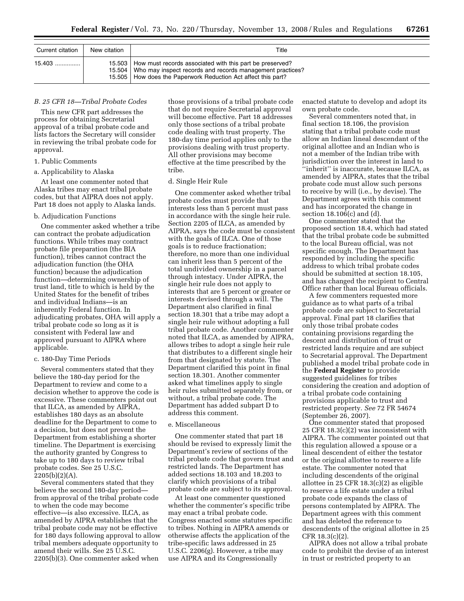| Current citation | New citation | Title                                                                                                                                                                                             |  |
|------------------|--------------|---------------------------------------------------------------------------------------------------------------------------------------------------------------------------------------------------|--|
| 15.403 !         | 15.503       | How must records associated with this part be preserved?<br>15.504   Who may inspect records and records management practices?<br>15.505   How does the Paperwork Reduction Act affect this part? |  |

## *B. 25 CFR 18—Tribal Probate Codes*

This new CFR part addresses the process for obtaining Secretarial approval of a tribal probate code and lists factors the Secretary will consider in reviewing the tribal probate code for approval.

# 1. Public Comments

# a. Applicability to Alaska

At least one commenter noted that Alaska tribes may enact tribal probate codes, but that AIPRA does not apply. Part 18 does not apply to Alaska lands.

#### b. Adjudication Functions

One commenter asked whether a tribe can contract the probate adjudication functions. While tribes may contract probate file preparation (the BIA function), tribes cannot contract the adjudication function (the OHA function) because the adjudication function—determining ownership of trust land, title to which is held by the United States for the benefit of tribes and individual Indians—is an inherently Federal function. In adjudicating probates, OHA will apply a tribal probate code so long as it is consistent with Federal law and approved pursuant to AIPRA where applicable.

# c. 180-Day Time Periods

Several commenters stated that they believe the 180-day period for the Department to review and come to a decision whether to approve the code is excessive. These commenters point out that ILCA, as amended by AIPRA, establishes 180 days as an absolute deadline for the Department to come to a decision, but does not prevent the Department from establishing a shorter timeline. The Department is exercising the authority granted by Congress to take up to 180 days to review tribal probate codes. See 25 U.S.C.  $2205(b)(2)(A)$ .

Several commenters stated that they believe the second 180-day period from approval of the tribal probate code to when the code may become effective—is also excessive. ILCA, as amended by AIPRA establishes that the tribal probate code may not be effective for 180 days following approval to allow tribal members adequate opportunity to amend their wills. See 25 U.S.C. 2205(b)(3). One commenter asked when

those provisions of a tribal probate code that do not require Secretarial approval will become effective. Part 18 addresses only those sections of a tribal probate code dealing with trust property. The 180-day time period applies only to the provisions dealing with trust property. All other provisions may become effective at the time prescribed by the tribe.

#### d. Single Heir Rule

One commenter asked whether tribal probate codes must provide that interests less than 5 percent must pass in accordance with the single heir rule. Section 2205 of ILCA, as amended by AIPRA, says the code must be consistent with the goals of ILCA. One of those goals is to reduce fractionation; therefore, no more than one individual can inherit less than 5 percent of the total undivided ownership in a parcel through intestacy. Under AIPRA, the single heir rule does not apply to interests that are 5 percent or greater or interests devised through a will. The Department also clarified in final section 18.301 that a tribe may adopt a single heir rule without adopting a full tribal probate code. Another commenter noted that ILCA, as amended by AIPRA, allows tribes to adopt a single heir rule that distributes to a different single heir from that designated by statute. The Department clarified this point in final section 18.301. Another commenter asked what timelines apply to single heir rules submitted separately from, or without, a tribal probate code. The Department has added subpart D to address this comment.

#### e. Miscellaneous

One commenter stated that part 18 should be revised to expressly limit the Department's review of sections of the tribal probate code that govern trust and restricted lands. The Department has added sections 18.103 and 18.203 to clarify which provisions of a tribal probate code are subject to its approval.

At least one commenter questioned whether the commenter's specific tribe may enact a tribal probate code. Congress enacted some statutes specific to tribes. Nothing in AIPRA amends or otherwise affects the application of the tribe-specific laws addressed in 25 U.S.C. 2206(g). However, a tribe may use AIPRA and its Congressionally

enacted statute to develop and adopt its own probate code.

Several commenters noted that, in final section 18.106, the provision stating that a tribal probate code must allow an Indian lineal descendant of the original allottee and an Indian who is not a member of the Indian tribe with jurisdiction over the interest in land to 'inherit'' is inaccurate, because ILCA, as amended by AIPRA, states that the tribal probate code must allow such persons to receive by will (i.e., by devise). The Department agrees with this comment and has incorporated the change in section 18.106(c) and (d).

One commenter stated that the proposed section 18.4, which had stated that the tribal probate code be submitted to the local Bureau official, was not specific enough. The Department has responded by including the specific address to which tribal probate codes should be submitted at section 18.105, and has changed the recipient to Central Office rather than local Bureau officials.

A few commenters requested more guidance as to what parts of a tribal probate code are subject to Secretarial approval. Final part 18 clarifies that only those tribal probate codes containing provisions regarding the descent and distribution of trust or restricted lands require and are subject to Secretarial approval. The Department published a model tribal probate code in the **Federal Register** to provide suggested guidelines for tribes considering the creation and adoption of a tribal probate code containing provisions applicable to trust and restricted property. *See* 72 FR 54674 (September 26, 2007).

One commenter stated that proposed 25 CFR 18.3(c)(2) was inconsistent with AIPRA. The commenter pointed out that this regulation allowed a spouse or a lineal descendent of either the testator or the original allottee to reserve a life estate. The commenter noted that including descendents of the original allottee in 25 CFR 18.3(c)(2) as eligible to reserve a life estate under a tribal probate code expands the class of persons contemplated by AIPRA. The Department agrees with this comment and has deleted the reference to descendents of the original allottee in 25 CFR 18.3(c)(2).

AIPRA does not allow a tribal probate code to prohibit the devise of an interest in trust or restricted property to an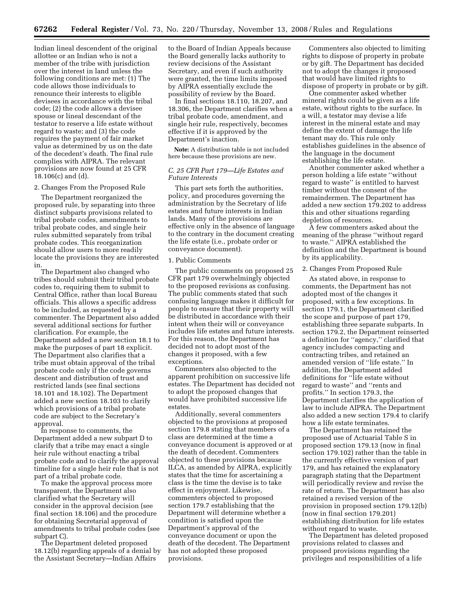Indian lineal descendent of the original allottee or an Indian who is not a member of the tribe with jurisdiction over the interest in land unless the following conditions are met: (1) The code allows those individuals to renounce their interests to eligible devisees in accordance with the tribal code; (2) the code allows a devisee spouse or lineal descendant of the testator to reserve a life estate without regard to waste; and (3) the code requires the payment of fair market value as determined by us on the date of the decedent's death. The final rule complies with AIPRA. The relevant provisions are now found at 25 CFR 18.106(c) and (d).

## 2. Changes From the Proposed Rule

The Department reorganized the proposed rule, by separating into three distinct subparts provisions related to tribal probate codes, amendments to tribal probate codes, and single heir rules submitted separately from tribal probate codes. This reorganization should allow users to more readily locate the provisions they are interested in.

The Department also changed who tribes should submit their tribal probate codes to, requiring them to submit to Central Office, rather than local Bureau officials. This allows a specific address to be included, as requested by a commenter. The Department also added several additional sections for further clarification. For example, the Department added a new section 18.1 to make the purposes of part 18 explicit. The Department also clarifies that a tribe must obtain approval of the tribal probate code only if the code governs descent and distribution of trust and restricted lands (see final sections 18.101 and 18.102). The Department added a new section 18.103 to clarify which provisions of a tribal probate code are subject to the Secretary's approval.

In response to comments, the Department added a new subpart D to clarify that a tribe may enact a single heir rule without enacting a tribal probate code and to clarify the approval timeline for a single heir rule that is not part of a tribal probate code.

To make the approval process more transparent, the Department also clarified what the Secretary will consider in the approval decision (see final section 18.106) and the procedure for obtaining Secretarial approval of amendments to tribal probate codes (see subpart C).

The Department deleted proposed 18.12(b) regarding appeals of a denial by the Assistant Secretary—Indian Affairs

to the Board of Indian Appeals because the Board generally lacks authority to review decisions of the Assistant Secretary, and even if such authority were granted, the time limits imposed by AIPRA essentially exclude the possibility of review by the Board.

In final sections 18.110, 18.207, and 18.306, the Department clarifies when a tribal probate code, amendment, and single heir rule, respectively, becomes effective if it is approved by the Department's inaction.

**Note:** A distribution table is not included here because these provisions are new.

# *C. 25 CFR Part 179—Life Estates and Future Interests*

This part sets forth the authorities, policy, and procedures governing the administration by the Secretary of life estates and future interests in Indian lands. Many of the provisions are effective only in the absence of language to the contrary in the document creating the life estate (i.e., probate order or conveyance document).

#### 1. Public Comments

The public comments on proposed 25 CFR part 179 overwhelmingly objected to the proposed revisions as confusing. The public comments stated that such confusing language makes it difficult for people to ensure that their property will be distributed in accordance with their intent when their will or conveyance includes life estates and future interests. For this reason, the Department has decided not to adopt most of the changes it proposed, with a few exceptions.

Commenters also objected to the apparent prohibition on successive life estates. The Department has decided not to adopt the proposed changes that would have prohibited successive life estates.

Additionally, several commenters objected to the provisions at proposed section 179.8 stating that members of a class are determined at the time a conveyance document is approved or at the death of decedent. Commenters objected to these provisions because ILCA, as amended by AIPRA, explicitly states that the time for ascertaining a class is the time the devise is to take effect in enjoyment. Likewise, commenters objected to proposed section 179.7 establishing that the Department will determine whether a condition is satisfied upon the Department's approval of the conveyance document or upon the death of the decedent. The Department has not adopted these proposed provisions.

Commenters also objected to limiting rights to dispose of property in probate or by gift. The Department has decided not to adopt the changes it proposed that would have limited rights to dispose of property in probate or by gift.

One commenter asked whether mineral rights could be given as a life estate, without rights to the surface. In a will, a testator may devise a life interest in the mineral estate and may define the extent of damage the life tenant may do. This rule only establishes guidelines in the absence of the language in the document establishing the life estate.

Another commenter asked whether a person holding a life estate ''without regard to waste'' is entitled to harvest timber without the consent of the remaindermen. The Department has added a new section 179.202 to address this and other situations regarding depletion of resources.

A few commenters asked about the meaning of the phrase ''without regard to waste.'' AIPRA established the definition and the Department is bound by its applicability.

#### 2. Changes From Proposed Rule

As stated above, in response to comments, the Department has not adopted most of the changes it proposed, with a few exceptions. In section 179.1, the Department clarified the scope and purpose of part 179, establishing three separate subparts. In section 179.2, the Department reinserted a definition for ''agency,'' clarified that agency includes compacting and contracting tribes, and retained an amended version of ''life estate.'' In addition, the Department added definitions for ''life estate without regard to waste'' and ''rents and profits.'' In section 179.3, the Department clarifies the application of law to include AIPRA. The Department also added a new section 179.4 to clarify how a life estate terminates.

The Department has retained the proposed use of Actuarial Table S in proposed section 179.13 (now in final section 179.102) rather than the table in the currently effective version of part 179, and has retained the explanatory paragraph stating that the Department will periodically review and revise the rate of return. The Department has also retained a revised version of the provision in proposed section 179.12(b) (now in final section 179.201) establishing distribution for life estates without regard to waste.

The Department has deleted proposed provisions related to classes and proposed provisions regarding the privileges and responsibilities of a life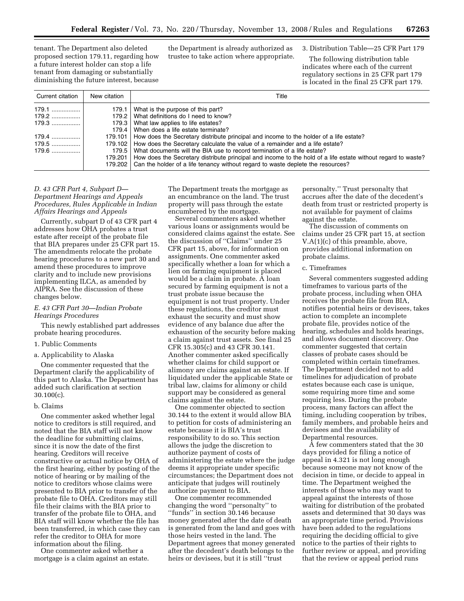tenant. The Department also deleted proposed section 179.11, regarding how a future interest holder can stop a life tenant from damaging or substantially diminishing the future interest, because the Department is already authorized as trustee to take action where appropriate. 3. Distribution Table—25 CFR Part 179

The following distribution table indicates where each of the current regulatory sections in 25 CFR part 179 is located in the final 25 CFR part 179.

| Current citation                                            | New citation                | Title                                                                                                                                                                                                                                                                                                                                                                                                                                                                                                                                                                                                                                                             |
|-------------------------------------------------------------|-----------------------------|-------------------------------------------------------------------------------------------------------------------------------------------------------------------------------------------------------------------------------------------------------------------------------------------------------------------------------------------------------------------------------------------------------------------------------------------------------------------------------------------------------------------------------------------------------------------------------------------------------------------------------------------------------------------|
| 179.1<br>179.2   <br>179.3 !<br>$179.4$<br>179.5<br>$179.6$ | $179.5 \text{ }$<br>179.201 | 179.1 What is the purpose of this part?<br>179.2 What definitions do I need to know?<br>179.3 What law applies to life estates?<br>179.4 When does a life estate terminate?<br>179.101   How does the Secretary distribute principal and income to the holder of a life estate?<br>179.102   How does the Secretary calculate the value of a remainder and a life estate?<br>What documents will the BIA use to record termination of a life estate?<br>How does the Secretary distribute principal and income to the hold of a life estate without regard to waste?<br>179.202   Can the holder of a life tenancy without regard to waste deplete the resources? |

# *D. 43 CFR Part 4, Subpart D— Department Hearings and Appeals Procedures, Rules Applicable in Indian Affairs Hearings and Appeals*

Currently, subpart D of 43 CFR part 4 addresses how OHA probates a trust estate after receipt of the probate file that BIA prepares under 25 CFR part 15. The amendments relocate the probate hearing procedures to a new part 30 and amend these procedures to improve clarity and to include new provisions implementing ILCA, as amended by AIPRA. See the discussion of these changes below.

# *E. 43 CFR Part 30—Indian Probate Hearings Procedures*

This newly established part addresses probate hearing procedures.

# 1. Public Comments

## a. Applicability to Alaska

One commenter requested that the Department clarify the applicability of this part to Alaska. The Department has added such clarification at section 30.100(c).

#### b. Claims

One commenter asked whether legal notice to creditors is still required, and noted that the BIA staff will not know the deadline for submitting claims, since it is now the date of the first hearing. Creditors will receive constructive or actual notice by OHA of the first hearing, either by posting of the notice of hearing or by mailing of the notice to creditors whose claims were presented to BIA prior to transfer of the probate file to OHA. Creditors may still file their claims with the BIA prior to transfer of the probate file to OHA, and BIA staff will know whether the file has been transferred, in which case they can refer the creditor to OHA for more information about the filing.

One commenter asked whether a mortgage is a claim against an estate. The Department treats the mortgage as an encumbrance on the land. The trust property will pass through the estate encumbered by the mortgage.

Several commenters asked whether various loans or assignments would be considered claims against the estate. See the discussion of ''Claims'' under 25 CFR part 15, above, for information on assignments. One commenter asked specifically whether a loan for which a lien on farming equipment is placed would be a claim in probate. A loan secured by farming equipment is not a trust probate issue because the equipment is not trust property. Under these regulations, the creditor must exhaust the security and must show evidence of any balance due after the exhaustion of the security before making a claim against trust assets. See final 25 CFR 15.305(c) and 43 CFR 30.141. Another commenter asked specifically whether claims for child support or alimony are claims against an estate. If liquidated under the applicable State or tribal law, claims for alimony or child support may be considered as general claims against the estate.

One commenter objected to section 30.144 to the extent it would allow BIA to petition for costs of administering an estate because it is BIA's trust responsibility to do so. This section allows the judge the discretion to authorize payment of costs of administering the estate where the judge deems it appropriate under specific circumstances; the Department does not anticipate that judges will routinely authorize payment to BIA.

One commenter recommended changing the word ''personalty'' to ''funds'' in section 30.146 because money generated after the date of death is generated from the land and goes with those heirs vested in the land. The Department agrees that money generated after the decedent's death belongs to the heirs or devisees, but it is still ''trust

personalty.'' Trust personalty that accrues after the date of the decedent's death from trust or restricted property is not available for payment of claims against the estate.

The discussion of comments on claims under 25 CFR part 15, at section V.A(1)(c) of this preamble, above, provides additional information on probate claims.

## c. Timeframes

Several commenters suggested adding timeframes to various parts of the probate process, including when OHA receives the probate file from BIA, notifies potential heirs or devisees, takes action to complete an incomplete probate file, provides notice of the hearing, schedules and holds hearings, and allows document discovery. One commenter suggested that certain classes of probate cases should be completed within certain timeframes. The Department decided not to add timelines for adjudication of probate estates because each case is unique, some requiring more time and some requiring less. During the probate process, many factors can affect the timing, including cooperation by tribes, family members, and probable heirs and devisees and the availability of Departmental resources.

A few commenters stated that the 30 days provided for filing a notice of appeal in 4.321 is not long enough because someone may not know of the decision in time, or decide to appeal in time. The Department weighed the interests of those who may want to appeal against the interests of those waiting for distribution of the probated assets and determined that 30 days was an appropriate time period. Provisions have been added to the regulations requiring the deciding official to give notice to the parties of their rights to further review or appeal, and providing that the review or appeal period runs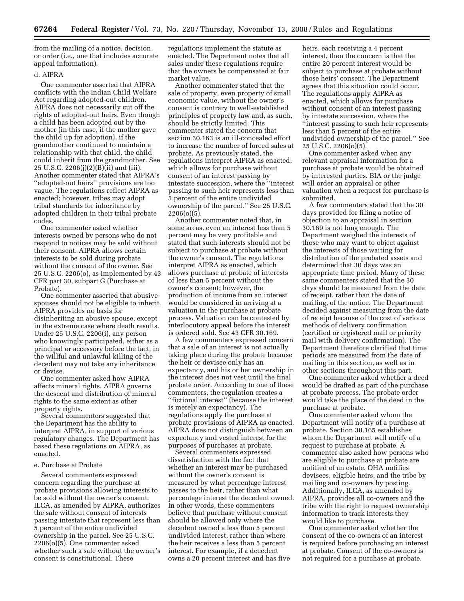from the mailing of a notice, decision, or order (i.e., one that includes accurate appeal information).

# d. AIPRA

One commenter asserted that AIPRA conflicts with the Indian Child Welfare Act regarding adopted-out children. AIPRA does not necessarily cut off the rights of adopted-out heirs. Even though a child has been adopted out by the mother (in this case, if the mother gave the child up for adoption), if the grandmother continued to maintain a relationship with that child, the child could inherit from the grandmother. See 25 U.S.C. 2206(j)(2)(B)(ii) and (iii). Another commenter stated that AIPRA's ''adopted-out heirs'' provisions are too vague. The regulations reflect AIPRA as enacted; however, tribes may adopt tribal standards for inheritance by adopted children in their tribal probate codes.

One commenter asked whether interests owned by persons who do not respond to notices may be sold without their consent. AIPRA allows certain interests to be sold during probate without the consent of the owner. See 25 U.S.C. 2206(o), as implemented by 43 CFR part 30, subpart G (Purchase at Probate).

One commenter asserted that abusive spouses should not be eligible to inherit. AIPRA provides no basis for disinheriting an abusive spouse, except in the extreme case where death results. Under 25 U.S.C. 2206(i), any person who knowingly participated, either as a principal or accessory before the fact, in the willful and unlawful killing of the decedent may not take any inheritance or devise.

One commenter asked how AIPRA affects mineral rights. AIPRA governs the descent and distribution of mineral rights to the same extent as other property rights.

Several commenters suggested that the Department has the ability to interpret AIPRA, in support of various regulatory changes. The Department has based these regulations on AIPRA, as enacted.

#### e. Purchase at Probate

Several commenters expressed concern regarding the purchase at probate provisions allowing interests to be sold without the owner's consent. ILCA, as amended by AIPRA, authorizes the sale without consent of interests passing intestate that represent less than 5 percent of the entire undivided ownership in the parcel. See 25 U.S.C. 2206(o)(5). One commenter asked whether such a sale without the owner's consent is constitutional. These

regulations implement the statute as enacted. The Department notes that all sales under these regulations require that the owners be compensated at fair market value.

Another commenter stated that the sale of property, even property of small economic value, without the owner's consent is contrary to well-established principles of property law and, as such, should be strictly limited. This commenter stated the concern that section 30.163 is an ill-concealed effort to increase the number of forced sales at probate. As previously stated, the regulations interpret AIPRA as enacted, which allows for purchase without consent of an interest passing by intestate succession, where the ''interest passing to such heir represents less than 5 percent of the entire undivided ownership of the parcel.'' See 25 U.S.C. 2206(o)(5).

Another commenter noted that, in some areas, even an interest less than 5 percent may be very profitable and stated that such interests should not be subject to purchase at probate without the owner's consent. The regulations interpret AIPRA as enacted, which allows purchase at probate of interests of less than 5 percent without the owner's consent; however, the production of income from an interest would be considered in arriving at a valuation in the purchase at probate process. Valuation can be contested by interlocutory appeal before the interest is ordered sold. See 43 CFR 30.169.

A few commenters expressed concern that a sale of an interest is not actually taking place during the probate because the heir or devisee only has an expectancy, and his or her ownership in the interest does not vest until the final probate order. According to one of these commenters, the regulation creates a ''fictional interest'' (because the interest is merely an expectancy). The regulations apply the purchase at probate provisions of AIPRA as enacted. AIPRA does not distinguish between an expectancy and vested interest for the purposes of purchases at probate.

Several commenters expressed dissatisfaction with the fact that whether an interest may be purchased without the owner's consent is measured by what percentage interest passes to the heir, rather than what percentage interest the decedent owned. In other words, these commenters believe that purchase without consent should be allowed only where the decedent owned a less than 5 percent undivided interest, rather than where the heir receives a less than 5 percent interest. For example, if a decedent owns a 20 percent interest and has five

heirs, each receiving a 4 percent interest, then the concern is that the entire 20 percent interest would be subject to purchase at probate without those heirs' consent. The Department agrees that this situation could occur. The regulations apply AIPRA as enacted, which allows for purchase without consent of an interest passing by intestate succession, where the ''interest passing to such heir represents less than 5 percent of the entire undivided ownership of the parcel.'' See 25 U.S.C. 2206(o)(5).

One commenter asked when any relevant appraisal information for a purchase at probate would be obtained by interested parties. BIA or the judge will order an appraisal or other valuation when a request for purchase is submitted.

A few commenters stated that the 30 days provided for filing a notice of objection to an appraisal in section 30.169 is not long enough. The Department weighed the interests of those who may want to object against the interests of those waiting for distribution of the probated assets and determined that 30 days was an appropriate time period. Many of these same commenters stated that the 30 days should be measured from the date of receipt, rather than the date of mailing, of the notice. The Department decided against measuring from the date of receipt because of the cost of various methods of delivery confirmation (certified or registered mail or priority mail with delivery confirmation). The Department therefore clarified that time periods are measured from the date of mailing in this section, as well as in other sections throughout this part.

One commenter asked whether a deed would be drafted as part of the purchase at probate process. The probate order would take the place of the deed in the purchase at probate.

One commenter asked whom the Department will notify of a purchase at probate. Section 30.165 establishes whom the Department will notify of a request to purchase at probate. A commenter also asked how persons who are eligible to purchase at probate are notified of an estate. OHA notifies devisees, eligible heirs, and the tribe by mailing and co-owners by posting. Additionally, ILCA, as amended by AIPRA, provides all co-owners and the tribe with the right to request ownership information to track interests they would like to purchase.

One commenter asked whether the consent of the co-owners of an interest is required before purchasing an interest at probate. Consent of the co-owners is not required for a purchase at probate.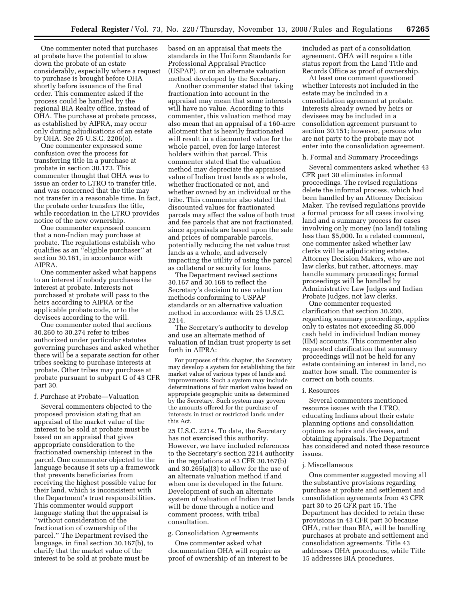One commenter noted that purchases at probate have the potential to slow down the probate of an estate considerably, especially where a request to purchase is brought before OHA shortly before issuance of the final order. This commenter asked if the process could be handled by the regional BIA Realty office, instead of OHA. The purchase at probate process, as established by AIPRA, may occur only during adjudications of an estate by OHA. See 25 U.S.C. 2206(o).

One commenter expressed some confusion over the process for transferring title in a purchase at probate in section 30.173. This commenter thought that OHA was to issue an order to LTRO to transfer title, and was concerned that the title may not transfer in a reasonable time. In fact, the probate order transfers the title, while recordation in the LTRO provides notice of the new ownership.

One commenter expressed concern that a non-Indian may purchase at probate. The regulations establish who qualifies as an ''eligible purchaser'' at section 30.161, in accordance with AIPRA.

One commenter asked what happens to an interest if nobody purchases the interest at probate. Interests not purchased at probate will pass to the heirs according to AIPRA or the applicable probate code, or to the devisees according to the will.

One commenter noted that sections 30.260 to 30.274 refer to tribes authorized under particular statutes governing purchases and asked whether there will be a separate section for other tribes seeking to purchase interests at probate. Other tribes may purchase at probate pursuant to subpart G of 43 CFR part 30.

#### f. Purchase at Probate—Valuation

Several commenters objected to the proposed provision stating that an appraisal of the market value of the interest to be sold at probate must be based on an appraisal that gives appropriate consideration to the fractionated ownership interest in the parcel. One commenter objected to the language because it sets up a framework that prevents beneficiaries from receiving the highest possible value for their land, which is inconsistent with the Department's trust responsibilities. This commenter would support language stating that the appraisal is ''without consideration of the fractionation of ownership of the parcel.'' The Department revised the language, in final section 30.167(b), to clarify that the market value of the interest to be sold at probate must be

based on an appraisal that meets the standards in the Uniform Standards for Professional Appraisal Practice (USPAP), or on an alternate valuation method developed by the Secretary.

Another commenter stated that taking fractionation into account in the appraisal may mean that some interests will have no value. According to this commenter, this valuation method may also mean that an appraisal of a 160-acre allotment that is heavily fractionated will result in a discounted value for the whole parcel, even for large interest holders within that parcel. This commenter stated that the valuation method may depreciate the appraised value of Indian trust lands as a whole, whether fractionated or not, and whether owned by an individual or the tribe. This commenter also stated that discounted values for fractionated parcels may affect the value of both trust and fee parcels that are not fractionated, since appraisals are based upon the sale and prices of comparable parcels, potentially reducing the net value trust lands as a whole, and adversely impacting the utility of using the parcel as collateral or security for loans.

The Department revised sections 30.167 and 30.168 to reflect the Secretary's decision to use valuation methods conforming to USPAP standards or an alternative valuation method in accordance with 25 U.S.C. 2214.

The Secretary's authority to develop and use an alternate method of valuation of Indian trust property is set forth in AIPRA:

For purposes of this chapter, the Secretary may develop a system for establishing the fair market value of various types of lands and improvements. Such a system may include determinations of fair market value based on appropriate geographic units as determined by the Secretary. Such system may govern the amounts offered for the purchase of interests in trust or restricted lands under this Act.

25 U.S.C. 2214. To date, the Secretary has not exercised this authority. However, we have included references to the Secretary's section 2214 authority in the regulations at 43 CFR 30.167(b) and 30.265(a)(3) to allow for the use of an alternate valuation method if and when one is developed in the future. Development of such an alternate system of valuation of Indian trust lands will be done through a notice and comment process, with tribal consultation.

# g. Consolidation Agreements

One commenter asked what documentation OHA will require as proof of ownership of an interest to be included as part of a consolidation agreement. OHA will require a title status report from the Land Title and Records Office as proof of ownership.

At least one comment questioned whether interests not included in the estate may be included in a consolidation agreement at probate. Interests already owned by heirs or devisees may be included in a consolidation agreement pursuant to section 30.151; however, persons who are not party to the probate may not enter into the consolidation agreement.

#### h. Formal and Summary Proceedings

Several commenters asked whether 43 CFR part 30 eliminates informal proceedings. The revised regulations delete the informal process, which had been handled by an Attorney Decision Maker. The revised regulations provide a formal process for all cases involving land and a summary process for cases involving only money (no land) totaling less than \$5,000. In a related comment, one commenter asked whether law clerks will be adjudicating estates. Attorney Decision Makers, who are not law clerks, but rather, attorneys, may handle summary proceedings; formal proceedings will be handled by Administrative Law Judges and Indian Probate Judges, not law clerks.

One commenter requested clarification that section 30.200, regarding summary proceedings, applies only to estates not exceeding \$5,000 cash held in individual Indian money (IIM) accounts. This commenter also requested clarification that summary proceedings will not be held for any estate containing an interest in land, no matter how small. The commenter is correct on both counts.

#### i. Resources

Several commenters mentioned resource issues with the LTRO, educating Indians about their estate planning options and consolidation options as heirs and devisees, and obtaining appraisals. The Department has considered and noted these resource issues.

#### j. Miscellaneous

One commenter suggested moving all the substantive provisions regarding purchase at probate and settlement and consolidation agreements from 43 CFR part 30 to 25 CFR part 15. The Department has decided to retain these provisions in 43 CFR part 30 because OHA, rather than BIA, will be handling purchases at probate and settlement and consolidation agreements. Title 43 addresses OHA procedures, while Title 15 addresses BIA procedures.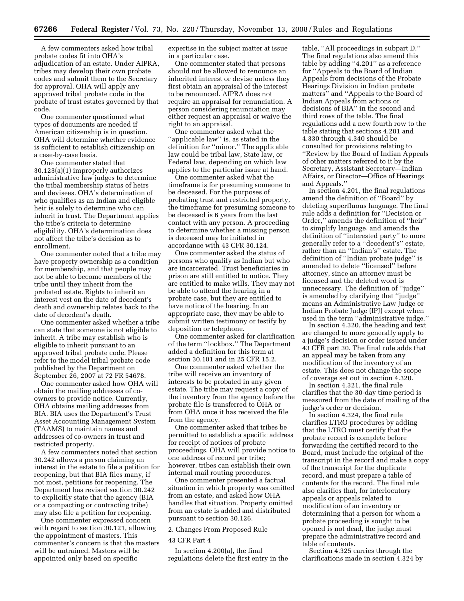A few commenters asked how tribal probate codes fit into OHA's adjudication of an estate. Under AIPRA, tribes may develop their own probate codes and submit them to the Secretary for approval. OHA will apply any approved tribal probate code in the probate of trust estates governed by that code.

One commenter questioned what types of documents are needed if American citizenship is in question. OHA will determine whether evidence is sufficient to establish citizenship on a case-by-case basis.

One commenter stated that 30.123(a)(1) improperly authorizes administrative law judges to determine the tribal membership status of heirs and devisees. OHA's determination of who qualifies as an Indian and eligible heir is solely to determine who can inherit in trust. The Department applies the tribe's criteria to determine eligibility. OHA's determination does not affect the tribe's decision as to enrollment.

One commenter noted that a tribe may have property ownership as a condition for membership, and that people may not be able to become members of the tribe until they inherit from the probated estate. Rights to inherit an interest vest on the date of decedent's death and ownership relates back to the date of decedent's death.

One commenter asked whether a tribe can state that someone is not eligible to inherit. A tribe may establish who is eligible to inherit pursuant to an approved tribal probate code. Please refer to the model tribal probate code published by the Department on September 26, 2007 at 72 FR 54678.

One commenter asked how OHA will obtain the mailing addresses of coowners to provide notice. Currently, OHA obtains mailing addresses from BIA. BIA uses the Department's Trust Asset Accounting Management System (TAAMS) to maintain names and addresses of co-owners in trust and restricted property.

A few commenters noted that section 30.242 allows a person claiming an interest in the estate to file a petition for reopening, but that BIA files many, if not most, petitions for reopening. The Department has revised section 30.242 to explicitly state that the agency (BIA or a compacting or contracting tribe) may also file a petition for reopening.

One commenter expressed concern with regard to section 30.121, allowing the appointment of masters. This commenter's concern is that the masters will be untrained. Masters will be appointed only based on specific

expertise in the subject matter at issue in a particular case.

One commenter stated that persons should not be allowed to renounce an inherited interest or devise unless they first obtain an appraisal of the interest to be renounced. AIPRA does not require an appraisal for renunciation. A person considering renunciation may either request an appraisal or waive the right to an appraisal.

One commenter asked what the ''applicable law'' is, as stated in the definition for ''minor.'' The applicable law could be tribal law, State law, or Federal law, depending on which law applies to the particular issue at hand.

One commenter asked what the timeframe is for presuming someone to be deceased. For the purposes of probating trust and restricted property, the timeframe for presuming someone to be deceased is 6 years from the last contact with any person. A proceeding to determine whether a missing person is deceased may be initiated in accordance with 43 CFR 30.124.

One commenter asked the status of persons who qualify as Indian but who are incarcerated. Trust beneficiaries in prison are still entitled to notice. They are entitled to make wills. They may not be able to attend the hearing in a probate case, but they are entitled to have notice of the hearing. In an appropriate case, they may be able to submit written testimony or testify by deposition or telephone.

One commenter asked for clarification of the term ''lockbox.'' The Department added a definition for this term at section 30.101 and in 25 CFR 15.2.

One commenter asked whether the tribe will receive an inventory of interests to be probated in any given estate. The tribe may request a copy of the inventory from the agency before the probate file is transferred to OHA or from OHA once it has received the file from the agency.

One commenter asked that tribes be permitted to establish a specific address for receipt of notices of probate proceedings. OHA will provide notice to one address of record per tribe; however, tribes can establish their own internal mail routing procedures.

One commenter presented a factual situation in which property was omitted from an estate, and asked how OHA handles that situation. Property omitted from an estate is added and distributed pursuant to section 30.126.

#### 2. Changes From Proposed Rule

#### 43 CFR Part 4

In section 4.200(a), the final regulations delete the first entry in the

table, ''All proceedings in subpart D.'' The final regulations also amend this table by adding ''4.201'' as a reference for ''Appeals to the Board of Indian Appeals from decisions of the Probate Hearings Division in Indian probate matters'' and ''Appeals to the Board of Indian Appeals from actions or decisions of BIA'' in the second and third rows of the table. The final regulations add a new fourth row to the table stating that sections 4.201 and 4.330 through 4.340 should be consulted for provisions relating to ''Review by the Board of Indian Appeals of other matters referred to it by the Secretary, Assistant Secretary—Indian Affairs, or Director—Office of Hearings and Appeals.''

In section 4.201, the final regulations amend the definition of ''Board'' by deleting superfluous language. The final rule adds a definition for ''Decision or Order,'' amends the definition of ''heir'' to simplify language, and amends the definition of ''interested party'' to more generally refer to a ''decedent's'' estate, rather than an ''Indian's'' estate. The definition of ''Indian probate judge'' is amended to delete ''licensed'' before attorney, since an attorney must be licensed and the deleted word is unnecessary. The definition of ''judge'' is amended by clarifying that ''judge'' means an Administrative Law Judge or Indian Probate Judge (IPJ) except when used in the term ''administrative judge.''

In section 4.320, the heading and text are changed to more generally apply to a judge's decision or order issued under 43 CFR part 30. The final rule adds that an appeal may be taken from any modification of the inventory of an estate. This does not change the scope of coverage set out in section 4.320.

In section 4.321, the final rule clarifies that the 30-day time period is measured from the date of mailing of the judge's order or decision.

In section 4.324, the final rule clarifies LTRO procedures by adding that the LTRO must certify that the probate record is complete before forwarding the certified record to the Board, must include the original of the transcript in the record and make a copy of the transcript for the duplicate record, and must prepare a table of contents for the record. The final rule also clarifies that, for interlocutory appeals or appeals related to modification of an inventory or determining that a person for whom a probate proceeding is sought to be opened is not dead, the judge must prepare the administrative record and table of contents.

Section 4.325 carries through the clarifications made in section 4.324 by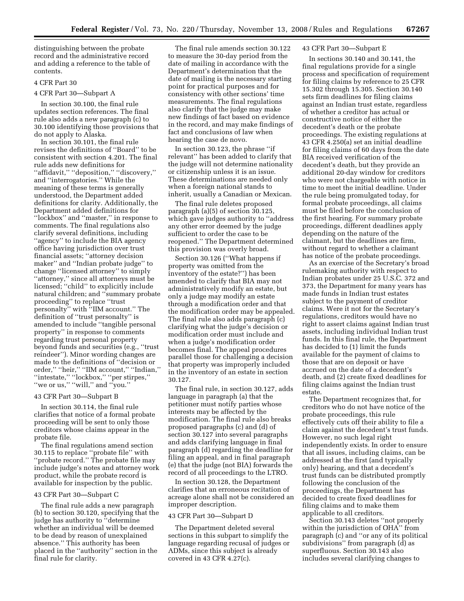distinguishing between the probate record and the administrative record and adding a reference to the table of contents.

# 4 CFR Part 30

#### 4 CFR Part 30—Subpart A

In section 30.100, the final rule updates section references. The final rule also adds a new paragraph (c) to 30.100 identifying those provisions that do not apply to Alaska.

In section 30.101, the final rule revises the definitions of ''Board'' to be consistent with section 4.201. The final rule adds new definitions for ''affidavit,'' ''deposition,'' ''discovery,'' and ''interrogatories.'' While the meaning of these terms is generally understood, the Department added definitions for clarity. Additionally, the Department added definitions for ''lockbox'' and ''master,'' in response to comments. The final regulations also clarify several definitions, including ''agency'' to include the BIA agency office having jurisdiction over trust financial assets; ''attorney decision maker'' and ''Indian probate judge'' to change ''licensed attorney'' to simply ''attorney,'' since all attorneys must be licensed; ''child'' to explicitly include natural children; and ''summary probate proceeding'' to replace ''trust personalty'' with ''IIM account.'' The definition of ''trust personalty'' is amended to include ''tangible personal property'' in response to comments regarding trust personal property beyond funds and securities (e.g., ''trust reindeer''). Minor wording changes are made to the definitions of ''decision or order,'' ''heir,'' ''IIM account,'' ''Indian,'' ''intestate,'' ''lockbox,'' ''per stirpes,'' "we or us," "will," and "you."

# 43 CFR Part 30—Subpart B

In section 30.114, the final rule clarifies that notice of a formal probate proceeding will be sent to only those creditors whose claims appear in the probate file.

The final regulations amend section 30.115 to replace ''probate file'' with ''probate record.'' The probate file may include judge's notes and attorney work product, while the probate record is available for inspection by the public.

#### 43 CFR Part 30—Subpart C

The final rule adds a new paragraph (b) to section 30.120, specifying that the judge has authority to ''determine whether an individual will be deemed to be dead by reason of unexplained absence.'' This authority has been placed in the ''authority'' section in the final rule for clarity.

The final rule amends section 30.122 to measure the 30-day period from the date of mailing in accordance with the Department's determination that the date of mailing is the necessary starting point for practical purposes and for consistency with other sections' time measurements. The final regulations also clarify that the judge may make new findings of fact based on evidence in the record, and may make findings of fact and conclusions of law when hearing the case de novo.

In section 30.123, the phrase ''if relevant'' has been added to clarify that the judge will not determine nationality or citizenship unless it is an issue. These determinations are needed only when a foreign national stands to inherit, usually a Canadian or Mexican.

The final rule deletes proposed paragraph (a)(5) of section 30.125, which gave judges authority to ''address any other error deemed by the judge sufficient to order the case to be reopened.'' The Department determined this provision was overly broad.

Section 30.126 (''What happens if property was omitted from the inventory of the estate?'') has been amended to clarify that BIA may not administratively modify an estate, but only a judge may modify an estate through a modification order and that the modification order may be appealed. The final rule also adds paragraph (c) clarifying what the judge's decision or modification order must include and when a judge's modification order becomes final. The appeal procedures parallel those for challenging a decision that property was improperly included in the inventory of an estate in section 30.127.

The final rule, in section 30.127, adds language in paragraph (a) that the petitioner must notify parties whose interests may be affected by the modification. The final rule also breaks proposed paragraphs (c) and (d) of section 30.127 into several paragraphs and adds clarifying language in final paragraph (d) regarding the deadline for filing an appeal, and in final paragraph (e) that the judge (not BIA) forwards the record of all proceedings to the LTRO.

In section 30.128, the Department clarifies that an erroneous recitation of acreage alone shall not be considered an improper description.

#### 43 CFR Part 30—Subpart D

The Department deleted several sections in this subpart to simplify the language regarding recusal of judges or ADMs, since this subject is already covered in 43 CFR 4.27(c).

# 43 CFR Part 30—Subpart E

In sections 30.140 and 30.141, the final regulations provide for a single process and specification of requirement for filing claims by reference to 25 CFR 15.302 through 15.305. Section 30.140 sets firm deadlines for filing claims against an Indian trust estate, regardless of whether a creditor has actual or constructive notice of either the decedent's death or the probate proceedings. The existing regulations at 43 CFR 4.250(a) set an initial deadline for filing claims of 60 days from the date BIA received verification of the decedent's death, but they provide an additional 20-day window for creditors who were not chargeable with notice in time to meet the initial deadline. Under the rule being promulgated today, for formal probate proceedings, all claims must be filed before the conclusion of the first hearing. For summary probate proceedings, different deadlines apply depending on the nature of the claimant, but the deadlines are firm, without regard to whether a claimant has notice of the probate proceedings.

As an exercise of the Secretary's broad rulemaking authority with respect to Indian probates under 25 U.S.C. 372 and 373, the Department for many years has made funds in Indian trust estates subject to the payment of creditor claims. Were it not for the Secretary's regulations, creditors would have no right to assert claims against Indian trust assets, including individual Indian trust funds. In this final rule, the Department has decided to (1) limit the funds available for the payment of claims to those that are on deposit or have accrued on the date of a decedent's death, and (2) create fixed deadlines for filing claims against the Indian trust estate.

The Department recognizes that, for creditors who do not have notice of the probate proceedings, this rule effectively cuts off their ability to file a claim against the decedent's trust funds. However, no such legal right independently exists. In order to ensure that all issues, including claims, can be addressed at the first (and typically only) hearing, and that a decedent's trust funds can be distributed promptly following the conclusion of the proceedings, the Department has decided to create fixed deadlines for filing claims and to make them applicable to all creditors.

Section 30.143 deletes ''not properly within the jurisdiction of OHA'' from paragraph (c) and ''or any of its political subdivisions'' from paragraph (d) as superfluous. Section 30.143 also includes several clarifying changes to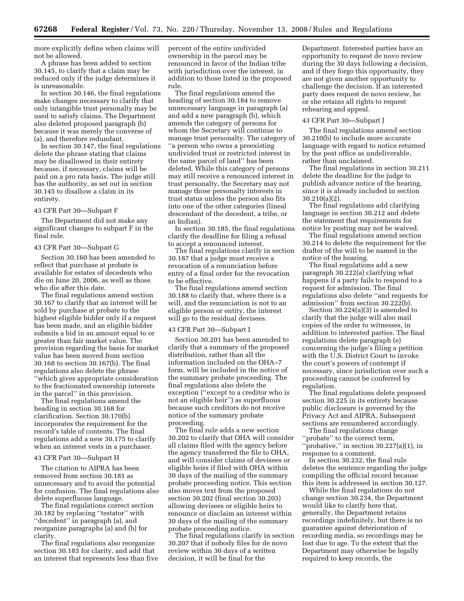more explicitly define when claims will not be allowed.

A phrase has been added to section 30.145, to clarify that a claim may be reduced only if the judge determines it is unreasonable.

In section 30.146, the final regulations make changes necessary to clarify that only intangible trust personalty may be used to satisfy claims. The Department also deleted proposed paragraph (b) because it was merely the converse of (a), and therefore redundant.

In section 30.147, the final regulations delete the phrase stating that claims may be disallowed in their entirety because, if necessary, claims will be paid on a pro rata basis. The judge still has the authority, as set out in section 30.145 to disallow a claim in its entirety.

#### 43 CFR Part 30—Subpart F

The Department did not make any significant changes to subpart F in the final rule.

#### 43 CFR Part 30—Subpart G

Section 30.160 has been amended to reflect that purchase at probate is available for estates of decedents who die on June 20, 2006, as well as those who die after this date.

The final regulations amend section 30.167 to clarify that an interest will be sold by purchase at probate to the highest eligible bidder only if a request has been made, and an eligible bidder submits a bid in an amount equal to or greater than fair market value. The provision regarding the basis for market value has been moved from section 30.168 to section 30.167(b). The final regulations also delete the phrase ''which gives appropriate consideration to the fractionated ownership interests in the parcel'' in this provision.

The final regulations amend the heading in section 30.168 for clarification. Section 30.170(b) incorporates the requirement for the record's table of contents. The final regulations add a new 30.175 to clarify when an interest vests in a purchaser.

## 43 CFR Part 30—Subpart H

The citation to AIPRA has been removed from section 30.181 as unnecessary and to avoid the potential for confusion. The final regulations also delete superfluous language.

The final regulations correct section 30.182 by replacing ''testator'' with ''decedent'' in paragraph (a), and reorganize paragraphs (a) and (b) for clarity.

The final regulations also reorganize section 30.183 for clarity, and add that an interest that represents less than five percent of the entire undivided ownership in the parcel may be renounced in favor of the Indian tribe with jurisdiction over the interest, in addition to those listed in the proposed rule.

The final regulations amend the heading of section 30.184 to remove unnecessary language in paragraph (a) and add a new paragraph (b), which amends the category of persons for whom the Secretary will continue to manage trust personalty. The category of ''a person who owns a preexisting undivided trust or restricted interest in the same parcel of land'' has been deleted. While this category of persons may still receive a renounced interest in trust personalty, the Secretary may not manage those personalty interests in trust status unless the person also fits into one of the other categories (lineal descendant of the decedent, a tribe, or an Indian).

In section 30.185, the final regulations clarify the deadline for filing a refusal to accept a renounced interest.

The final regulations clarify in section 30.187 that a judge must receive a revocation of a renunciation before entry of a final order for the revocation to be effective.

The final regulations amend section 30.188 to clarify that, where there is a will, and the renunciation is not to an eligible person or entity, the interest will go to the residual devisees.

#### 43 CFR Part 30—Subpart I

Section 30.201 has been amended to clarify that a summary of the proposed distribution, rather than all the information included on the OHA–7 form, will be included in the notice of the summary probate proceeding. The final regulations also delete the exception (''except to a creditor who is not an eligible heir'') as superfluous because such creditors do not receive notice of the summary probate proceeding.

The final rule adds a new section 30.202 to clarify that OHA will consider all claims filed with the agency before the agency transferred the file to OHA, and will consider claims of devisees or eligible heirs if filed with OHA within 30 days of the mailing of the summary probate proceeding notice. This section also moves text from the proposed section 30.202 (final section 30.203) allowing devisees or eligible heirs to renounce or disclaim an interest within 30 days of the mailing of the summary probate proceeding notice.

The final regulations clarify in section 30.207 that if nobody files for de novo review within 30 days of a written decision, it will be final for the

Department. Interested parties have an opportunity to request de novo review during the 30 days following a decision, and if they forgo this opportunity, they are not given another opportunity to challenge the decision. If an interested party does request de novo review, he or she retains all rights to request rehearing and appeal.

#### 43 CFR Part 30—Subpart J

The final regulations amend section 30.210(b) to include more accurate language with regard to notice returned by the post office as undeliverable, rather than unclaimed.

The final regulations in section 30.211 delete the deadline for the judge to publish advance notice of the hearing, since it is already included in section 30.210(a)(2).

The final regulations add clarifying language in section 30.212 and delete the statement that requirements for notice by posting may not be waived.

The final regulations amend section 30.214 to delete the requirement for the drafter of the will to be named in the notice of the hearing.

The final regulations add a new paragraph 30.222(a) clarifying what happens if a party fails to respond to a request for admission. The final regulations also delete ''and requests for admission'' from section 30.222(b).

Section 30.224(a)(3) is amended to clarify that the judge will also mail copies of the order to witnesses, in addition to interested parties. The final regulations delete paragraph (e) concerning the judge's filing a petition with the U.S. District Court to invoke the court's powers of contempt if necessary, since jurisdiction over such a proceeding cannot be conferred by regulation.

The final regulations delete proposed section 30.225 in its entirety because public disclosure is governed by the Privacy Act and AIPRA. Subsequent sections are renumbered accordingly.

The final regulations change ''probate'' to the correct term, " $probative$ ," in section 30.227(a)(1), in response to a comment.

In section 30.232, the final rule deletes the sentence regarding the judge compiling the official record because this item is addressed in section 30.127.

While the final regulations do not change section 30.234, the Department would like to clarify here that, generally, the Department retains recordings indefinitely, but there is no guarantee against deterioration of recording media, so recordings may be lost due to age. To the extent that the Department may otherwise be legally required to keep records, the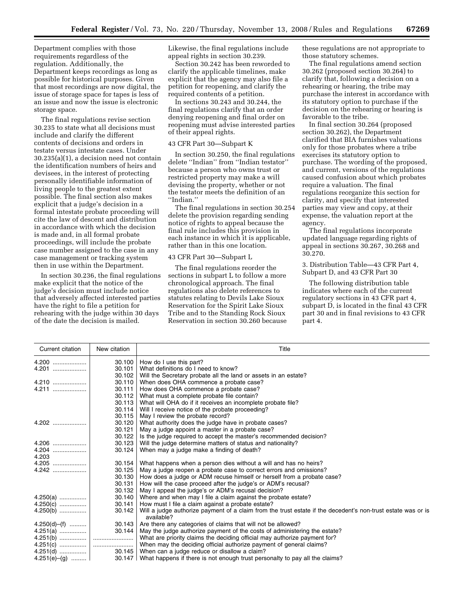Department complies with those requirements regardless of the regulation. Additionally, the Department keeps recordings as long as possible for historical purposes. Given that most recordings are now digital, the issue of storage space for tapes is less of an issue and now the issue is electronic storage space.

The final regulations revise section 30.235 to state what all decisions must include and clarify the different contents of decisions and orders in testate versus intestate cases. Under 30.235(a)(1), a decision need not contain the identification numbers of heirs and devisees, in the interest of protecting personally identifiable information of living people to the greatest extent possible. The final section also makes explicit that a judge's decision in a formal intestate probate proceeding will cite the law of descent and distribution in accordance with which the decision is made and, in all formal probate proceedings, will include the probate case number assigned to the case in any case management or tracking system then in use within the Department.

In section 30.236, the final regulations make explicit that the notice of the judge's decision must include notice that adversely affected interested parties have the right to file a petition for rehearing with the judge within 30 days of the date the decision is mailed.

Likewise, the final regulations include appeal rights in section 30.239.

Section 30.242 has been reworded to clarify the applicable timelines, make explicit that the agency may also file a petition for reopening, and clarify the required contents of a petition.

In sections 30.243 and 30.244, the final regulations clarify that an order denying reopening and final order on reopening must advise interested parties of their appeal rights.

#### 43 CFR Part 30—Subpart K

In section 30.250, the final regulations delete ''Indian'' from ''Indian testator'' because a person who owns trust or restricted property may make a will devising the property, whether or not the testator meets the definition of an ''Indian.''

The final regulations in section 30.254 delete the provision regarding sending notice of rights to appeal because the final rule includes this provision in each instance in which it is applicable, rather than in this one location.

## 43 CFR Part 30—Subpart L

The final regulations reorder the sections in subpart L to follow a more chronological approach. The final regulations also delete references to statutes relating to Devils Lake Sioux Reservation for the Spirit Lake Sioux Tribe and to the Standing Rock Sioux Reservation in section 30.260 because these regulations are not appropriate to those statutory schemes.

The final regulations amend section 30.262 (proposed section 30.264) to clarify that, following a decision on a rehearing or hearing, the tribe may purchase the interest in accordance with its statutory option to purchase if the decision on the rehearing or hearing is favorable to the tribe.

In final section 30.264 (proposed section 30.262), the Department clarified that BIA furnishes valuations only for those probates where a tribe exercises its statutory option to purchase. The wording of the proposed, and current, versions of the regulations caused confusion about which probates require a valuation. The final regulations reorganize this section for clarity, and specify that interested parties may view and copy, at their expense, the valuation report at the agency.

The final regulations incorporate updated language regarding rights of appeal in sections 30.267, 30.268 and 30.270.

3. Distribution Table—43 CFR Part 4, Subpart D, and 43 CFR Part 30

The following distribution table indicates where each of the current regulatory sections in 43 CFR part 4, subpart D, is located in the final 43 CFR part 30 and in final revisions to 43 CFR part 4.

| Current citation | New citation | Title                                                                                                                      |
|------------------|--------------|----------------------------------------------------------------------------------------------------------------------------|
|                  | 30.100       | How do I use this part?                                                                                                    |
| $4.201$          | 30.101       | What definitions do I need to know?                                                                                        |
|                  | 30.102       | Will the Secretary probate all the land or assets in an estate?                                                            |
|                  | 30.110       | When does OHA commence a probate case?                                                                                     |
|                  | 30.111       | How does OHA commence a probate case?                                                                                      |
|                  | 30.112       | What must a complete probate file contain?                                                                                 |
|                  | 30.113       | What will OHA do if it receives an incomplete probate file?                                                                |
|                  | 30.114       | Will I receive notice of the probate proceeding?                                                                           |
|                  | 30.115       | May I review the probate record?                                                                                           |
| $4.202$          | 30.120       | What authority does the judge have in probate cases?                                                                       |
|                  | 30.121       | May a judge appoint a master in a probate case?                                                                            |
|                  | 30.122       | Is the judge required to accept the master's recommended decision?                                                         |
|                  | 30.123       | Will the judge determine matters of status and nationality?                                                                |
| $4.204$          | 30.124       | When may a judge make a finding of death?                                                                                  |
| 4.203            |              |                                                                                                                            |
|                  | 30.154       | What happens when a person dies without a will and has no heirs?                                                           |
|                  | 30.125       | May a judge reopen a probate case to correct errors and omissions?                                                         |
|                  | 30.130       | How does a judge or ADM recuse himself or herself from a probate case?                                                     |
|                  | 30.131       | How will the case proceed after the judge's or ADM's recusal?                                                              |
|                  | 30.132       | May I appeal the judge's or ADM's recusal decision?                                                                        |
|                  | 30.140       | Where and when may I file a claim against the probate estate?                                                              |
| $4.250(c)$       | 30.141       | How must I file a claim against a probate estate?                                                                          |
| $4.250(b)$       | 30.142       | Will a judge authorize payment of a claim from the trust estate if the decedent's non-trust estate was or is<br>available? |
| $4.250(d) - (f)$ | 30.143       | Are there any categories of claims that will not be allowed?                                                               |
|                  | 30.144       | May the judge authorize payment of the costs of administering the estate?                                                  |
|                  |              | What are priority claims the deciding official may authorize payment for?                                                  |
|                  |              | When may the deciding official authorize payment of general claims?                                                        |
|                  |              | When can a judge reduce or disallow a claim?                                                                               |
| 4.251(e)–(g)     |              | $30.147$ What happens if there is not enough trust personalty to pay all the claims?                                       |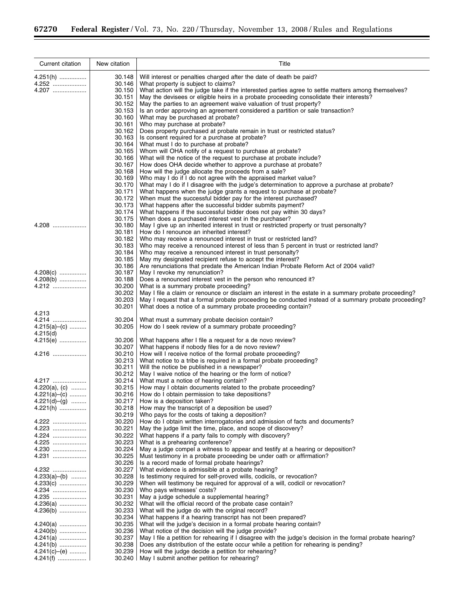÷.

 $\equiv$ 

| Current citation | New citation     | Title                                                                                                                                                               |
|------------------|------------------|---------------------------------------------------------------------------------------------------------------------------------------------------------------------|
| 4.251(h)         | 30.148           | Will interest or penalties charged after the date of death be paid?                                                                                                 |
| 4.252            | 30.146           | What property is subject to claims?                                                                                                                                 |
| 4.207            | 30.150           | What action will the judge take if the interested parties agree to settle matters among themselves?                                                                 |
|                  | 30.151           | May the devisees or eligible heirs in a probate proceeding consolidate their interests?                                                                             |
|                  | 30.152           | May the parties to an agreement waive valuation of trust property?                                                                                                  |
|                  | 30.153           | Is an order approving an agreement considered a partition or sale transaction?                                                                                      |
|                  | 30.160<br>30.161 | What may be purchased at probate?<br>Who may purchase at probate?                                                                                                   |
|                  | 30.162           | Does property purchased at probate remain in trust or restricted status?                                                                                            |
|                  | 30.163           | Is consent required for a purchase at probate?                                                                                                                      |
|                  | 30.164           | What must I do to purchase at probate?                                                                                                                              |
|                  | 30.165           | Whom will OHA notify of a request to purchase at probate?                                                                                                           |
|                  | 30.166           | What will the notice of the request to purchase at probate include?                                                                                                 |
|                  | 30.167           | How does OHA decide whether to approve a purchase at probate?                                                                                                       |
|                  | 30.168<br>30.169 | How will the judge allocate the proceeds from a sale?                                                                                                               |
|                  | 30.170           | Who may I do if I do not agree with the appraised market value?<br>What may I do if I disagree with the judge's determination to approve a purchase at probate?     |
|                  | 30.171           | What happens when the judge grants a request to purchase at probate?                                                                                                |
|                  | 30.172           | When must the successful bidder pay for the interest purchased?                                                                                                     |
|                  | 30.173           | What happens after the successful bidder submits payment?                                                                                                           |
|                  | 30.174           | What happens if the successful bidder does not pay within 30 days?                                                                                                  |
|                  | 30.175           | When does a purchased interest vest in the purchaser?                                                                                                               |
| $4.208$          | 30.180           | May I give up an inherited interest in trust or restricted property or trust personalty?                                                                            |
|                  | 30.181           | How do I renounce an inherited interest?                                                                                                                            |
|                  | 30.182<br>30.183 | Who may receive a renounced interest in trust or restricted land?<br>Who may receive a renounced interest of less than 5 percent in trust or restricted land?       |
|                  | 30.184           | Who may receive a renounced interest in trust personalty?                                                                                                           |
|                  | 30.185           | May my designated recipient refuse to accept the interest?                                                                                                          |
|                  | 30.186           | Are renunciations that predate the American Indian Probate Reform Act of 2004 valid?                                                                                |
| $4.208(c)$       | 30.187           | May I revoke my renunciation?                                                                                                                                       |
| $4.208(b)$       | 30.188           | Does a renounced interest vest in the person who renounced it?                                                                                                      |
| 4.212            | 30.200           | What is a summary probate proceeding?                                                                                                                               |
|                  | 30.202           | May I file a claim or renounce or disclaim an interest in the estate in a summary probate proceeding?                                                               |
|                  | 30.203<br>30.201 | May I request that a formal probate proceeding be conducted instead of a summary probate proceeding?<br>What does a notice of a summary probate proceeding contain? |
| 4.213            |                  |                                                                                                                                                                     |
| 4.214            | 30.204           | What must a summary probate decision contain?                                                                                                                       |
| $4.215(a)$ -(c)  | 30.205           | How do I seek review of a summary probate proceeding?                                                                                                               |
| 4.215(d)         |                  |                                                                                                                                                                     |
| 4.215(e)         | 30.206           | What happens after I file a request for a de novo review?                                                                                                           |
|                  | 30.207           | What happens if nobody files for a de novo review?                                                                                                                  |
| 4.216            | 30.210<br>30.213 | How will I receive notice of the formal probate proceeding?                                                                                                         |
|                  | 30.211           | What notice to a tribe is required in a formal probate proceeding?<br>Will the notice be published in a newspaper?                                                  |
|                  | 30.212           | May I waive notice of the hearing or the form of notice?                                                                                                            |
| 4.217            | 30.214           | What must a notice of hearing contain?                                                                                                                              |
| $4.220(a), (c)$  | 30.215           | How may I obtain documents related to the probate proceeding?                                                                                                       |
| $4.221(a)$ - (c) | 30.216           | How do I obtain permission to take depositions?                                                                                                                     |
| $4.221(d)–(g)$   | 30.217           | How is a deposition taken?                                                                                                                                          |
| 4.221(h)         | 30.218           | How may the transcript of a deposition be used?                                                                                                                     |
| $4.222$          | 30.219           | Who pays for the costs of taking a deposition?                                                                                                                      |
| 4.223            | 30.220<br>30.221 | How do I obtain written interrogatories and admission of facts and documents?<br>May the judge limit the time, place, and scope of discovery?                       |
| $4.224$          | 30.222           | What happens if a party fails to comply with discovery?                                                                                                             |
| $4.225$          | 30.223           | What is a prehearing conference?                                                                                                                                    |
| 4.230            | 30.224           | May a judge compel a witness to appear and testify at a hearing or deposition?                                                                                      |
| 4.231            | 30.225           | Must testimony in a probate proceeding be under oath or affirmation?                                                                                                |
|                  | 30.226           | Is a record made of formal probate hearings?                                                                                                                        |
| 4.232            | 30.227           | What evidence is admissible at a probate hearing?                                                                                                                   |
| $4.233(a)–(b)$   | 30.228           | Is testimony required for self-proved wills, codicils, or revocation?                                                                                               |
| $4.233(c)$       | 30.229           | When will testimony be required for approval of a will, codicil or revocation?                                                                                      |
| 4.234<br>4.235   | 30.230<br>30.231 | Who pays witnesses' costs?<br>May a judge schedule a supplemental hearing?                                                                                          |
| $4.236(a)$       | 30.232           | What will the official record of the probate case contain?                                                                                                          |
| $4.236(b)$       | 30.233           | What will the judge do with the original record?                                                                                                                    |
|                  | 30.234           | What happens if a hearing transcript has not been prepared?                                                                                                         |
| $4.240(a)$       | 30.235           | What will the judge's decision in a formal probate hearing contain?                                                                                                 |
| $4.240(b)$       | 30.236           | What notice of the decision will the judge provide?                                                                                                                 |
| $4.241(a)$       | 30.237           | May I file a petition for rehearing if I disagree with the judge's decision in the formal probate hearing?                                                          |
| $4.241(b)$       | 30.238           | Does any distribution of the estate occur while a petition for rehearing is pending?                                                                                |
| $4.241(c)$ (e)   | 30.239           | How will the judge decide a petition for rehearing?                                                                                                                 |
| $4.241(f)$       | 30.240           | May I submit another petition for rehearing?                                                                                                                        |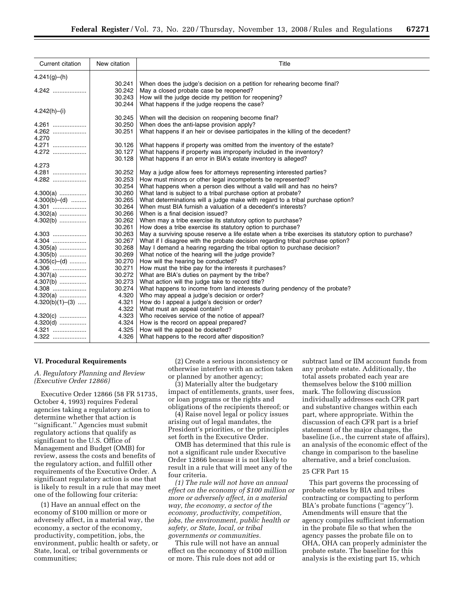| Current citation  | New citation | Title                                                                                                 |
|-------------------|--------------|-------------------------------------------------------------------------------------------------------|
| 4.241(g)–(h)      |              |                                                                                                       |
|                   | 30.241       | When does the judge's decision on a petition for rehearing become final?                              |
| $4.242$           | 30.242       | May a closed probate case be reopened?                                                                |
|                   | 30.243       | How will the judge decide my petition for reopening?                                                  |
|                   | 30.244       | What happens if the judge reopens the case?                                                           |
| $4.242(h) - (i)$  |              |                                                                                                       |
|                   | 30.245       | When will the decision on reopening become final?                                                     |
| $4.261$           | 30.250       | When does the anti-lapse provision apply?                                                             |
|                   | 30.251       | What happens if an heir or devisee participates in the killing of the decedent?                       |
| 4.270             |              |                                                                                                       |
| 4.271             | 30.126       | What happens if property was omitted from the inventory of the estate?                                |
| $4.272$           | 30.127       | What happens if property was improperly included in the inventory?                                    |
|                   | 30.128       | What happens if an error in BIA's estate inventory is alleged?                                        |
| 4.273             |              |                                                                                                       |
|                   | 30.252       | May a judge allow fees for attorneys representing interested parties?                                 |
| $4.282$           | 30.253       | How must minors or other legal incompetents be represented?                                           |
|                   | 30.254       | What happens when a person dies without a valid will and has no heirs?                                |
| $4.300(a)$        | 30.260       | What land is subject to a tribal purchase option at probate?                                          |
| $4.300(b) - (d)$  | 30.265       | What determinations will a judge make with regard to a tribal purchase option?                        |
| 4.301             | 30.264       | When must BIA furnish a valuation of a decedent's interests?                                          |
| $4.302(a)$        | 30.266       | When is a final decision issued?                                                                      |
| $4.302(b)$        | 30.262       | When may a tribe exercise its statutory option to purchase?                                           |
|                   | 30.261       | How does a tribe exercise its statutory option to purchase?                                           |
| 4.303             | 30.263       | May a surviving spouse reserve a life estate when a tribe exercises its statutory option to purchase? |
| 4.304             | 30.267       | What if I disagree with the probate decision regarding tribal purchase option?                        |
| $4.305(a)$        | 30.268       | May I demand a hearing regarding the tribal option to purchase decision?                              |
| $4.305(b)$        | 30.269       | What notice of the hearing will the judge provide?                                                    |
| $4.305(c)$ - (d)  | 30.270       | How will the hearing be conducted?                                                                    |
| $4.306$           | 30.271       | How must the tribe pay for the interests it purchases?                                                |
| $4.307(a)$        | 30.272       | What are BIA's duties on payment by the tribe?                                                        |
| $4.307(b)$        | 30.273       | What action will the judge take to record title?                                                      |
| 4.308             | 30.274       | What happens to income from land interests during pendency of the probate?                            |
| $4.320(a)$        | 4.320        | Who may appeal a judge's decision or order?                                                           |
| $4.320(b)(1)–(3)$ | 4.321        | How do I appeal a judge's decision or order?                                                          |
|                   | 4.322        | What must an appeal contain?                                                                          |
| $4.320(c)$        | 4.323        | Who receives service of the notice of appeal?                                                         |
| $4.320(d)$        | 4.324        | How is the record on appeal prepared?                                                                 |
|                   | 4.325        | How will the appeal be docketed?                                                                      |
| 4.322             | 4.326        | What happens to the record after disposition?                                                         |

## **VI. Procedural Requirements**

*A. Regulatory Planning and Review (Executive Order 12866)* 

Executive Order 12866 (58 FR 51735, October 4, 1993) requires Federal agencies taking a regulatory action to determine whether that action is ''significant.'' Agencies must submit regulatory actions that qualify as significant to the U.S. Office of Management and Budget (OMB) for review, assess the costs and benefits of the regulatory action, and fulfill other requirements of the Executive Order. A significant regulatory action is one that is likely to result in a rule that may meet one of the following four criteria:

(1) Have an annual effect on the economy of \$100 million or more or adversely affect, in a material way, the economy, a sector of the economy, productivity, competition, jobs, the environment, public health or safety, or State, local, or tribal governments or communities;

(2) Create a serious inconsistency or otherwise interfere with an action taken or planned by another agency;

(3) Materially alter the budgetary impact of entitlements, grants, user fees, or loan programs or the rights and obligations of the recipients thereof; or

(4) Raise novel legal or policy issues arising out of legal mandates, the President's priorities, or the principles set forth in the Executive Order.

OMB has determined that this rule is not a significant rule under Executive Order 12866 because it is not likely to result in a rule that will meet any of the four criteria.

*(1) The rule will not have an annual effect on the economy of \$100 million or more or adversely affect, in a material way, the economy, a sector of the economy, productivity, competition, jobs, the environment, public health or safety, or State, local, or tribal governments or communities.* 

This rule will not have an annual effect on the economy of \$100 million or more. This rule does not add or

subtract land or IIM account funds from any probate estate. Additionally, the total assets probated each year are themselves below the \$100 million mark. The following discussion individually addresses each CFR part and substantive changes within each part, where appropriate. Within the discussion of each CFR part is a brief statement of the major changes, the baseline (i.e., the current state of affairs), an analysis of the economic effect of the change in comparison to the baseline alternative, and a brief conclusion.

# 25 CFR Part 15

This part governs the processing of probate estates by BIA and tribes contracting or compacting to perform BIA's probate functions (''agency''). Amendments will ensure that the agency compiles sufficient information in the probate file so that when the agency passes the probate file on to OHA, OHA can properly administer the probate estate. The baseline for this analysis is the existing part 15, which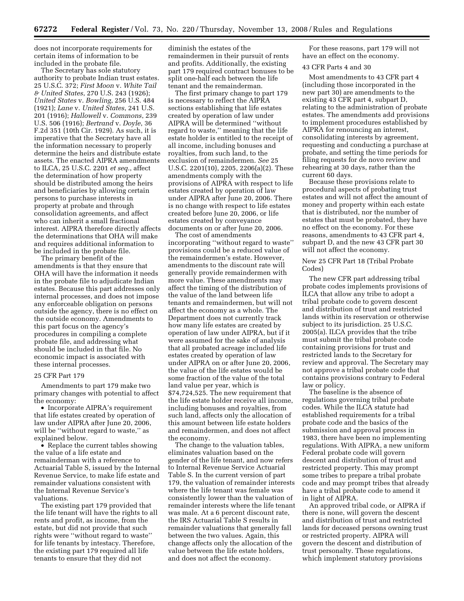does not incorporate requirements for certain items of information to be included in the probate file.

The Secretary has sole statutory authority to probate Indian trust estates. 25 U.S.C. 372; *First Moon* v. *White Tail & United States*, 270 U.S. 243 (1926); *United States* v. *Bowling*, 256 U.S. 484 (1921); *Lane* v. *United States*, 241 U.S. 201 (1916); *Hallowell* v. *Commons*, 239 U.S. 506 (1916); *Bertrand* v. *Doyle*, 36 F.2d 351 (10th Cir. 1929). As such, it is imperative that the Secretary have all the information necessary to properly determine the heirs and distribute estate assets. The enacted AIPRA amendments to ILCA, 25 U.S.C. 2201 *et seq.*, affect the determination of how property should be distributed among the heirs and beneficiaries by allowing certain persons to purchase interests in property at probate and through consolidation agreements, and affect who can inherit a small fractional interest. AIPRA therefore directly affects the determinations that OHA will make and requires additional information to be included in the probate file.

The primary benefit of the amendments is that they ensure that OHA will have the information it needs in the probate file to adjudicate Indian estates. Because this part addresses only internal processes, and does not impose any enforceable obligation on persons outside the agency, there is no effect on the outside economy. Amendments to this part focus on the agency's procedures in compiling a complete probate file, and addressing what should be included in that file. No economic impact is associated with these internal processes.

#### 25 CFR Part 179

Amendments to part 179 make two primary changes with potential to affect the economy:

• Incorporate AIPRA's requirement that life estates created by operation of law under AIPRA after June 20, 2006, will be "without regard to waste," as explained below.

• Replace the current tables showing the value of a life estate and remainderman with a reference to Actuarial Table S, issued by the Internal Revenue Service, to make life estate and remainder valuations consistent with the Internal Revenue Service's valuations.

The existing part 179 provided that the life tenant will have the rights to all rents and profit, as income, from the estate, but did not provide that such rights were ''without regard to waste'' for life tenants by intestacy. Therefore, the existing part 179 required all life tenants to ensure that they did not

diminish the estates of the remaindermen in their pursuit of rents and profits. Additionally, the existing part 179 required contract bonuses to be split one-half each between the life tenant and the remainderman.

The first primary change to part 179 is necessary to reflect the AIPRA sections establishing that life estates created by operation of law under AIPRA will be determined ''without regard to waste,'' meaning that the life estate holder is entitled to the receipt of all income, including bonuses and royalties, from such land, to the exclusion of remaindermen. *See* 25 U.S.C. 2201(10), 2205, 2206(a)(2). These amendments comply with the provisions of AIPRA with respect to life estates created by operation of law under AIPRA after June 20, 2006. There is no change with respect to life estates created before June 20, 2006, or life estates created by conveyance documents on or after June 20, 2006.

The cost of amendments incorporating ''without regard to waste'' provisions could be a reduced value of the remaindermen's estate. However, amendments to the discount rate will generally provide remaindermen with more value. These amendments may affect the timing of the distribution of the value of the land between life tenants and remaindermen, but will not affect the economy as a whole. The Department does not currently track how many life estates are created by operation of law under AIPRA, but if it were assumed for the sake of analysis that all probated acreage included life estates created by operation of law under AIPRA on or after June 20, 2006, the value of the life estates would be some fraction of the value of the total land value per year, which is \$74,724,525. The new requirement that the life estate holder receive all income, including bonuses and royalties, from such land, affects only the allocation of this amount between life estate holders and remaindermen, and does not affect the economy.

The change to the valuation tables, eliminates valuation based on the gender of the life tenant, and now refers to Internal Revenue Service Actuarial Table S. In the current version of part 179, the valuation of remainder interests where the life tenant was female was consistently lower than the valuation of remainder interests where the life tenant was male. At a 6 percent discount rate, the IRS Actuarial Table S results in remainder valuations that generally fall between the two values. Again, this change affects only the allocation of the value between the life estate holders, and does not affect the economy.

For these reasons, part 179 will not have an effect on the economy.

#### 43 CFR Parts 4 and 30

Most amendments to 43 CFR part 4 (including those incorporated in the new part 30) are amendments to the existing 43 CFR part 4, subpart D, relating to the administration of probate estates. The amendments add provisions to implement procedures established by AIPRA for renouncing an interest, consolidating interests by agreement, requesting and conducting a purchase at probate, and setting the time periods for filing requests for de novo review and rehearing at 30 days, rather than the current 60 days.

Because these provisions relate to procedural aspects of probating trust estates and will not affect the amount of money and property within each estate that is distributed, nor the number of estates that must be probated, they have no effect on the economy. For these reasons, amendments to 43 CFR part 4, subpart D, and the new 43 CFR part 30 will not affect the economy.

# New 25 CFR Part 18 (Tribal Probate Codes)

The new CFR part addressing tribal probate codes implements provisions of ILCA that allow any tribe to adopt a tribal probate code to govern descent and distribution of trust and restricted lands within its reservation or otherwise subject to its jurisdiction. 25 U.S.C. 2005(a). ILCA provides that the tribe must submit the tribal probate code containing provisions for trust and restricted lands to the Secretary for review and approval. The Secretary may not approve a tribal probate code that contains provisions contrary to Federal law or policy.

The baseline is the absence of regulations governing tribal probate codes. While the ILCA statute had established requirements for a tribal probate code and the basics of the submission and approval process in 1983, there have been no implementing regulations. With AIPRA, a new uniform Federal probate code will govern descent and distribution of trust and restricted property. This may prompt some tribes to prepare a tribal probate code and may prompt tribes that already have a tribal probate code to amend it in light of AIPRA.

An approved tribal code, or AIPRA if there is none, will govern the descent and distribution of trust and restricted lands for deceased persons owning trust or restricted property. AIPRA will govern the descent and distribution of trust personalty. These regulations, which implement statutory provisions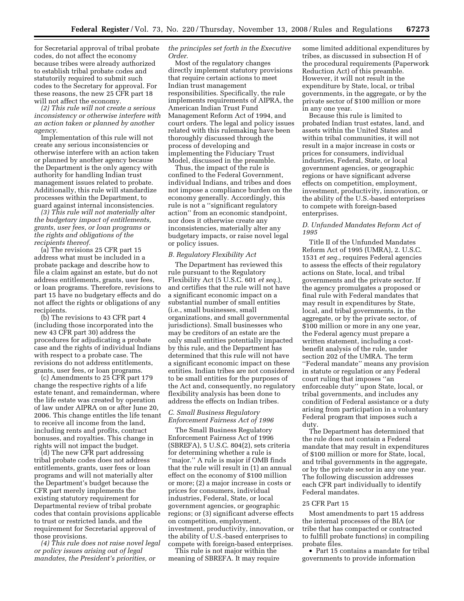for Secretarial approval of tribal probate codes, do not affect the economy because tribes were already authorized to establish tribal probate codes and statutorily required to submit such codes to the Secretary for approval. For these reasons, the new 25 CFR part 18 will not affect the economy.

*(2) This rule will not create a serious inconsistency or otherwise interfere with an action taken or planned by another agency.* 

Implementation of this rule will not create any serious inconsistencies or otherwise interfere with an action taken or planned by another agency because the Department is the only agency with authority for handling Indian trust management issues related to probate. Additionally, this rule will standardize processes within the Department, to guard against internal inconsistencies.

*(3) This rule will not materially alter the budgetary impact of entitlements, grants, user fees, or loan programs or the rights and obligations of the recipients thereof.* 

(a) The revisions 25 CFR part 15 address what must be included in a probate package and describe how to file a claim against an estate, but do not address entitlements, grants, user fees, or loan programs. Therefore, revisions to part 15 have no budgetary effects and do not affect the rights or obligations of any recipients.

(b) The revisions to 43 CFR part 4 (including those incorporated into the new 43 CFR part 30) address the procedures for adjudicating a probate case and the rights of individual Indians with respect to a probate case. The revisions do not address entitlements, grants, user fees, or loan programs.

(c) Amendments to 25 CFR part 179 change the respective rights of a life estate tenant, and remainderman, where the life estate was created by operation of law under AIPRA on or after June 20, 2006. This change entitles the life tenant to receive all income from the land, including rents and profits, contract bonuses, and royalties. This change in rights will not impact the budget.

(d) The new CFR part addressing tribal probate codes does not address entitlements, grants, user fees or loan programs and will not materially alter the Department's budget because the CFR part merely implements the existing statutory requirement for Departmental review of tribal probate codes that contain provisions applicable to trust or restricted lands, and the requirement for Secretarial approval of those provisions.

*(4) This rule does not raise novel legal or policy issues arising out of legal mandates, the President's priorities, or* 

## *the principles set forth in the Executive Order.*

Most of the regulatory changes directly implement statutory provisions that require certain actions to meet Indian trust management responsibilities. Specifically, the rule implements requirements of AIPRA, the American Indian Trust Fund Management Reform Act of 1994, and court orders. The legal and policy issues related with this rulemaking have been thoroughly discussed through the process of developing and implementing the Fiduciary Trust Model, discussed in the preamble.

Thus, the impact of the rule is confined to the Federal Government, individual Indians, and tribes and does not impose a compliance burden on the economy generally. Accordingly, this rule is not a ''significant regulatory action'' from an economic standpoint, nor does it otherwise create any inconsistencies, materially alter any budgetary impacts, or raise novel legal or policy issues.

## *B. Regulatory Flexibility Act*

The Department has reviewed this rule pursuant to the Regulatory Flexibility Act (5 U.S.C. 601 *et seq.*), and certifies that the rule will not have a significant economic impact on a substantial number of small entities (i.e., small businesses, small organizations, and small governmental jurisdictions). Small businesses who may be creditors of an estate are the only small entities potentially impacted by this rule, and the Department has determined that this rule will not have a significant economic impact on these entities. Indian tribes are not considered to be small entities for the purposes of the Act and, consequently, no regulatory flexibility analysis has been done to address the effects on Indian tribes.

# *C. Small Business Regulatory Enforcement Fairness Act of 1996*

The Small Business Regulatory Enforcement Fairness Act of 1996 (SBREFA), 5 U.S.C. 804(2), sets criteria for determining whether a rule is ''major.'' A rule is major if OMB finds that the rule will result in (1) an annual effect on the economy of \$100 million or more; (2) a major increase in costs or prices for consumers, individual industries, Federal, State, or local government agencies, or geographic regions; or (3) significant adverse effects on competition, employment, investment, productivity, innovation, or the ability of U.S.-based enterprises to compete with foreign-based enterprises.

This rule is not major within the meaning of SBREFA. It may require some limited additional expenditures by tribes, as discussed in subsection H of the procedural requirements (Paperwork Reduction Act) of this preamble. However, it will not result in the expenditure by State, local, or tribal governments, in the aggregate, or by the private sector of \$100 million or more in any one year.

Because this rule is limited to probated Indian trust estates, land, and assets within the United States and within tribal communities, it will not result in a major increase in costs or prices for consumers, individual industries, Federal, State, or local government agencies, or geographic regions or have significant adverse effects on competition, employment, investment, productivity, innovation, or the ability of the U.S.-based enterprises to compete with foreign-based enterprises.

## *D. Unfunded Mandates Reform Act of 1995*

Title II of the Unfunded Mandates Reform Act of 1995 (UMRA), 2. U.S.C. 1531 *et seq.*, requires Federal agencies to assess the effects of their regulatory actions on State, local, and tribal governments and the private sector. If the agency promulgates a proposed or final rule with Federal mandates that may result in expenditures by State, local, and tribal governments, in the aggregate, or by the private sector, of \$100 million or more in any one year, the Federal agency must prepare a written statement, including a costbenefit analysis of the rule, under section 202 of the UMRA. The term ''Federal mandate'' means any provision in statute or regulation or any Federal court ruling that imposes ''an enforceable duty'' upon State, local, or tribal governments, and includes any condition of Federal assistance or a duty arising from participation in a voluntary Federal program that imposes such a duty.

The Department has determined that the rule does not contain a Federal mandate that may result in expenditures of \$100 million or more for State, local, and tribal governments in the aggregate, or by the private sector in any one year. The following discussion addresses each CFR part individually to identify Federal mandates.

## 25 CFR Part 15

Most amendments to part 15 address the internal processes of the BIA (or tribe that has compacted or contracted to fulfill probate functions) in compiling probate files.

• Part 15 contains a mandate for tribal governments to provide information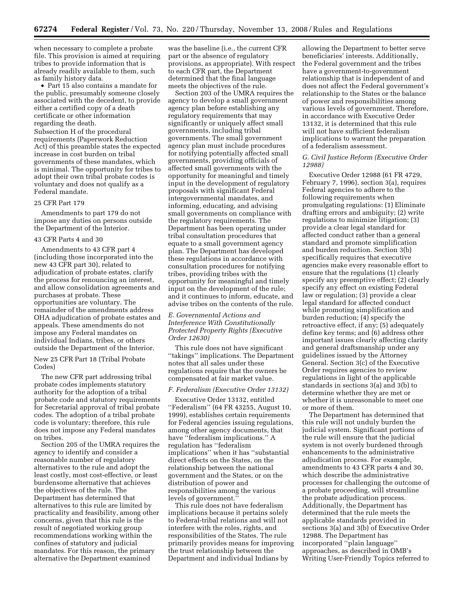when necessary to complete a probate file. This provision is aimed at requiring tribes to provide information that is already readily available to them, such as family history data.

• Part 15 also contains a mandate for the public, presumably someone closely associated with the decedent, to provide either a certified copy of a death certificate or other information regarding the death.

Subsection H of the procedural requirements (Paperwork Reduction Act) of this preamble states the expected increase in cost burden on tribal governments of these mandates, which is minimal. The opportunity for tribes to adopt their own tribal probate codes is voluntary and does not qualify as a Federal mandate.

#### 25 CFR Part 179

Amendments to part 179 do not impose any duties on persons outside the Department of the Interior.

#### 43 CFR Parts 4 and 30

Amendments to 43 CFR part 4 (including those incorporated into the new 43 CFR part 30), related to adjudication of probate estates, clarify the process for renouncing an interest, and allow consolidation agreements and purchases at probate. These opportunities are voluntary. The remainder of the amendments address OHA adjudication of probate estates and appeals. These amendments do not impose any Federal mandates on individual Indians, tribes, or others outside the Department of the Interior.

New 25 CFR Part 18 (Tribal Probate Codes)

The new CFR part addressing tribal probate codes implements statutory authority for the adoption of a tribal probate code and statutory requirements for Secretarial approval of tribal probate codes. The adoption of a tribal probate code is voluntary; therefore, this rule does not impose any Federal mandates on tribes.

Section 205 of the UMRA requires the agency to identify and consider a reasonable number of regulatory alternatives to the rule and adopt the least costly, most cost-effective, or least burdensome alternative that achieves the objectives of the rule. The Department has determined that alternatives to this rule are limited by practicality and feasibility, among other concerns, given that this rule is the result of negotiated working group recommendations working within the confines of statutory and judicial mandates. For this reason, the primary alternative the Department examined

was the baseline (i.e., the current CFR part or the absence of regulatory provisions, as appropriate). With respect to each CFR part, the Department determined that the final language meets the objectives of the rule.

Section 203 of the UMRA requires the agency to develop a small government agency plan before establishing any regulatory requirements that may significantly or uniquely affect small governments, including tribal governments. The small government agency plan must include procedures for notifying potentially affected small governments, providing officials of affected small governments with the opportunity for meaningful and timely input in the development of regulatory proposals with significant Federal intergovernmental mandates, and informing, educating, and advising small governments on compliance with the regulatory requirements. The Department has been operating under tribal consultation procedures that equate to a small government agency plan. The Department has developed these regulations in accordance with consultation procedures for notifying tribes, providing tribes with the opportunity for meaningful and timely input on the development of the rule; and it continues to inform, educate, and advise tribes on the contents of the rule.

# *E. Governmental Actions and Interference With Constitutionally Protected Property Rights (Executive Order 12630)*

This rule does not have significant ''takings'' implications. The Department notes that all sales under these regulations require that the owners be compensated at fair market value.

#### *F. Federalism (Executive Order 13132)*

Executive Order 13132, entitled ''Federalism'' (64 FR 43255, August 10, 1999), establishes certain requirements for Federal agencies issuing regulations, among other agency documents, that have ''federalism implications.'' A regulation has ''federalism implications'' when it has ''substantial direct effects on the States, on the relationship between the national government and the States, or on the distribution of power and responsibilities among the various levels of government.''

This rule does not have federalism implications because it pertains solely to Federal-tribal relations and will not interfere with the roles, rights, and responsibilities of the States. The rule primarily provides means for improving the trust relationship between the Department and individual Indians by

allowing the Department to better serve beneficiaries' interests. Additionally, the Federal government and the tribes have a government-to-government relationship that is independent of and does not affect the Federal government's relationship to the States or the balance of power and responsibilities among various levels of government. Therefore, in accordance with Executive Order 13132, it is determined that this rule will not have sufficient federalism implications to warrant the preparation of a federalism assessment.

## *G. Civil Justice Reform (Executive Order 12988)*

Executive Order 12988 (61 FR 4729, February 7, 1996), section 3(a), requires Federal agencies to adhere to the following requirements when promulgating regulations: (1) Eliminate drafting errors and ambiguity; (2) write regulations to minimize litigation; (3) provide a clear legal standard for affected conduct rather than a general standard and promote simplification and burden reduction. Section 3(b) specifically requires that executive agencies make every reasonable effort to ensure that the regulations (1) clearly specify any preemptive effect; (2) clearly specify any effect on existing Federal law or regulation; (3) provide a clear legal standard for affected conduct while promoting simplification and burden reduction; (4) specify the retroactive effect, if any; (5) adequately define key terms; and (6) address other important issues clearly affecting clarity and general draftsmanship under any guidelines issued by the Attorney General. Section 3(c) of the Executive Order requires agencies to review regulations in light of the applicable standards in sections 3(a) and 3(b) to determine whether they are met or whether it is unreasonable to meet one or more of them.

The Department has determined that this rule will not unduly burden the judicial system. Significant portions of the rule will ensure that the judicial system is not overly burdened through enhancements to the administrative adjudication process. For example, amendments to 43 CFR parts 4 and 30, which describe the administrative processes for challenging the outcome of a probate proceeding, will streamline the probate adjudication process. Additionally, the Department has determined that the rule meets the applicable standards provided in sections 3(a) and 3(b) of Executive Order 12988. The Department has incorporated ''plain language'' approaches, as described in OMB's Writing User-Friendly Topics referred to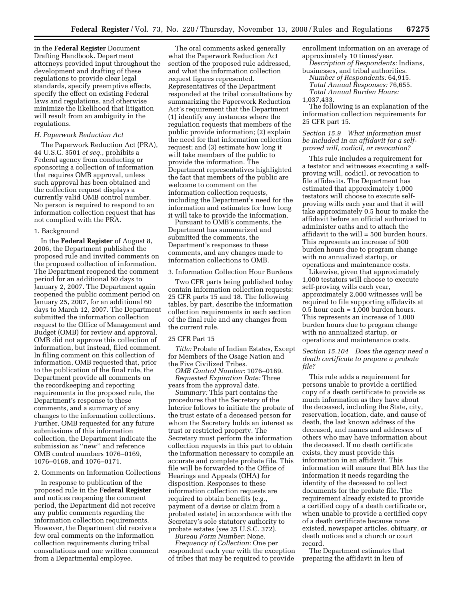in the **Federal Register** Document Drafting Handbook. Department attorneys provided input throughout the development and drafting of these regulations to provide clear legal standards, specify preemptive effects, specify the effect on existing Federal laws and regulations, and otherwise minimize the likelihood that litigation will result from an ambiguity in the regulations.

#### *H. Paperwork Reduction Act*

The Paperwork Reduction Act (PRA), 44 U.S.C. 3501 *et seq.*, prohibits a Federal agency from conducting or sponsoring a collection of information that requires OMB approval, unless such approval has been obtained and the collection request displays a currently valid OMB control number. No person is required to respond to an information collection request that has not complied with the PRA.

#### 1. Background

In the **Federal Register** of August 8, 2006, the Department published the proposed rule and invited comments on the proposed collection of information. The Department reopened the comment period for an additional 60 days to January 2, 2007. The Department again reopened the public comment period on January 25, 2007, for an additional 60 days to March 12, 2007. The Department submitted the information collection request to the Office of Management and Budget (OMB) for review and approval. OMB did not approve this collection of information, but instead, filed comment. In filing comment on this collection of information, OMB requested that, prior to the publication of the final rule, the Department provide all comments on the recordkeeping and reporting requirements in the proposed rule, the Department's response to these comments, and a summary of any changes to the information collections. Further, OMB requested for any future submissions of this information collection, the Department indicate the submission as ''new'' and reference OMB control numbers 1076–0169, 1076–0168, and 1076–0171.

### 2. Comments on Information Collections

In response to publication of the proposed rule in the **Federal Register**  and notices reopening the comment period, the Department did not receive any public comments regarding the information collection requirements. However, the Department did receive a few oral comments on the information collection requirements during tribal consultations and one written comment from a Departmental employee.

The oral comments asked generally what the Paperwork Reduction Act section of the proposed rule addressed, and what the information collection request figures represented. Representatives of the Department responded at the tribal consultations by summarizing the Paperwork Reduction Act's requirement that the Department (1) identify any instances where the regulation requests that members of the public provide information; (2) explain the need for that information collection request; and (3) estimate how long it will take members of the public to provide the information. The Department representatives highlighted the fact that members of the public are welcome to comment on the information collection requests, including the Department's need for the information and estimates for how long it will take to provide the information.

Pursuant to OMB's comments, the Department has summarized and submitted the comments, the Department's responses to these comments, and any changes made to information collections to OMB.

## 3. Information Collection Hour Burdens

Two CFR parts being published today contain information collection requests: 25 CFR parts 15 and 18. The following tables, by part, describe the information collection requirements in each section of the final rule and any changes from the current rule.

#### 25 CFR Part 15

*Title:* Probate of Indian Estates, Except for Members of the Osage Nation and the Five Civilized Tribes.

*OMB Control Number:* 1076–0169. *Requested Expiration Date:* Three years from the approval date.

*Summary:* This part contains the procedures that the Secretary of the Interior follows to initiate the probate of the trust estate of a deceased person for whom the Secretary holds an interest as trust or restricted property. The Secretary must perform the information collection requests in this part to obtain the information necessary to compile an accurate and complete probate file. This file will be forwarded to the Office of Hearings and Appeals (OHA) for disposition. Responses to these information collection requests are required to obtain benefits (e.g., payment of a devise or claim from a probated estate) in accordance with the Secretary's sole statutory authority to probate estates (*see* 25 U.S.C. 372). *Bureau Form Number:* None.

*Frequency of Collection:* One per respondent each year with the exception of tribes that may be required to provide

enrollment information on an average of approximately 10 times/year.

*Description of Respondents:* Indians, businesses, and tribal authorities.

*Number of Respondents:* 64,915. *Total Annual Responses:* 76,655. *Total Annual Burden Hours:*  1,037,433.

The following is an explanation of the information collection requirements for 25 CFR part 15.

# *Section 15.9 What information must be included in an affidavit for a selfproved will, codicil, or revocation?*

This rule includes a requirement for a testator and witnesses executing a selfproving will, codicil, or revocation to file affidavits. The Department has estimated that approximately 1,000 testators will choose to execute selfproving wills each year and that it will take approximately 0.5 hour to make the affidavit before an official authorized to administer oaths and to attach the affidavit to the will = 500 burden hours. This represents an increase of 500 burden hours due to program change with no annualized startup, or operations and maintenance costs.

Likewise, given that approximately 1,000 testators will choose to execute self-proving wills each year, approximately 2,000 witnesses will be required to file supporting affidavits at 0.5 hour each = 1,000 burden hours. This represents an increase of 1,000 burden hours due to program change with no annualized startup, or operations and maintenance costs.

# *Section 15.104 Does the agency need a death certificate to prepare a probate file?*

This rule adds a requirement for persons unable to provide a certified copy of a death certificate to provide as much information as they have about the deceased, including the State, city, reservation, location, date, and cause of death, the last known address of the deceased, and names and addresses of others who may have information about the deceased. If no death certificate exists, they must provide this information in an affidavit. This information will ensure that BIA has the information it needs regarding the identity of the deceased to collect documents for the probate file. The requirement already existed to provide a certified copy of a death certificate or, when unable to provide a certified copy of a death certificate because none existed, newspaper articles, obituary, or death notices and a church or court record.

The Department estimates that preparing the affidavit in lieu of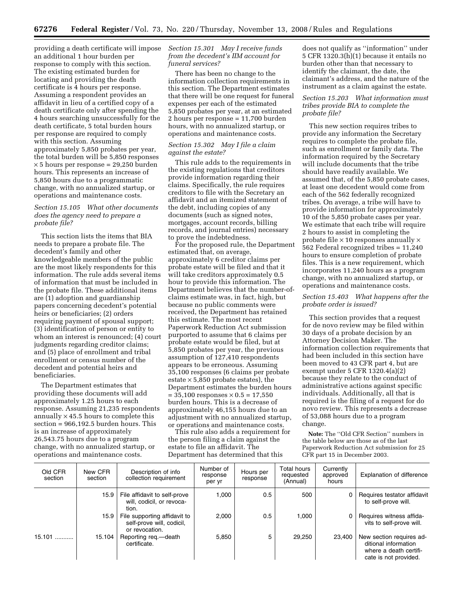providing a death certificate will impose an additional 1 hour burden per response to comply with this section. The existing estimated burden for locating and providing the death certificate is 4 hours per response. Assuming a respondent provides an affidavit in lieu of a certified copy of a death certificate only after spending the 4 hours searching unsuccessfully for the death certificate, 5 total burden hours per response are required to comply with this section. Assuming approximately 5,850 probates per year, the total burden will be 5,850 responses  $\times$  5 hours per response = 29,250 burden hours. This represents an increase of 5,850 hours due to a programmatic change, with no annualized startup, or operations and maintenance costs.

# *Section 15.105 What other documents does the agency need to prepare a probate file?*

This section lists the items that BIA needs to prepare a probate file. The decedent's family and other knowledgeable members of the public are the most likely respondents for this information. The rule adds several items of information that must be included in the probate file. These additional items are (1) adoption and guardianship papers concerning decedent's potential heirs or beneficiaries; (2) orders requiring payment of spousal support; (3) identification of person or entity to whom an interest is renounced; (4) court judgments regarding creditor claims; and (5) place of enrollment and tribal enrollment or census number of the decedent and potential heirs and beneficiaries.

The Department estimates that providing these documents will add approximately 1.25 hours to each response. Assuming 21,235 respondents annually  $\times$  45.5 hours to complete this section = 966,192.5 burden hours. This is an increase of approximately 26,543.75 hours due to a program change, with no annualized startup, or operations and maintenance costs.

## *Section 15.301 May I receive funds from the decedent's IIM account for funeral services?*

There has been no change to the information collection requirements in this section. The Department estimates that there will be one request for funeral expenses per each of the estimated 5,850 probates per year, at an estimated 2 hours per response = 11,700 burden hours, with no annualized startup, or operations and maintenance costs.

# *Section 15.302 May I file a claim against the estate?*

This rule adds to the requirements in the existing regulations that creditors provide information regarding their claims. Specifically, the rule requires creditors to file with the Secretary an affidavit and an itemized statement of the debt, including copies of any documents (such as signed notes, mortgages, account records, billing records, and journal entries) necessary to prove the indebtedness.

For the proposed rule, the Department estimated that, on average, approximately 6 creditor claims per probate estate will be filed and that it will take creditors approximately 0.5 hour to provide this information. The Department believes that the number-ofclaims estimate was, in fact, high, but because no public comments were received, the Department has retained this estimate. The most recent Paperwork Reduction Act submission purported to assume that 6 claims per probate estate would be filed, but at 5,850 probates per year, the previous assumption of 127,410 respondents appears to be erroneous. Assuming 35,100 responses (6 claims per probate estate  $\times$  5,850 probate estates), the Department estimates the burden hours  $= 35,100$  responses  $\times 0.5 = 17,550$ burden hours. This is a decrease of approximately 46,155 hours due to an adjustment with no annualized startup, or operations and maintenance costs.

This rule also adds a requirement for the person filing a claim against the estate to file an affidavit. The Department has determined that this

does not qualify as ''information'' under 5 CFR 1320.3(h)(1) because it entails no burden other than that necessary to identify the claimant, the date, the claimant's address, and the nature of the instrument as a claim against the estate.

# *Section 15.203 What information must tribes provide BIA to complete the probate file?*

This new section requires tribes to provide any information the Secretary requires to complete the probate file, such as enrollment or family data. The information required by the Secretary will include documents that the tribe should have readily available. We assumed that, of the 5,850 probate cases, at least one decedent would come from each of the 562 federally recognized tribes. On average, a tribe will have to provide information for approximately 10 of the 5,850 probate cases per year. We estimate that each tribe will require 2 hours to assist in completing the probate file  $\times$  10 responses annually  $\times$ 562 Federal recognized tribes = 11,240 hours to ensure completion of probate files. This is a new requirement, which incorporates 11,240 hours as a program change, with no annualized startup, or operations and maintenance costs.

# *Section 15.403 What happens after the probate order is issued?*

This section provides that a request for de novo review may be filed within 30 days of a probate decision by an Attorney Decision Maker. The information collection requirements that had been included in this section have been moved to 43 CFR part 4, but are exempt under 5 CFR 1320.4(a)(2) because they relate to the conduct of administrative actions against specific individuals. Additionally, all that is required is the filing of a request for do novo review. This represents a decrease of 53,088 hours due to a program change.

**Note:** The ''Old CFR Section'' numbers in the table below are those as of the last Paperwork Reduction Act submission for 25 CFR part 15 in December 2003.

| Old CFR<br>section | New CFR<br>section | Description of info<br>collection requirement                               | Number of<br>response<br>per yr | Hours per<br>response | Total hours<br>requested<br>(Annual) | Currently<br>approved<br>hours | Explanation of difference                                                                           |
|--------------------|--------------------|-----------------------------------------------------------------------------|---------------------------------|-----------------------|--------------------------------------|--------------------------------|-----------------------------------------------------------------------------------------------------|
|                    | 15.9               | File affidavit to self-prove<br>will, codicil, or revoca-<br>tion.          | 1.000                           | 0.5                   | 500                                  |                                | Requires testator affidavit<br>to self-prove will.                                                  |
|                    | 15.9               | File supporting affidavit to<br>self-prove will, codicil,<br>or revocation. | 2,000                           | 0.5                   | 1,000                                |                                | Requires witness affida-<br>vits to self-prove will.                                                |
| $15.101$           | 15.104             | Reporting reg.—death<br>certificate.                                        | 5,850                           | 5                     | 29,250                               | 23,400                         | New section requires ad-<br>ditional information<br>where a death certifi-<br>cate is not provided. |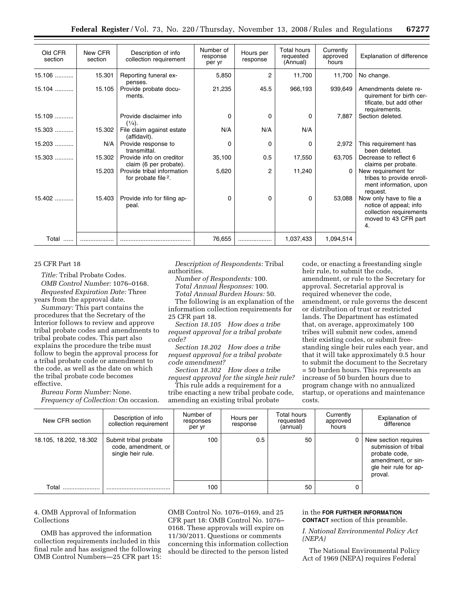| Old CFR<br>section | New CFR<br>section | Description of info<br>collection requirement                 | Number of<br>response<br>per yr | Hours per<br>response | Total hours<br>requested<br>(Annual) | Currently<br>approved<br>hours | Explanation of difference                                                                                  |
|--------------------|--------------------|---------------------------------------------------------------|---------------------------------|-----------------------|--------------------------------------|--------------------------------|------------------------------------------------------------------------------------------------------------|
| 15.106             | 15.301             | Reporting funeral ex-<br>penses.                              | 5,850                           | 2                     | 11,700                               | 11,700                         | No change.                                                                                                 |
| $15.104$           | 15.105             | Provide probate docu-<br>ments.                               | 21,235                          | 45.5                  | 966,193                              | 939,649                        | Amendments delete re-<br>quirement for birth cer-<br>tificate, but add other<br>requirements.              |
| $15.109$           |                    | Provide disclaimer info<br>$(\frac{1}{4})$ .                  | $\Omega$                        | 0                     | $\mathbf 0$                          | 7,887                          | Section deleted.                                                                                           |
| 15.303             | 15.302             | File claim against estate<br>(affidavit).                     | N/A                             | N/A                   | N/A                                  |                                |                                                                                                            |
| $15.203$           | N/A                | Provide response to<br>transmittal.                           | 0                               | 0                     | 0                                    | 2,972                          | This requirement has<br>been deleted.                                                                      |
| $15.303$           | 15.302             | Provide info on creditor<br>claim (6 per probate).            | 35,100                          | 0.5                   | 17,550                               | 63,705                         | Decrease to reflect 6<br>claims per probate.                                                               |
|                    | 15.203             | Provide tribal information<br>for probate file <sup>2</sup> . | 5,620                           | 2                     | 11,240                               |                                | New requirement for<br>tribes to provide enroll-<br>ment information, upon<br>request.                     |
| $15.402$           | 15.403             | Provide info for filing ap-<br>peal.                          | $\Omega$                        | 0                     | 0                                    | 53,088                         | Now only have to file a<br>notice of appeal; info<br>collection requirements<br>moved to 43 CFR part<br>4. |
| Total              |                    |                                                               | 76,655                          | .                     | 1,037,433                            | 1,094,514                      |                                                                                                            |

# 25 CFR Part 18

*Title:* Tribal Probate Codes. *OMB Control Number:* 1076–0168. *Requested Expiration Date:* Three years from the approval date.

*Summary:* This part contains the procedures that the Secretary of the Interior follows to review and approve tribal probate codes and amendments to tribal probate codes. This part also explains the procedure the tribe must follow to begin the approval process for a tribal probate code or amendment to the code, as well as the date on which the tribal probate code becomes effective.

*Bureau Form Number:* None. *Frequency of Collection:* On occasion.

*Description of Respondents:* Tribal authorities.

*Number of Respondents:* 100. *Total Annual Responses:* 100.

*Total Annual Burden Hours:* 50.

The following is an explanation of the information collection requirements for 25 CFR part 18.

*Section 18.105 How does a tribe request approval for a tribal probate code?* 

*Section 18.202 How does a tribe request approval for a tribal probate code amendment?* 

*Section 18.302 How does a tribe request approval for the single heir rule?* 

This rule adds a requirement for a tribe enacting a new tribal probate code, amending an existing tribal probate

code, or enacting a freestanding single heir rule, to submit the code, amendment, or rule to the Secretary for approval. Secretarial approval is required whenever the code, amendment, or rule governs the descent or distribution of trust or restricted lands. The Department has estimated that, on average, approximately 100 tribes will submit new codes, amend their existing codes, or submit freestanding single heir rules each year, and that it will take approximately 0.5 hour to submit the document to the Secretary = 50 burden hours. This represents an increase of 50 burden hours due to program change with no annualized startup, or operations and maintenance costs.

| New CFR section        | Description of info<br>collection requirement                     | Number of<br>responses<br>per yr | Hours per<br>response | Total hours<br>requested<br>(annual) | Currently<br>approved<br>hours | Explanation of<br>difference                                                                                            |
|------------------------|-------------------------------------------------------------------|----------------------------------|-----------------------|--------------------------------------|--------------------------------|-------------------------------------------------------------------------------------------------------------------------|
| 18.105, 18.202, 18.302 | Submit tribal probate<br>code, amendment, or<br>single heir rule. | 100                              | 0.5                   | 50                                   |                                | New section requires<br>submission of tribal<br>probate code,<br>amendment, or sin-<br>gle heir rule for ap-<br>proval. |
| Total                  |                                                                   | 100                              |                       | 50                                   |                                |                                                                                                                         |

# 4. OMB Approval of Information Collections

OMB has approved the information collection requirements included in this final rule and has assigned the following OMB Control Numbers—25 CFR part 15: OMB Control No. 1076–0169, and 25 CFR part 18: OMB Control No. 1076– 0168. These approvals will expire on 11/30/2011. Questions or comments concerning this information collection should be directed to the person listed

# in the **FOR FURTHER INFORMATION CONTACT** section of this preamble.

*I. National Environmental Policy Act (NEPA)* 

The National Environmental Policy Act of 1969 (NEPA) requires Federal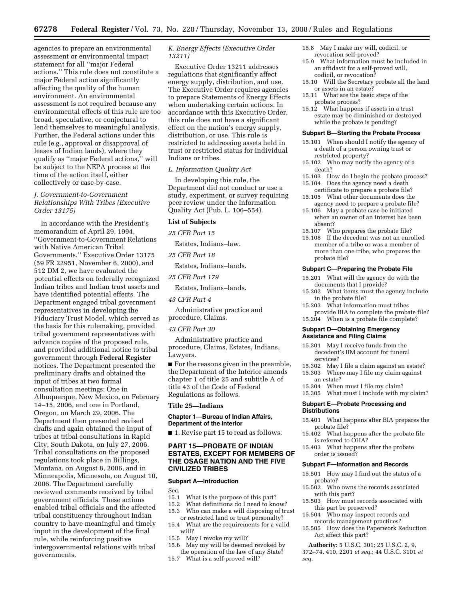agencies to prepare an environmental assessment or environmental impact statement for all ''major Federal actions.'' This rule does not constitute a major Federal action significantly affecting the quality of the human environment. An environmental assessment is not required because any environmental effects of this rule are too broad, speculative, or conjectural to lend themselves to meaningful analysis. Further, the Federal actions under this rule (e.g., approval or disapproval of leases of Indian lands), where they qualify as ''major Federal actions,'' will be subject to the NEPA process at the time of the action itself, either collectively or case-by-case.

# *J. Government-to-Government Relationships With Tribes (Executive Order 13175)*

In accordance with the President's memorandum of April 29, 1994, ''Government-to-Government Relations with Native American Tribal Governments,'' Executive Order 13175 (59 FR 22951, November 6, 2000), and 512 DM 2, we have evaluated the potential effects on federally recognized Indian tribes and Indian trust assets and have identified potential effects. The Department engaged tribal government representatives in developing the Fiduciary Trust Model, which served as the basis for this rulemaking, provided tribal government representatives with advance copies of the proposed rule, and provided additional notice to tribal government through **Federal Register**  notices. The Department presented the preliminary drafts and obtained the input of tribes at two formal consultation meetings: One in Albuquerque, New Mexico, on February 14–15, 2006, and one in Portland, Oregon, on March 29, 2006. The Department then presented revised drafts and again obtained the input of tribes at tribal consultations in Rapid City, South Dakota, on July 27, 2006. Tribal consultations on the proposed regulations took place in Billings, Montana, on August 8, 2006, and in Minneapolis, Minnesota, on August 10, 2006. The Department carefully reviewed comments received by tribal government officials. These actions enabled tribal officials and the affected tribal constituency throughout Indian country to have meaningful and timely input in the development of the final rule, while reinforcing positive intergovernmental relations with tribal governments.

# *K. Energy Effects (Executive Order 13211)*

Executive Order 13211 addresses regulations that significantly affect energy supply, distribution, and use. The Executive Order requires agencies to prepare Statements of Energy Effects when undertaking certain actions. In accordance with this Executive Order, this rule does not have a significant effect on the nation's energy supply, distribution, or use. This rule is restricted to addressing assets held in trust or restricted status for individual Indians or tribes.

## *L. Information Quality Act*

In developing this rule, the Department did not conduct or use a study, experiment, or survey requiring peer review under the Information Quality Act (Pub. L. 106–554).

#### **List of Subjects**

*25 CFR Part 15* 

Estates, Indians–law.

#### *25 CFR Part 18*

Estates, Indians–lands.

*25 CFR Part 179* 

Estates, Indians–lands.

# *43 CFR Part 4*

Administrative practice and procedure, Claims.

# *43 CFR Part 30*

Administrative practice and procedure, Claims, Estates, Indians, Lawyers.

■ For the reasons given in the preamble, the Department of the Interior amends chapter 1 of title 25 and subtitle A of title 43 of the Code of Federal Regulations as follows.

#### **Title 25—Indians**

#### **Chapter 1—Bureau of Indian Affairs, Department of the Interior**

■ 1. Revise part 15 to read as follows:

# **PART 15—PROBATE OF INDIAN ESTATES, EXCEPT FOR MEMBERS OF THE OSAGE NATION AND THE FIVE CIVILIZED TRIBES**

#### **Subpart A—Introduction**

- Sec.<br>15.1 15.1 What is the purpose of this part?<br>15.2 What definitions do I need to know
- 15.2 What definitions do I need to know?<br>15.3 Who can make a will disposing of tru
- Who can make a will disposing of trust or restricted land or trust personalty?
- 15.4 What are the requirements for a valid will?
- 15.5 May I revoke my will?<br>15.6 May my will be deeme
- May my will be deemed revoked by
- the operation of the law of any State? 15.7 What is a self-proved will?
- 15.8 May I make my will, codicil, or revocation self-proved?
- 15.9 What information must be included in an affidavit for a self-proved will, codicil, or revocation?
- 15.10 Will the Secretary probate all the land or assets in an estate?
- 15.11 What are the basic steps of the probate process?
- 15.12 What happens if assets in a trust estate may be diminished or destroyed while the probate is pending?

#### **Subpart B—Starting the Probate Process**

- 15.101 When should I notify the agency of a death of a person owning trust or restricted property?
- 15.102 Who may notify the agency of a death?
- 15.103 How do I begin the probate process?
- 15.104 Does the agency need a death
- certificate to prepare a probate file? 15.105 What other documents does the agency need to prepare a probate file?
- 15.106 May a probate case be initiated when an owner of an interest has been absent?
- 15.107 Who prepares the probate file?
- 15.108 If the decedent was not an enrolled member of a tribe or was a member of more than one tribe, who prepares the probate file?

#### **Subpart C—Preparing the Probate File**

- 15.201 What will the agency do with the documents that I provide?
- 15.202 What items must the agency include in the probate file?
- 15.203 What information must tribes provide BIA to complete the probate file?
- 15.204 When is a probate file complete?

#### **Subpart D—Obtaining Emergency Assistance and Filing Claims**

- 15.301 May I receive funds from the decedent's IIM account for funeral
- services?<br>15.302 May 15.302 May I file a claim against an estate?<br>15.303 Where may I file my claim against
- Where may I file my claim against
- an estate?<br>15.304 Wher When must I file my claim?
- 15.305 What must I include with my claim?

#### **Subpart E—Probate Processing and Distributions**

- 15.401 What happens after BIA prepares the probate file?
- 15.402 What happens after the probate file is referred to OHA?
- 15.403 What happens after the probate order is issued?

## **Subpart F—Information and Records**

- 15.501 How may I find out the status of a probate?
- 15.502 Who owns the records associated with this part?
- 15.503 How must records associated with this part be preserved?
- 15.504 Who may inspect records and records management practices?
- 15.505 How does the Paperwork Reduction Act affect this part?
- **Authority:** 5 U.S.C. 301; 25 U.S.C. 2, 9, 372–74, 410, 2201 *et seq.*; 44 U.S.C. 3101 *et*

*seq.*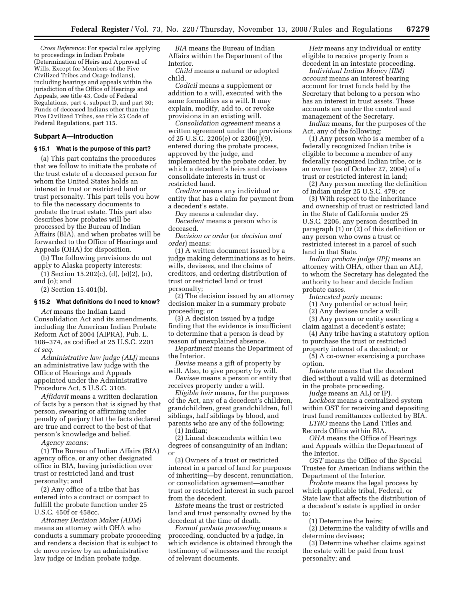*Cross Reference:* For special rules applying to proceedings in Indian Probate (Determination of Heirs and Approval of Wills, Except for Members of the Five Civilized Tribes and Osage Indians), including hearings and appeals within the jurisdiction of the Office of Hearings and Appeals, see title 43, Code of Federal Regulations, part 4, subpart D, and part 30; Funds of deceased Indians other than the Five Civilized Tribes, see title 25 Code of Federal Regulations, part 115.

# **Subpart A—Introduction**

# **§ 15.1 What is the purpose of this part?**

(a) This part contains the procedures that we follow to initiate the probate of the trust estate of a deceased person for whom the United States holds an interest in trust or restricted land or trust personalty. This part tells you how to file the necessary documents to probate the trust estate. This part also describes how probates will be processed by the Bureau of Indian Affairs (BIA), and when probates will be forwarded to the Office of Hearings and Appeals (OHA) for disposition.

(b) The following provisions do not apply to Alaska property interests:

(1) Section 15.202(c), (d), (e)(2), (n), and (o); and

(2) Section 15.401(b).

#### **§ 15.2 What definitions do I need to know?**

*Act* means the Indian Land Consolidation Act and its amendments, including the American Indian Probate Reform Act of 2004 (AIPRA), Pub. L. 108–374, as codified at 25 U.S.C. 2201 *et seq.* 

*Administrative law judge (ALJ)* means an administrative law judge with the Office of Hearings and Appeals appointed under the Administrative Procedure Act, 5 U.S.C. 3105.

*Affidavit* means a written declaration of facts by a person that is signed by that person, swearing or affirming under penalty of perjury that the facts declared are true and correct to the best of that person's knowledge and belief.

*Agency means:* 

(1) The Bureau of Indian Affairs (BIA) agency office, or any other designated office in BIA, having jurisdiction over trust or restricted land and trust personalty; and

(2) Any office of a tribe that has entered into a contract or compact to fulfill the probate function under 25 U.S.C. 450f or 458cc.

*Attorney Decision Maker (ADM)*  means an attorney with OHA who conducts a summary probate proceeding and renders a decision that is subject to de novo review by an administrative law judge or Indian probate judge.

*BIA* means the Bureau of Indian Affairs within the Department of the Interior.

*Child* means a natural or adopted child.

*Codicil* means a supplement or addition to a will, executed with the same formalities as a will. It may explain, modify, add to, or revoke provisions in an existing will.

*Consolidation agreement* means a written agreement under the provisions of 25 U.S.C. 2206(e) or 2206(j)(9), entered during the probate process, approved by the judge, and implemented by the probate order, by which a decedent's heirs and devisees consolidate interests in trust or restricted land.

*Creditor* means any individual or entity that has a claim for payment from a decedent's estate.

*Day* means a calendar day.

*Decedent* means a person who is deceased.

*Decision or order* (or *decision and order*) means:

(1) A written document issued by a judge making determinations as to heirs, wills, devisees, and the claims of creditors, and ordering distribution of trust or restricted land or trust personalty;

(2) The decision issued by an attorney decision maker in a summary probate proceeding; or

(3) A decision issued by a judge finding that the evidence is insufficient to determine that a person is dead by reason of unexplained absence.

*Department* means the Department of the Interior.

*Devise* means a gift of property by will. Also, to give property by will.

*Devisee* means a person or entity that receives property under a will.

*Eligible heir* means, for the purposes of the Act, any of a decedent's children, grandchildren, great grandchildren, full siblings, half siblings by blood, and parents who are any of the following: (1) Indian;

(2) Lineal descendents within two degrees of consanguinity of an Indian; or

(3) Owners of a trust or restricted interest in a parcel of land for purposes of inheriting—by descent, renunciation, or consolidation agreement—another trust or restricted interest in such parcel from the decedent.

*Estate* means the trust or restricted land and trust personalty owned by the decedent at the time of death.

*Formal probate proceeding* means a proceeding, conducted by a judge, in which evidence is obtained through the testimony of witnesses and the receipt of relevant documents.

*Heir* means any individual or entity eligible to receive property from a decedent in an intestate proceeding.

*Individual Indian Money (IIM) account* means an interest bearing account for trust funds held by the Secretary that belong to a person who has an interest in trust assets. These accounts are under the control and management of the Secretary.

*Indian* means, for the purposes of the Act, any of the following:

(1) Any person who is a member of a federally recognized Indian tribe is eligible to become a member of any federally recognized Indian tribe, or is an owner (as of October 27, 2004) of a trust or restricted interest in land;

(2) Any person meeting the definition of Indian under 25 U.S.C. 479; or

(3) With respect to the inheritance and ownership of trust or restricted land in the State of California under 25 U.S.C. 2206, any person described in paragraph (1) or (2) of this definition or any person who owns a trust or restricted interest in a parcel of such land in that State.

*Indian probate judge (IPJ)* means an attorney with OHA, other than an ALJ, to whom the Secretary has delegated the authority to hear and decide Indian probate cases.

*Interested party* means:

(1) Any potential or actual heir;

(2) Any devisee under a will;

(3) Any person or entity asserting a claim against a decedent's estate;

(4) Any tribe having a statutory option to purchase the trust or restricted

property interest of a decedent; or

(5) A co-owner exercising a purchase option.

*Intestate* means that the decedent died without a valid will as determined in the probate proceeding.

*Judge* means an ALJ or IPJ.

*Lockbox* means a centralized system within OST for receiving and depositing trust fund remittances collected by BIA.

*LTRO* means the Land Titles and Records Office within BIA.

*OHA* means the Office of Hearings and Appeals within the Department of the Interior.

*OST* means the Office of the Special Trustee for American Indians within the Department of the Interior.

*Probate* means the legal process by which applicable tribal, Federal, or State law that affects the distribution of a decedent's estate is applied in order to:

(1) Determine the heirs;

(2) Determine the validity of wills and determine devisees;

(3) Determine whether claims against the estate will be paid from trust personalty; and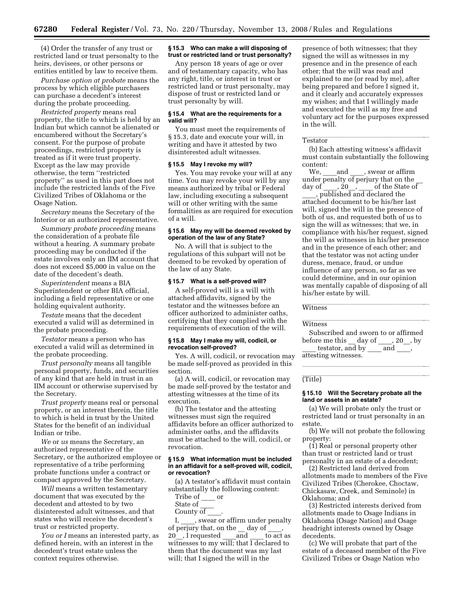(4) Order the transfer of any trust or restricted land or trust personalty to the heirs, devisees, or other persons or entities entitled by law to receive them.

*Purchase option at probate* means the process by which eligible purchasers can purchase a decedent's interest during the probate proceeding.

*Restricted property* means real property, the title to which is held by an Indian but which cannot be alienated or encumbered without the Secretary's consent. For the purpose of probate proceedings, restricted property is treated as if it were trust property. Except as the law may provide otherwise, the term ''restricted property'' as used in this part does not include the restricted lands of the Five Civilized Tribes of Oklahoma or the Osage Nation.

*Secretary* means the Secretary of the Interior or an authorized representative.

*Summary probate proceeding* means the consideration of a probate file without a hearing. A summary probate proceeding may be conducted if the estate involves only an IIM account that does not exceed \$5,000 in value on the date of the decedent's death.

*Superintendent* means a BIA Superintendent or other BIA official, including a field representative or one holding equivalent authority.

*Testate* means that the decedent executed a valid will as determined in the probate proceeding.

*Testator* means a person who has executed a valid will as determined in the probate proceeding.

*Trust personalty* means all tangible personal property, funds, and securities of any kind that are held in trust in an IIM account or otherwise supervised by the Secretary.

*Trust property* means real or personal property, or an interest therein, the title to which is held in trust by the United States for the benefit of an individual Indian or tribe.

*We* or *us* means the Secretary, an authorized representative of the Secretary, or the authorized employee or representative of a tribe performing probate functions under a contract or compact approved by the Secretary.

*Will* means a written testamentary document that was executed by the decedent and attested to by two disinterested adult witnesses, and that states who will receive the decedent's trust or restricted property.

*You or I* means an interested party, as defined herein, with an interest in the decedent's trust estate unless the context requires otherwise.

#### **§ 15.3 Who can make a will disposing of trust or restricted land or trust personalty?**

Any person 18 years of age or over and of testamentary capacity, who has any right, title, or interest in trust or restricted land or trust personalty, may dispose of trust or restricted land or trust personalty by will.

#### **§ 15.4 What are the requirements for a valid will?**

You must meet the requirements of § 15.3, date and execute your will, in writing and have it attested by two disinterested adult witnesses.

#### **§ 15.5 May I revoke my will?**

Yes. You may revoke your will at any time. You may revoke your will by any means authorized by tribal or Federal law, including executing a subsequent will or other writing with the same formalities as are required for execution of a will.

## **§ 15.6 May my will be deemed revoked by operation of the law of any State?**

No. A will that is subject to the regulations of this subpart will not be deemed to be revoked by operation of the law of any State.

#### **§ 15.7 What is a self-proved will?**

A self-proved will is a will with attached affidavits, signed by the testator and the witnesses before an officer authorized to administer oaths, certifying that they complied with the requirements of execution of the will.

#### **§ 15.8 May I make my will, codicil, or revocation self-proved?**

Yes. A will, codicil, or revocation may be made self-proved as provided in this section.

(a) A will, codicil, or revocation may be made self-proved by the testator and attesting witnesses at the time of its execution.

(b) The testator and the attesting witnesses must sign the required affidavits before an officer authorized to administer oaths, and the affidavits must be attached to the will, codicil, or revocation.

#### **§ 15.9 What information must be included in an affidavit for a self-proved will, codicil, or revocation?**

(a) A testator's affidavit must contain substantially the following content:

- Tribe of \_\_\_\_ or
- State of County of
- 

I, swear or affirm under penalty of perjury that, on the  $\begin{array}{c} \text{day of} \\ \text{20} \end{array}$  . I requested and 20<sup>.</sup>, I requested and to act as witnesses to my will; that I declared to them that the document was my last will; that I signed the will in the

presence of both witnesses; that they signed the will as witnesses in my presence and in the presence of each other; that the will was read and explained to me (or read by me), after being prepared and before I signed it, and it clearly and accurately expresses my wishes; and that I willingly made and executed the will as my free and voluntary act for the purposes expressed in the will.

# **Testator**

(b) Each attesting witness's affidavit must contain substantially the following content:

We, and , swear or affirm under penalty of perjury that on the day of  $\overline{a}$ , 20 $\overline{a}$ ,  $\overline{c}$  of the State of published and declared the attached document to be his/her last will, signed the will in the presence of both of us, and requested both of us to sign the will as witnesses; that we, in compliance with his/her request, signed the will as witnesses in his/her presence and in the presence of each other; and that the testator was not acting under duress, menace, fraud, or undue influence of any person, so far as we could determine, and in our opinion was mentally capable of disposing of all his/her estate by will.

Witness **Witness** 

Witness **Witness** 

Subscribed and sworn to or affirmed before me this \_\_ day of \_\_\_\_, 20\_\_, by testator, and by  $\_\_\_\$  and  $\_\_\$ attesting witnesses.

lla llight and the second control of the second control of the second control of the second control of the second

# (Title)

## **§ 15.10 Will the Secretary probate all the land or assets in an estate?**

(a) We will probate only the trust or restricted land or trust personalty in an estate.

(b) We will not probate the following property:

(1) Real or personal property other than trust or restricted land or trust personalty in an estate of a decedent;

(2) Restricted land derived from allotments made to members of the Five Civilized Tribes (Cherokee, Choctaw, Chickasaw, Creek, and Seminole) in Oklahoma; and

(3) Restricted interests derived from allotments made to Osage Indians in Oklahoma (Osage Nation) and Osage headright interests owned by Osage decedents.

(c) We will probate that part of the estate of a deceased member of the Five Civilized Tribes or Osage Nation who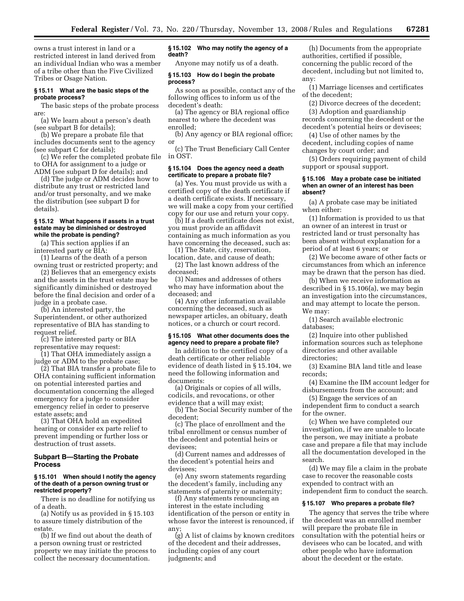owns a trust interest in land or a restricted interest in land derived from an individual Indian who was a member of a tribe other than the Five Civilized Tribes or Osage Nation.

## **§ 15.11 What are the basic steps of the probate process?**

The basic steps of the probate process are:

(a) We learn about a person's death (see subpart B for details);

(b) We prepare a probate file that includes documents sent to the agency (see subpart C for details);

(c) We refer the completed probate file to OHA for assignment to a judge or ADM (see subpart D for details); and

(d) The judge or ADM decides how to distribute any trust or restricted land and/or trust personalty, and we make the distribution (see subpart D for details).

### **§ 15.12 What happens if assets in a trust estate may be diminished or destroyed while the probate is pending?**

(a) This section applies if an interested party or BIA:

(1) Learns of the death of a person owning trust or restricted property; and

(2) Believes that an emergency exists and the assets in the trust estate may be significantly diminished or destroyed before the final decision and order of a judge in a probate case.

(b) An interested party, the Superintendent, or other authorized representative of BIA has standing to request relief.

(c) The interested party or BIA representative may request:

(1) That OHA immediately assign a judge or ADM to the probate case;

(2) That BIA transfer a probate file to OHA containing sufficient information on potential interested parties and documentation concerning the alleged emergency for a judge to consider emergency relief in order to preserve estate assets; and

(3) That OHA hold an expedited hearing or consider ex parte relief to prevent impending or further loss or destruction of trust assets.

# **Subpart B—Starting the Probate Process**

#### **§ 15.101 When should I notify the agency of the death of a person owning trust or restricted property?**

There is no deadline for notifying us of a death.

(a) Notify us as provided in § 15.103 to assure timely distribution of the estate.

(b) If we find out about the death of a person owning trust or restricted property we may initiate the process to collect the necessary documentation.

## **§ 15.102 Who may notify the agency of a death?**

Anyone may notify us of a death.

#### **§ 15.103 How do I begin the probate process?**

As soon as possible, contact any of the following offices to inform us of the decedent's death:

(a) The agency or BIA regional office nearest to where the decedent was enrolled;

(b) Any agency or BIA regional office; or

(c) The Trust Beneficiary Call Center in OST.

## **§ 15.104 Does the agency need a death certificate to prepare a probate file?**

(a) Yes. You must provide us with a certified copy of the death certificate if a death certificate exists. If necessary, we will make a copy from your certified copy for our use and return your copy.

(b) If a death certificate does not exist, you must provide an affidavit containing as much information as you have concerning the deceased, such as:

(1) The State, city, reservation, location, date, and cause of death; (2) The last known address of the

deceased;

(3) Names and addresses of others who may have information about the deceased; and

(4) Any other information available concerning the deceased, such as newspaper articles, an obituary, death notices, or a church or court record.

#### **§ 15.105 What other documents does the agency need to prepare a probate file?**

In addition to the certified copy of a death certificate or other reliable evidence of death listed in § 15.104, we need the following information and documents:

(a) Originals or copies of all wills, codicils, and revocations, or other evidence that a will may exist;

(b) The Social Security number of the decedent;

(c) The place of enrollment and the tribal enrollment or census number of the decedent and potential heirs or devisees;

(d) Current names and addresses of the decedent's potential heirs and devisees;

(e) Any sworn statements regarding the decedent's family, including any statements of paternity or maternity;

(f) Any statements renouncing an interest in the estate including identification of the person or entity in whose favor the interest is renounced, if any;

(g) A list of claims by known creditors of the decedent and their addresses, including copies of any court judgments; and

(h) Documents from the appropriate authorities, certified if possible, concerning the public record of the decedent, including but not limited to, any:

(1) Marriage licenses and certificates of the decedent;

(2) Divorce decrees of the decedent;

(3) Adoption and guardianship records concerning the decedent or the decedent's potential heirs or devisees;

(4) Use of other names by the decedent, including copies of name changes by court order; and

(5) Orders requiring payment of child support or spousal support.

#### **§ 15.106 May a probate case be initiated when an owner of an interest has been absent?**

(a) A probate case may be initiated when either:

(1) Information is provided to us that an owner of an interest in trust or restricted land or trust personalty has been absent without explanation for a period of at least 6 years; or

(2) We become aware of other facts or circumstances from which an inference may be drawn that the person has died.

(b) When we receive information as described in § 15.106(a), we may begin an investigation into the circumstances, and may attempt to locate the person. We may:

(1) Search available electronic databases;

(2) Inquire into other published information sources such as telephone directories and other available directories;

(3) Examine BIA land title and lease records;

(4) Examine the IIM account ledger for disbursements from the account; and

(5) Engage the services of an independent firm to conduct a search for the owner.

(c) When we have completed our investigation, if we are unable to locate the person, we may initiate a probate case and prepare a file that may include all the documentation developed in the search.

(d) We may file a claim in the probate case to recover the reasonable costs expended to contract with an independent firm to conduct the search.

# **§ 15.107 Who prepares a probate file?**

The agency that serves the tribe where the decedent was an enrolled member will prepare the probate file in consultation with the potential heirs or devisees who can be located, and with other people who have information about the decedent or the estate.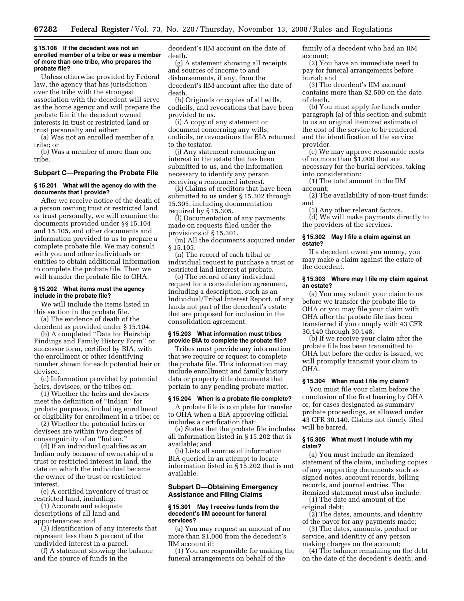#### **§ 15.108 If the decedent was not an enrolled member of a tribe or was a member of more than one tribe, who prepares the probate file?**

Unless otherwise provided by Federal law, the agency that has jurisdiction over the tribe with the strongest association with the decedent will serve as the home agency and will prepare the probate file if the decedent owned interests in trust or restricted land or trust personalty and either:

(a) Was not an enrolled member of a tribe; or

(b) Was a member of more than one tribe.

#### **Subpart C—Preparing the Probate File**

#### **§ 15.201 What will the agency do with the documents that I provide?**

After we receive notice of the death of a person owning trust or restricted land or trust personalty, we will examine the documents provided under §§ 15.104 and 15.105, and other documents and information provided to us to prepare a complete probate file. We may consult with you and other individuals or entities to obtain additional information to complete the probate file. Then we will transfer the probate file to OHA.

#### **§ 15.202 What items must the agency include in the probate file?**

We will include the items listed in this section in the probate file.

(a) The evidence of death of the decedent as provided under § 15.104.

(b) A completed ''Data for Heirship Findings and Family History Form'' or successor form, certified by BIA, with the enrollment or other identifying number shown for each potential heir or devisee.

(c) Information provided by potential heirs, devisees, or the tribes on:

(1) Whether the heirs and devisees meet the definition of ''Indian'' for probate purposes, including enrollment or eligibility for enrollment in a tribe; or

(2) Whether the potential heirs or devisees are within two degrees of consanguinity of an ''Indian.''

(d) If an individual qualifies as an Indian only because of ownership of a trust or restricted interest in land, the date on which the individual became the owner of the trust or restricted interest.

(e) A certified inventory of trust or restricted land, including:

(1) Accurate and adequate descriptions of all land and appurtenances; and

(2) Identification of any interests that represent less than 5 percent of the undivided interest in a parcel.

(f) A statement showing the balance and the source of funds in the

decedent's IIM account on the date of death.

(g) A statement showing all receipts and sources of income to and disbursements, if any, from the decedent's IIM account after the date of death.

(h) Originals or copies of all wills, codicils, and revocations that have been provided to us.

(i) A copy of any statement or document concerning any wills, codicils, or revocations the BIA returned to the testator.

(j) Any statement renouncing an interest in the estate that has been submitted to us, and the information necessary to identify any person receiving a renounced interest.

(k) Claims of creditors that have been submitted to us under § 15.302 through 15.305, including documentation required by § 15.305.

(l) Documentation of any payments made on requests filed under the provisions of § 15.301.

(m) All the documents acquired under § 15.105.

(n) The record of each tribal or individual request to purchase a trust or restricted land interest at probate.

(o) The record of any individual request for a consolidation agreement, including a description, such as an Individual/Tribal Interest Report, of any lands not part of the decedent's estate that are proposed for inclusion in the consolidation agreement.

#### **§ 15.203 What information must tribes provide BIA to complete the probate file?**

Tribes must provide any information that we require or request to complete the probate file. This information may include enrollment and family history data or property title documents that pertain to any pending probate matter.

## **§ 15.204 When is a probate file complete?**

A probate file is complete for transfer to OHA when a BIA approving official includes a certification that:

(a) States that the probate file includes all information listed in § 15.202 that is available; and

(b) Lists all sources of information BIA queried in an attempt to locate information listed in § 15.202 that is not available.

# **Subpart D—Obtaining Emergency Assistance and Filing Claims**

#### **§ 15.301 May I receive funds from the decedent's IIM account for funeral services?**

(a) You may request an amount of no more than \$1,000 from the decedent's IIM account if:

(1) You are responsible for making the funeral arrangements on behalf of the

family of a decedent who had an IIM account;

(2) You have an immediate need to pay for funeral arrangements before burial; and

(3) The decedent's IIM account contains more than \$2,500 on the date of death.

(b) You must apply for funds under paragraph (a) of this section and submit to us an original itemized estimate of the cost of the service to be rendered and the identification of the service provider.

(c) We may approve reasonable costs of no more than \$1,000 that are necessary for the burial services, taking into consideration:

(1) The total amount in the IIM account;

(2) The availability of non-trust funds; and

(3) Any other relevant factors.

(d) We will make payments directly to the providers of the services.

#### **§ 15.302 May I file a claim against an estate?**

If a decedent owed you money, you may make a claim against the estate of the decedent.

## **§ 15.303 Where may I file my claim against an estate?**

(a) You may submit your claim to us before we transfer the probate file to OHA or you may file your claim with OHA after the probate file has been transferred if you comply with 43 CFR 30.140 through 30.148.

(b) If we receive your claim after the probate file has been transmitted to OHA but before the order is issued, we will promptly transmit your claim to OHA.

## **§ 15.304 When must I file my claim?**

You must file your claim before the conclusion of the first hearing by OHA or, for cases designated as summary probate proceedings, as allowed under 43 CFR 30.140. Claims not timely filed will be barred.

#### **§ 15.305 What must I include with my claim?**

(a) You must include an itemized statement of the claim, including copies of any supporting documents such as signed notes, account records, billing records, and journal entries. The itemized statement must also include:

(1) The date and amount of the original debt;

(2) The dates, amounts, and identity of the payor for any payments made;

(3) The dates, amounts, product or service, and identity of any person making charges on the account;

(4) The balance remaining on the debt on the date of the decedent's death; and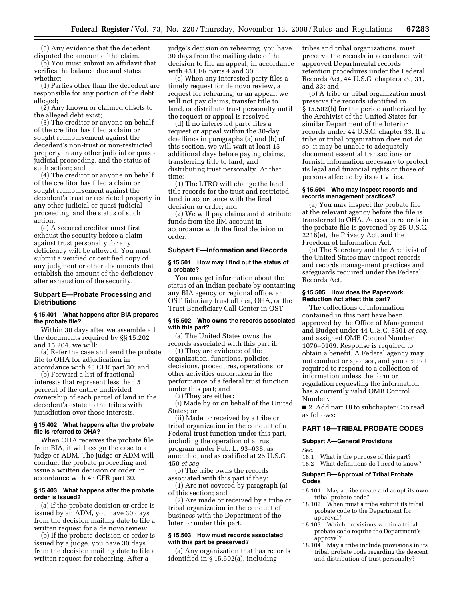(5) Any evidence that the decedent disputed the amount of the claim.

(b) You must submit an affidavit that verifies the balance due and states whether:

(1) Parties other than the decedent are responsible for any portion of the debt alleged;

(2) Any known or claimed offsets to the alleged debt exist;

(3) The creditor or anyone on behalf of the creditor has filed a claim or sought reimbursement against the decedent's non-trust or non-restricted property in any other judicial or quasijudicial proceeding, and the status of such action; and

(4) The creditor or anyone on behalf of the creditor has filed a claim or sought reimbursement against the decedent's trust or restricted property in any other judicial or quasi-judicial proceeding, and the status of such action.

(c) A secured creditor must first exhaust the security before a claim against trust personalty for any deficiency will be allowed. You must submit a verified or certified copy of any judgment or other documents that establish the amount of the deficiency after exhaustion of the security.

## **Subpart E—Probate Processing and Distributions**

## **§ 15.401 What happens after BIA prepares the probate file?**

Within 30 days after we assemble all the documents required by §§ 15.202 and 15.204, we will:

(a) Refer the case and send the probate file to OHA for adjudication in accordance with 43 CFR part 30; and

(b) Forward a list of fractional interests that represent less than 5 percent of the entire undivided ownership of each parcel of land in the decedent's estate to the tribes with jurisdiction over those interests.

#### **§ 15.402 What happens after the probate file is referred to OHA?**

When OHA receives the probate file from BIA, it will assign the case to a judge or ADM. The judge or ADM will conduct the probate proceeding and issue a written decision or order, in accordance with 43 CFR part 30.

#### **§ 15.403 What happens after the probate order is issued?**

(a) If the probate decision or order is issued by an ADM, you have 30 days from the decision mailing date to file a written request for a de novo review.

(b) If the probate decision or order is issued by a judge, you have 30 days from the decision mailing date to file a written request for rehearing. After a

judge's decision on rehearing, you have 30 days from the mailing date of the decision to file an appeal, in accordance with 43 CFR parts 4 and 30.

(c) When any interested party files a timely request for de novo review, a request for rehearing, or an appeal, we will not pay claims, transfer title to land, or distribute trust personalty until the request or appeal is resolved.

(d) If no interested party files a request or appeal within the 30-day deadlines in paragraphs (a) and (b) of this section, we will wait at least 15 additional days before paying claims, transferring title to land, and distributing trust personalty. At that time:

(1) The LTRO will change the land title records for the trust and restricted land in accordance with the final decision or order; and

(2) We will pay claims and distribute funds from the IIM account in accordance with the final decision or order.

## **Subpart F—Information and Records**

#### **§ 15.501 How may I find out the status of a probate?**

You may get information about the status of an Indian probate by contacting any BIA agency or regional office, an OST fiduciary trust officer, OHA, or the Trust Beneficiary Call Center in OST.

## **§ 15.502 Who owns the records associated with this part?**

(a) The United States owns the records associated with this part if:

(1) They are evidence of the organization, functions, policies, decisions, procedures, operations, or other activities undertaken in the performance of a federal trust function under this part; and

(2) They are either:

(i) Made by or on behalf of the United States; or

(ii) Made or received by a tribe or tribal organization in the conduct of a Federal trust function under this part, including the operation of a trust program under Pub. L. 93–638, as amended, and as codified at 25 U.S.C. 450 *et seq*.

(b) The tribe owns the records associated with this part if they:

(1) Are not covered by paragraph (a) of this section; and

(2) Are made or received by a tribe or tribal organization in the conduct of business with the Department of the Interior under this part.

#### **§ 15.503 How must records associated with this part be preserved?**

(a) Any organization that has records identified in § 15.502(a), including

tribes and tribal organizations, must preserve the records in accordance with approved Departmental records retention procedures under the Federal Records Act, 44 U.S.C. chapters 29, 31, and 33; and

(b) A tribe or tribal organization must preserve the records identified in § 15.502(b) for the period authorized by the Archivist of the United States for similar Department of the Interior records under 44 U.S.C. chapter 33. If a tribe or tribal organization does not do so, it may be unable to adequately document essential transactions or furnish information necessary to protect its legal and financial rights or those of persons affected by its activities.

#### **§ 15.504 Who may inspect records and records management practices?**

(a) You may inspect the probate file at the relevant agency before the file is transferred to OHA. Access to records in the probate file is governed by 25 U.S.C. 2216(e), the Privacy Act, and the Freedom of Information Act.

(b) The Secretary and the Archivist of the United States may inspect records and records management practices and safeguards required under the Federal Records Act.

#### **§ 15.505 How does the Paperwork Reduction Act affect this part?**

The collections of information contained in this part have been approved by the Office of Management and Budget under 44 U.S.C. 3501 *et seq*. and assigned OMB Control Number 1076–0169. Response is required to obtain a benefit. A Federal agency may not conduct or sponsor, and you are not required to respond to a collection of information unless the form or regulation requesting the information has a currently valid OMB Control Number.

■ 2. Add part 18 to subchapter C to read as follows:

## **PART 18—TRIBAL PROBATE CODES**

#### **Subpart A—General Provisions**

Sec.

18.1 What is the purpose of this part?

18.2 What definitions do I need to know?

#### **Subpart B—Approval of Tribal Probate Codes**

- 18.101 May a tribe create and adopt its own tribal probate code?
- 18.102 When must a tribe submit its tribal probate code to the Department for approval?
- $18.103$  Which provisions within a tribal probate code require the Department's approval?
- 18.104 May a tribe include provisions in its tribal probate code regarding the descent and distribution of trust personalty?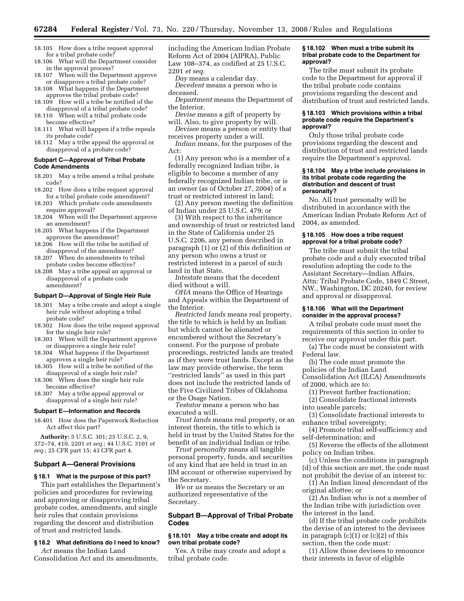- 18.105 How does a tribe request approval for a tribal probate code?
- 18.106 What will the Department consider in the approval process?
- 18.107 When will the Department approve or disapprove a tribal probate code?
- 18.108 What happens if the Department approves the tribal probate code?
- 18.109 How will a tribe be notified of the disapproval of a tribal probate code?
- 18.110 When will a tribal probate code become effective?
- 18.111 What will happen if a tribe repeals its probate code?
- 18.112 May a tribe appeal the approval or disapproval of a probate code?

#### **Subpart C—Approval of Tribal Probate Code Amendments**

- 18.201 May a tribe amend a tribal probate code?
- 18.202 How does a tribe request approval for a tribal probate code amendment?
- 18.203 Which probate code amendments require approval?
- 18.204 When will the Department approve an amendment?
- 18.205 What happens if the Department approves the amendment?
- 18.206 How will the tribe be notified of disapproval of the amendment?
- 18.207 When do amendments to tribal probate codes become effective?
- 18.208 May a tribe appeal an approval or disapproval of a probate code amendment?

#### **Subpart D—Approval of Single Heir Rule**

- 18.301 May a tribe create and adopt a single heir rule without adopting a tribal probate code?
- 18.302 How does the tribe request approval for the single heir rule?
- 18.303 When will the Department approve or disapprove a single heir rule?
- 18.304 What happens if the Department approves a single heir rule?
- 18.305 How will a tribe be notified of the disapproval of a single heir rule?
- 18.306 When does the single heir rule become effective?
- 18.307 May a tribe appeal approval or disapproval of a single heir rule?

## **Subpart E—Information and Records**

18.401 How does the Paperwork Reduction Act affect this part?

**Authority:** 5 U.S.C. 301; 25 U.S.C. 2, 9, 372–74, 410, 2201 *et seq.*; 44 U.S.C. 3101 *et seq.*; 25 CFR part 15; 43 CFR part 4.

#### **Subpart A—General Provisions**

## **§ 18.1 What is the purpose of this part?**

This part establishes the Department's policies and procedures for reviewing and approving or disapproving tribal probate codes, amendments, and single heir rules that contain provisions regarding the descent and distribution of trust and restricted lands.

#### **§ 18.2 What definitions do I need to know?**

*Act* means the Indian Land Consolidation Act and its amendments, including the American Indian Probate Reform Act of 2004 (AIPRA), Public Law 108–374, as codified at 25 U.S.C. 2201 *et seq*.

*Day* means a calendar day.

*Decedent* means a person who is deceased.

- *Department* means the Department of the Interior.
- *Devise* means a gift of property by will. Also, to give property by will.

*Devisee* means a person or entity that receives property under a will.

*Indian* means, for the purposes of the Act:

(1) Any person who is a member of a federally recognized Indian tribe, is eligible to become a member of any federally recognized Indian tribe, or is an owner (as of October 27, 2004) of a trust or restricted interest in land;

(2) Any person meeting the definition of Indian under 25 U.S.C. 479; or

(3) With respect to the inheritance and ownership of trust or restricted land in the State of California under 25 U.S.C. 2206, any person described in paragraph (1) or (2) of this definition or any person who owns a trust or restricted interest in a parcel of such land in that State.

*Intestate* means that the decedent died without a will.

*OHA* means the Office of Hearings and Appeals within the Department of the Interior.

*Restricted lands* means real property, the title to which is held by an Indian but which cannot be alienated or encumbered without the Secretary's consent. For the purpose of probate proceedings, restricted lands are treated as if they were trust lands. Except as the law may provide otherwise, the term ''restricted lands'' as used in this part does not include the restricted lands of the Five Civilized Tribes of Oklahoma or the Osage Nation.

*Testator* means a person who has executed a will.

*Trust lands* means real property, or an interest therein, the title to which is held in trust by the United States for the benefit of an individual Indian or tribe.

*Trust personalty* means all tangible personal property, funds, and securities of any kind that are held in trust in an IIM account or otherwise supervised by the Secretary.

*We* or *us* means the Secretary or an authorized representative of the Secretary.

## **Subpart B—Approval of Tribal Probate Codes**

# **§ 18.101 May a tribe create and adopt its own tribal probate code?**

Yes. A tribe may create and adopt a tribal probate code.

# **§ 18.102 When must a tribe submit its tribal probate code to the Department for approval?**

The tribe must submit its probate code to the Department for approval if the tribal probate code contains provisions regarding the descent and distribution of trust and restricted lands.

#### **§ 18.103 Which provisions within a tribal probate code require the Department's approval?**

Only those tribal probate code provisions regarding the descent and distribution of trust and restricted lands require the Department's approval.

#### **§ 18.104 May a tribe include provisions in its tribal probate code regarding the distribution and descent of trust personalty?**

No. All trust personalty will be distributed in accordance with the American Indian Probate Reform Act of 2004, as amended.

#### **§ 18.105 How does a tribe request approval for a tribal probate code?**

The tribe must submit the tribal probate code and a duly executed tribal resolution adopting the code to the Assistant Secretary—Indian Affairs, Attn: Tribal Probate Code, 1849 C Street, NW., Washington, DC 20240, for review and approval or disapproval.

#### **§ 18.106 What will the Department consider in the approval process?**

A tribal probate code must meet the requirements of this section in order to receive our approval under this part.

(a) The code must be consistent with Federal law.

(b) The code must promote the policies of the Indian Land Consolidation Act (ILCA) Amendments of 2000, which are to:

(1) Prevent further fractionation;

(2) Consolidate fractional interests into useable parcels;

(3) Consolidate fractional interests to enhance tribal sovereignty;

(4) Promote tribal self-sufficiency and self-determination; and

(5) Reverse the effects of the allotment policy on Indian tribes.

(c) Unless the conditions in paragraph (d) of this section are met, the code must

not prohibit the devise of an interest to: (1) An Indian lineal descendant of the original allottee; or

(2) An Indian who is not a member of the Indian tribe with jurisdiction over the interest in the land.

(d) If the tribal probate code prohibits the devise of an interest to the devisees in paragraph  $(c)(1)$  or  $(c)(2)$  of this section, then the code must:

(1) Allow those devisees to renounce their interests in favor of eligible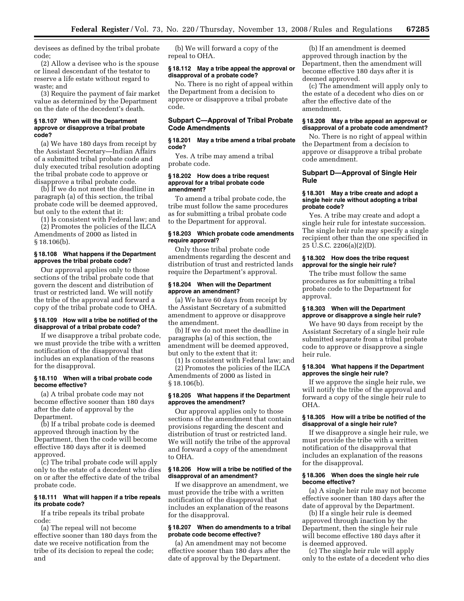devisees as defined by the tribal probate code;

(2) Allow a devisee who is the spouse or lineal descendant of the testator to reserve a life estate without regard to waste; and

(3) Require the payment of fair market value as determined by the Department on the date of the decedent's death.

## **§ 18.107 When will the Department approve or disapprove a tribal probate code?**

(a) We have 180 days from receipt by the Assistant Secretary—Indian Affairs of a submitted tribal probate code and duly executed tribal resolution adopting the tribal probate code to approve or disapprove a tribal probate code.

(b) If we do not meet the deadline in paragraph (a) of this section, the tribal probate code will be deemed approved, but only to the extent that it:

(1) Is consistent with Federal law; and

(2) Promotes the policies of the ILCA Amendments of 2000 as listed in § 18.106(b).

## **§ 18.108 What happens if the Department approves the tribal probate code?**

Our approval applies only to those sections of the tribal probate code that govern the descent and distribution of trust or restricted land. We will notify the tribe of the approval and forward a copy of the tribal probate code to OHA.

## **§ 18.109 How will a tribe be notified of the disapproval of a tribal probate code?**

If we disapprove a tribal probate code, we must provide the tribe with a written notification of the disapproval that includes an explanation of the reasons for the disapproval.

# **§ 18.110 When will a tribal probate code become effective?**

(a) A tribal probate code may not become effective sooner than 180 days after the date of approval by the Department.

(b) If a tribal probate code is deemed approved through inaction by the Department, then the code will become effective 180 days after it is deemed approved.

(c) The tribal probate code will apply only to the estate of a decedent who dies on or after the effective date of the tribal probate code.

# **§ 18.111 What will happen if a tribe repeals its probate code?**

If a tribe repeals its tribal probate code:

(a) The repeal will not become effective sooner than 180 days from the date we receive notification from the tribe of its decision to repeal the code; and

(b) We will forward a copy of the repeal to OHA.

# **§ 18.112 May a tribe appeal the approval or disapproval of a probate code?**

No. There is no right of appeal within the Department from a decision to approve or disapprove a tribal probate code.

# **Subpart C—Approval of Tribal Probate Code Amendments**

## **§ 18.201 May a tribe amend a tribal probate code?**

Yes. A tribe may amend a tribal probate code.

#### **§ 18.202 How does a tribe request approval for a tribal probate code amendment?**

To amend a tribal probate code, the tribe must follow the same procedures as for submitting a tribal probate code to the Department for approval.

## **§ 18.203 Which probate code amendments require approval?**

Only those tribal probate code amendments regarding the descent and distribution of trust and restricted lands require the Department's approval.

### **§ 18.204 When will the Department approve an amendment?**

(a) We have 60 days from receipt by the Assistant Secretary of a submitted amendment to approve or disapprove the amendment.

(b) If we do not meet the deadline in paragraphs (a) of this section, the amendment will be deemed approved, but only to the extent that it:

(1) Is consistent with Federal law; and (2) Promotes the policies of the ILCA

Amendments of 2000 as listed in  $§ 18.106(b).$ 

# **§ 18.205 What happens if the Department approves the amendment?**

Our approval applies only to those sections of the amendment that contain provisions regarding the descent and distribution of trust or restricted land. We will notify the tribe of the approval and forward a copy of the amendment to OHA.

# **§ 18.206 How will a tribe be notified of the disapproval of an amendment?**

If we disapprove an amendment, we must provide the tribe with a written notification of the disapproval that includes an explanation of the reasons for the disapproval.

# **§ 18.207 When do amendments to a tribal probate code become effective?**

(a) An amendment may not become effective sooner than 180 days after the date of approval by the Department.

(b) If an amendment is deemed approved through inaction by the Department, then the amendment will become effective 180 days after it is deemed approved.

(c) The amendment will apply only to the estate of a decedent who dies on or after the effective date of the amendment.

#### **§ 18.208 May a tribe appeal an approval or disapproval of a probate code amendment?**

No. There is no right of appeal within the Department from a decision to approve or disapprove a tribal probate code amendment.

## **Subpart D—Approval of Single Heir Rule**

#### **§ 18.301 May a tribe create and adopt a single heir rule without adopting a tribal probate code?**

Yes. A tribe may create and adopt a single heir rule for intestate succession. The single heir rule may specify a single recipient other than the one specified in 25 U.S.C. 2206(a)(2)(D).

# **§ 18.302 How does the tribe request approval for the single heir rule?**

The tribe must follow the same procedures as for submitting a tribal probate code to the Department for approval.

# **§ 18.303 When will the Department approve or disapprove a single heir rule?**

We have 90 days from receipt by the Assistant Secretary of a single heir rule submitted separate from a tribal probate code to approve or disapprove a single heir rule.

# **§ 18.304 What happens if the Department approves the single heir rule?**

If we approve the single heir rule, we will notify the tribe of the approval and forward a copy of the single heir rule to OHA.

# **§ 18.305 How will a tribe be notified of the disapproval of a single heir rule?**

If we disapprove a single heir rule, we must provide the tribe with a written notification of the disapproval that includes an explanation of the reasons for the disapproval.

## **§ 18.306 When does the single heir rule become effective?**

(a) A single heir rule may not become effective sooner than 180 days after the date of approval by the Department.

(b) If a single heir rule is deemed approved through inaction by the Department, then the single heir rule will become effective 180 days after it is deemed approved.

(c) The single heir rule will apply only to the estate of a decedent who dies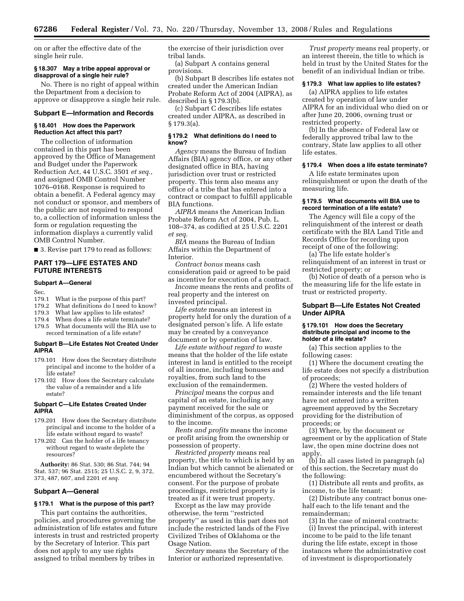on or after the effective date of the single heir rule.

#### **§ 18.307 May a tribe appeal approval or disapproval of a single heir rule?**

No. There is no right of appeal within the Department from a decision to approve or disapprove a single heir rule.

#### **Subpart E—Information and Records**

#### **§ 18.401 How does the Paperwork Reduction Act affect this part?**

The collection of information contained in this part has been approved by the Office of Management and Budget under the Paperwork Reduction Act, 44 U.S.C. 3501 *et seq.,*  and assigned OMB Control Number 1076–0168. Response is required to obtain a benefit. A Federal agency may not conduct or sponsor, and members of the public are not required to respond to, a collection of information unless the form or regulation requesting the information displays a currently valid OMB Control Number.

■ 3. Revise part 179 to read as follows:

# **PART 179—LIFE ESTATES AND FUTURE INTERESTS**

## **Subpart A—General**

Sec.<br>179.1

- What is the purpose of this part?
- 179.2 What definitions do I need to know?
- 179.3 What law applies to life estates?
- 179.4 When does a life estate terminate?
- 179.5 What documents will the BIA use to record termination of a life estate?

#### **Subpart B—Life Estates Not Created Under AIPRA**

- 179.101 How does the Secretary distribute principal and income to the holder of a life estate?
- 179.102 How does the Secretary calculate the value of a remainder and a life estate?

## **Subpart C—Life Estates Created Under AIPRA**

- 179.201 How does the Secretary distribute principal and income to the holder of a life estate without regard to waste?
- 179.202 Can the holder of a life tenancy without regard to waste deplete the resources?

**Authority:** 86 Stat. 530; 86 Stat. 744; 94 Stat. 537; 96 Stat. 2515; 25 U.S.C. 2, 9, 372, 373, 487, 607, and 2201 *et seq.* 

## **Subpart A—General**

## **§ 179.1 What is the purpose of this part?**

This part contains the authorities, policies, and procedures governing the administration of life estates and future interests in trust and restricted property by the Secretary of Interior. This part does not apply to any use rights assigned to tribal members by tribes in

the exercise of their jurisdiction over tribal lands.

(a) Subpart A contains general provisions.

(b) Subpart B describes life estates not created under the American Indian Probate Reform Act of 2004 (AIPRA), as described in § 179.3(b).

(c) Subpart C describes life estates created under AIPRA, as described in § 179.3(a).

#### **§ 179.2 What definitions do I need to know?**

*Agency* means the Bureau of Indian Affairs (BIA) agency office, or any other designated office in BIA, having jurisdiction over trust or restricted property. This term also means any office of a tribe that has entered into a contract or compact to fulfill applicable BIA functions.

*AIPRA* means the American Indian Probate Reform Act of 2004, Pub. L. 108–374, as codified at 25 U.S.C. 2201 *et seq*.

*BIA* means the Bureau of Indian Affairs within the Department of Interior.

*Contract bonus* means cash consideration paid or agreed to be paid as incentive for execution of a contract.

*Income* means the rents and profits of real property and the interest on invested principal.

*Life estate* means an interest in property held for only the duration of a designated person's life. A life estate may be created by a conveyance document or by operation of law.

*Life estate without regard to waste*  means that the holder of the life estate interest in land is entitled to the receipt of all income, including bonuses and royalties, from such land to the exclusion of the remaindermen.

*Principal* means the corpus and capital of an estate, including any payment received for the sale or diminishment of the corpus, as opposed to the income.

*Rents and profits* means the income or profit arising from the ownership or possession of property.

*Restricted property* means real property, the title to which is held by an Indian but which cannot be alienated or encumbered without the Secretary's consent. For the purpose of probate proceedings, restricted property is treated as if it were trust property.

Except as the law may provide otherwise, the term ''restricted property'' as used in this part does not include the restricted lands of the Five Civilized Tribes of Oklahoma or the Osage Nation.

*Secretary* means the Secretary of the Interior or authorized representative.

*Trust property* means real property, or an interest therein, the title to which is held in trust by the United States for the benefit of an individual Indian or tribe.

## **§ 179.3 What law applies to life estates?**

(a) AIPRA applies to life estates created by operation of law under AIPRA for an individual who died on or after June 20, 2006, owning trust or restricted property.

(b) In the absence of Federal law or federally approved tribal law to the contrary, State law applies to all other life estates.

#### **§ 179.4 When does a life estate terminate?**

A life estate terminates upon relinquishment or upon the death of the measuring life.

# **§ 179.5 What documents will BIA use to record termination of a life estate?**

The Agency will file a copy of the relinquishment of the interest or death certificate with the BIA Land Title and Records Office for recording upon receipt of one of the following:

(a) The life estate holder's relinquishment of an interest in trust or restricted property; or

(b) Notice of death of a person who is the measuring life for the life estate in trust or restricted property.

## **Subpart B—Life Estates Not Created Under AIPRA**

#### **§ 179.101 How does the Secretary distribute principal and income to the holder of a life estate?**

(a) This section applies to the following cases:

(1) Where the document creating the life estate does not specify a distribution of proceeds;

(2) Where the vested holders of remainder interests and the life tenant have not entered into a written agreement approved by the Secretary providing for the distribution of proceeds; or

(3) Where, by the document or agreement or by the application of State law, the open mine doctrine does not apply.

(b) In all cases listed in paragraph (a) of this section, the Secretary must do the following:

(1) Distribute all rents and profits, as income, to the life tenant;

(2) Distribute any contract bonus onehalf each to the life tenant and the remainderman;

(3) In the case of mineral contracts: (i) Invest the principal, with interest income to be paid to the life tenant during the life estate, except in those instances where the administrative cost of investment is disproportionately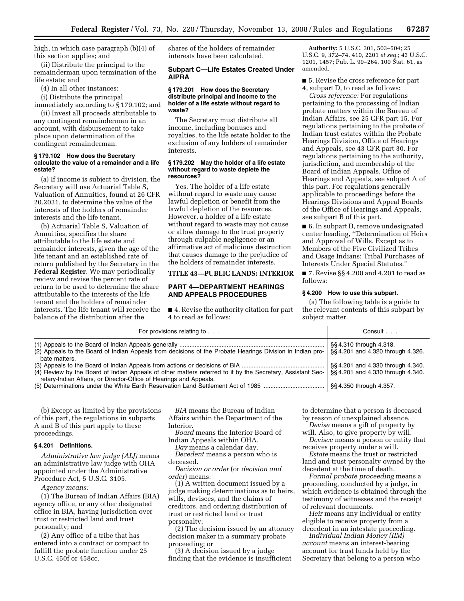high, in which case paragraph (b)(4) of this section applies; and

(ii) Distribute the principal to the remainderman upon termination of the life estate; and

(4) In all other instances:

(i) Distribute the principal immediately according to § 179.102; and

(ii) Invest all proceeds attributable to any contingent remainderman in an account, with disbursement to take place upon determination of the contingent remainderman.

#### **§ 179.102 How does the Secretary calculate the value of a remainder and a life estate?**

(a) If income is subject to division, the Secretary will use Actuarial Table S, Valuation of Annuities, found at 26 CFR 20.2031, to determine the value of the interests of the holders of remainder interests and the life tenant.

(b) Actuarial Table S, Valuation of Annuities, specifies the share attributable to the life estate and remainder interests, given the age of the life tenant and an established rate of return published by the Secretary in the **Federal Register**. We may periodically review and revise the percent rate of return to be used to determine the share attributable to the interests of the life tenant and the holders of remainder interests. The life tenant will receive the balance of the distribution after the

shares of the holders of remainder interests have been calculated.

## **Subpart C—Life Estates Created Under AIPRA**

#### **§ 179.201 How does the Secretary distribute principal and income to the holder of a life estate without regard to waste?**

The Secretary must distribute all income, including bonuses and royalties, to the life estate holder to the exclusion of any holders of remainder interests.

#### **§ 179.202 May the holder of a life estate without regard to waste deplete the resources?**

Yes. The holder of a life estate without regard to waste may cause lawful depletion or benefit from the lawful depletion of the resources. However, a holder of a life estate without regard to waste may not cause or allow damage to the trust property through culpable negligence or an affirmative act of malicious destruction that causes damage to the prejudice of the holders of remainder interests.

#### **TITLE 43—PUBLIC LANDS: INTERIOR**

# **PART 4—DEPARTMENT HEARINGS AND APPEALS PROCEDURES**

■ 4. Revise the authority citation for part 4 to read as follows:

**Authority:** 5 U.S.C. 301, 503–504; 25 U.S.C. 9, 372–74, 410, 2201 *et seq.*; 43 U.S.C. 1201, 1457; Pub. L. 99–264, 100 Stat. 61, as amended.

■ 5. Revise the cross reference for part 4, subpart D, to read as follows:

*Cross reference:* For regulations pertaining to the processing of Indian probate matters within the Bureau of Indian Affairs, see 25 CFR part 15. For regulations pertaining to the probate of Indian trust estates within the Probate Hearings Division, Office of Hearings and Appeals, see 43 CFR part 30. For regulations pertaining to the authority, jurisdiction, and membership of the Board of Indian Appeals, Office of Hearings and Appeals, see subpart A of this part. For regulations generally applicable to proceedings before the Hearings Divisions and Appeal Boards of the Office of Hearings and Appeals, see subpart B of this part.

■ 6. In subpart D, remove undesignated center heading, ''Determination of Heirs and Approval of Wills, Except as to Members of the Five Civilized Tribes and Osage Indians; Tribal Purchases of Interests Under Special Statutes.''

■ 7. Revise §§ 4.200 and 4.201 to read as follows:

#### **§ 4.200 How to use this subpart.**

(a) The following table is a guide to the relevant contents of this subpart by subject matter.

| For provisions relating to                                                                                                                                                       | Consult                                                              |
|----------------------------------------------------------------------------------------------------------------------------------------------------------------------------------|----------------------------------------------------------------------|
| (2) Appeals to the Board of Indian Appeals from decisions of the Probate Hearings Division in Indian pro-<br>bate matters.                                                       | §§4.310 through 4.318.<br>§§4.201 and 4.320 through 4.326.           |
| (4) Review by the Board of Indian Appeals of other matters referred to it by the Secretary, Assistant Sec-<br>retary-Indian Affairs, or Director-Office of Hearings and Appeals. | §§4.201 and 4.330 through 4.340.<br>§§4.201 and 4.330 through 4.340. |
|                                                                                                                                                                                  | §§4.350 through 4.357.                                               |

(b) Except as limited by the provisions of this part, the regulations in subparts A and B of this part apply to these proceedings.

# **§ 4.201 Definitions.**

*Administrative law judge (ALJ)* means an administrative law judge with OHA appointed under the Administrative Procedure Act, 5 U.S.C. 3105.

*Agency means:* 

(1) The Bureau of Indian Affairs (BIA) agency office, or any other designated office in BIA, having jurisdiction over trust or restricted land and trust personalty; and

(2) Any office of a tribe that has entered into a contract or compact to fulfill the probate function under 25 U.S.C. 450f or 458cc.

*BIA* means the Bureau of Indian Affairs within the Department of the Interior.

*Board* means the Interior Board of Indian Appeals within OHA.

*Day* means a calendar day. *Decedent* means a person who is deceased.

*Decision or order* (or *decision and order*) means:

(1) A written document issued by a judge making determinations as to heirs, wills, devisees, and the claims of creditors, and ordering distribution of trust or restricted land or trust personalty;

(2) The decision issued by an attorney decision maker in a summary probate proceeding; or

(3) A decision issued by a judge finding that the evidence is insufficient to determine that a person is deceased by reason of unexplained absence.

*Devise* means a gift of property by will. Also, to give property by will.

*Devisee* means a person or entity that receives property under a will.

*Estate* means the trust or restricted land and trust personalty owned by the decedent at the time of death.

*Formal probate proceeding* means a proceeding, conducted by a judge, in which evidence is obtained through the testimony of witnesses and the receipt of relevant documents.

*Heir* means any individual or entity eligible to receive property from a decedent in an intestate proceeding.

*Individual Indian Money (IIM) account* means an interest-bearing account for trust funds held by the Secretary that belong to a person who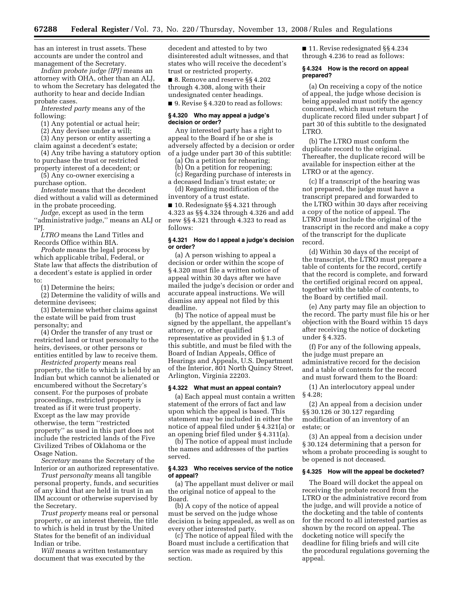has an interest in trust assets. These accounts are under the control and management of the Secretary.

*Indian probate judge (IPJ)* means an attorney with OHA, other than an ALJ, to whom the Secretary has delegated the authority to hear and decide Indian probate cases.

*Interested party* means any of the following:

(1) Any potential or actual heir;

(2) Any devisee under a will;

(3) Any person or entity asserting a claim against a decedent's estate;

(4) Any tribe having a statutory option to purchase the trust or restricted property interest of a decedent; or

(5) Any co-owner exercising a

purchase option.

*Intestate* means that the decedent died without a valid will as determined in the probate proceeding.

*Judge*, except as used in the term ''administrative judge,'' means an ALJ or IPJ.

*LTRO* means the Land Titles and Records Office within BIA.

*Probate* means the legal process by which applicable tribal, Federal, or State law that affects the distribution of a decedent's estate is applied in order to:

(1) Determine the heirs;

(2) Determine the validity of wills and determine devisees;

(3) Determine whether claims against the estate will be paid from trust personalty; and

(4) Order the transfer of any trust or restricted land or trust personalty to the heirs, devisees, or other persons or entities entitled by law to receive them.

*Restricted property* means real property, the title to which is held by an Indian but which cannot be alienated or encumbered without the Secretary's consent. For the purposes of probate proceedings, restricted property is treated as if it were trust property. Except as the law may provide otherwise, the term ''restricted property'' as used in this part does not include the restricted lands of the Five Civilized Tribes of Oklahoma or the Osage Nation.

*Secretary* means the Secretary of the Interior or an authorized representative.

*Trust personalty* means all tangible personal property, funds, and securities of any kind that are held in trust in an IIM account or otherwise supervised by the Secretary.

*Trust property* means real or personal property, or an interest therein, the title to which is held in trust by the United States for the benefit of an individual Indian or tribe.

*Will* means a written testamentary document that was executed by the

decedent and attested to by two disinterested adult witnesses, and that states who will receive the decedent's trust or restricted property.

■ 8. Remove and reserve §§ 4.202 through 4.308, along with their undesignated center headings.

■ 9. Revise § 4.320 to read as follows:

#### **§ 4.320 Who may appeal a judge's decision or order?**

Any interested party has a right to appeal to the Board if he or she is adversely affected by a decision or order of a judge under part 30 of this subtitle:

(a) On a petition for rehearing;

(b) On a petition for reopening;

(c) Regarding purchase of interests in a deceased Indian's trust estate; or

(d) Regarding modification of the inventory of a trust estate.

■ 10. Redesignate §§ 4.321 through 4.323 as §§ 4.324 through 4.326 and add new §§ 4.321 through 4.323 to read as follows:

#### **§ 4.321 How do I appeal a judge's decision or order?**

(a) A person wishing to appeal a decision or order within the scope of § 4.320 must file a written notice of appeal within 30 days after we have mailed the judge's decision or order and accurate appeal instructions. We will dismiss any appeal not filed by this deadline.

(b) The notice of appeal must be signed by the appellant, the appellant's attorney, or other qualified representative as provided in § 1.3 of this subtitle, and must be filed with the Board of Indian Appeals, Office of Hearings and Appeals, U.S. Department of the Interior, 801 North Quincy Street, Arlington, Virginia 22203.

#### **§ 4.322 What must an appeal contain?**

(a) Each appeal must contain a written statement of the errors of fact and law upon which the appeal is based. This statement may be included in either the notice of appeal filed under § 4.321(a) or an opening brief filed under § 4.311(a).

(b) The notice of appeal must include the names and addresses of the parties served.

#### **§ 4.323 Who receives service of the notice of appeal?**

(a) The appellant must deliver or mail the original notice of appeal to the Board.

(b) A copy of the notice of appeal must be served on the judge whose decision is being appealed, as well as on every other interested party.

(c) The notice of appeal filed with the Board must include a certification that service was made as required by this section.

■ 11. Revise redesignated §§ 4.234 through 4.236 to read as follows:

## **§ 4.324 How is the record on appeal prepared?**

(a) On receiving a copy of the notice of appeal, the judge whose decision is being appealed must notify the agency concerned, which must return the duplicate record filed under subpart J of part 30 of this subtitle to the designated LTRO.

(b) The LTRO must conform the duplicate record to the original. Thereafter, the duplicate record will be available for inspection either at the LTRO or at the agency.

(c) If a transcript of the hearing was not prepared, the judge must have a transcript prepared and forwarded to the LTRO within 30 days after receiving a copy of the notice of appeal. The LTRO must include the original of the transcript in the record and make a copy of the transcript for the duplicate record.

(d) Within 30 days of the receipt of the transcript, the LTRO must prepare a table of contents for the record, certify that the record is complete, and forward the certified original record on appeal, together with the table of contents, to the Board by certified mail.

(e) Any party may file an objection to the record. The party must file his or her objection with the Board within 15 days after receiving the notice of docketing under § 4.325.

(f) For any of the following appeals, the judge must prepare an administrative record for the decision and a table of contents for the record and must forward them to the Board:

(1) An interlocutory appeal under § 4.28;

(2) An appeal from a decision under §§ 30.126 or 30.127 regarding modification of an inventory of an estate; or

(3) An appeal from a decision under § 30.124 determining that a person for whom a probate proceeding is sought to be opened is not deceased.

#### **§ 4.325 How will the appeal be docketed?**

The Board will docket the appeal on receiving the probate record from the LTRO or the administrative record from the judge, and will provide a notice of the docketing and the table of contents for the record to all interested parties as shown by the record on appeal. The docketing notice will specify the deadline for filing briefs and will cite the procedural regulations governing the appeal.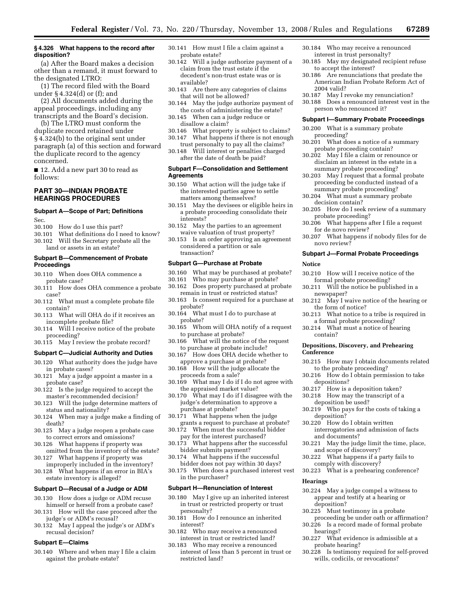#### **§ 4.326 What happens to the record after disposition?**

(a) After the Board makes a decision other than a remand, it must forward to the designated LTRO:

(1) The record filed with the Board under § 4.324(d) or (f); and

(2) All documents added during the appeal proceedings, including any transcripts and the Board's decision.

(b) The LTRO must conform the duplicate record retained under § 4.324(b) to the original sent under paragraph (a) of this section and forward the duplicate record to the agency concerned.

■ 12. Add a new part 30 to read as follows:

# **PART 30—INDIAN PROBATE HEARINGS PROCEDURES**

## **Subpart A—Scope of Part; Definitions**  Sec.

- 30.100 How do I use this part?
- 30.101 What definitions do I need to know?
- 30.102 Will the Secretary probate all the land or assets in an estate?

# **Subpart B—Commencement of Probate Proceedings**

- 30.110 When does OHA commence a probate case?
- 30.111 How does OHA commence a probate case?
- 30.112 What must a complete probate file contain?
- 30.113 What will OHA do if it receives an incomplete probate file?
- 30.114 Will I receive notice of the probate proceeding?
- 30.115 May I review the probate record?

## **Subpart C—Judicial Authority and Duties**

- 30.120 What authority does the judge have in probate cases?
- 30.121 May a judge appoint a master in a probate case?
- 30.122 Is the judge required to accept the master's recommended decision?
- 30.123 Will the judge determine matters of status and nationality?
- 30.124 When may a judge make a finding of death?
- 30.125 May a judge reopen a probate case to correct errors and omissions?
- 30.126 What happens if property was omitted from the inventory of the estate?
- 30.127 What happens if property was improperly included in the inventory?
- 30.128 What happens if an error in BIA's estate inventory is alleged?

#### **Subpart D—Recusal of a Judge or ADM**

- 30.130 How does a judge or ADM recuse himself or herself from a probate case?
- 30.131 How will the case proceed after the judge's or ADM's recusal?
- 30.132 May I appeal the judge's or ADM's recusal decision?

#### **Subpart E—Claims**

30.140 Where and when may I file a claim against the probate estate?

- 30.141 How must I file a claim against a probate estate?
- 30.142 Will a judge authorize payment of a claim from the trust estate if the decedent's non-trust estate was or is available?
- 30.143 Are there any categories of claims that will not be allowed?
- 30.144 May the judge authorize payment of the costs of administering the estate?
- 30.145 When can a judge reduce or disallow a claim?
- 30.146 What property is subject to claims? 30.147 What happens if there is not enough
- trust personalty to pay all the claims? 30.148 Will interest or penalties charged
- after the date of death be paid?

# **Subpart F—Consolidation and Settlement Agreements**

- 30.150 What action will the judge take if the interested parties agree to settle matters among themselves?
- 30.151 May the devisees or eligible heirs in a probate proceeding consolidate their interests?
- 30.152 May the parties to an agreement waive valuation of trust property?
- 30.153 Is an order approving an agreement considered a partition or sale transaction?

#### **Subpart G—Purchase at Probate**

- 30.160 What may be purchased at probate?
- 30.161 Who may purchase at probate?
- 30.162 Does property purchased at probate remain in trust or restricted status?
- 30.163 Is consent required for a purchase at probate?
- 30.164 What must I do to purchase at probate?
- 30.165 Whom will OHA notify of a request to purchase at probate?
- 30.166 What will the notice of the request to purchase at probate include?
- 30.167 How does OHA decide whether to approve a purchase at probate?
- 30.168 How will the judge allocate the proceeds from a sale?
- 30.169 What may I do if I do not agree with the appraised market value?
- 30.170 What may I do if I disagree with the judge's determination to approve a purchase at probate?
- 30.171 What happens when the judge grants a request to purchase at probate?
- 30.172 When must the successful bidder pay for the interest purchased?
- 30.173 What happens after the successful bidder submits payment?
- 30.174 What happens if the successful bidder does not pay within 30 days?
- 30.175 When does a purchased interest vest in the purchaser?

#### **Subpart H—Renunciation of Interest**

- 30.180 May I give up an inherited interest in trust or restricted property or trust personalty?
- 30.181 How do I renounce an inherited interest?
- 30.182 Who may receive a renounced interest in trust or restricted land?
- 30.183 Who may receive a renounced interest of less than 5 percent in trust or restricted land?
- 30.184 Who may receive a renounced interest in trust personalty?
- 30.185 May my designated recipient refuse to accept the interest?
- 30.186 Are renunciations that predate the American Indian Probate Reform Act of 2004 valid?
- 30.187 May I revoke my renunciation?
- 30.188 Does a renounced interest vest in the person who renounced it?

#### **Subpart I—Summary Probate Proceedings**

- 30.200 What is a summary probate proceeding?
- 30.201 What does a notice of a summary probate proceeding contain?
- 30.202 May I file a claim or renounce or disclaim an interest in the estate in a summary probate proceeding?
- 30.203 May I request that a formal probate proceeding be conducted instead of a summary probate proceeding?
- 30.204 What must a summary probate decision contain?
- 30.205 How do I seek review of a summary probate proceeding?
- 30.206 What happens after I file a request for de novo review?
- 30.207 What happens if nobody files for de novo review?

#### **Subpart J—Formal Probate Proceedings**

#### **Notice**

- 30.210 How will I receive notice of the formal probate proceeding?
- 30.211 Will the notice be published in a newspaper?
- 30.212 May I waive notice of the hearing or the form of notice?
- 30.213 What notice to a tribe is required in a formal probate proceeding?
- 30.214 What must a notice of hearing contain?

#### **Depositions, Discovery, and Prehearing Conference**

- 30.215 How may I obtain documents related to the probate proceeding?
- 30.216 How do I obtain permission to take depositions?
- 30.217 How is a deposition taken?
- 30.218 How may the transcript of a
- deposition be used?

**Hearings** 

deposition?

hearings?

probate hearing?

- 30.219 Who pays for the costs of taking a deposition?
- 30.220 How do I obtain written interrogatories and admission of facts and documents?

30.222 What happens if a party fails to comply with discovery? 30.223 What is a prehearing conference?

30.224 May a judge compel a witness to appear and testify at a hearing or

30.227 What evidence is admissible at a

30.228 Is testimony required for self-proved wills, codicils, or revocations?

proceeding be under oath or affirmation? 30.226 Is a record made of formal probate

30.225 Must testimony in a probate

30.221 May the judge limit the time, place, and scope of discovery?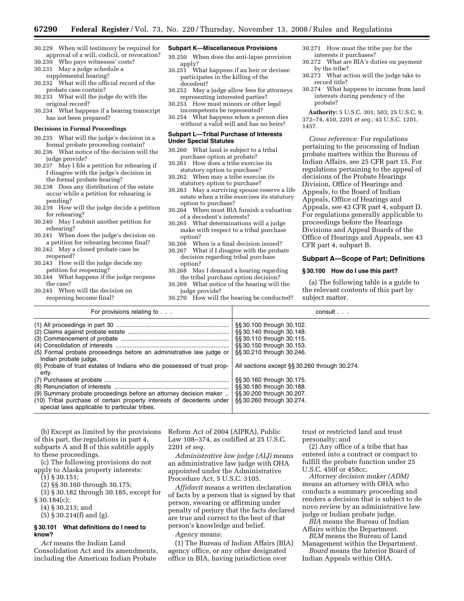- 30.229 When will testimony be required for approval of a will, codicil, or revocation?
- 30.230 Who pays witnesses' costs? 30.231 May a judge schedule a
- supplemental hearing?
- 30.232 What will the official record of the probate case contain?
- 30.233 What will the judge do with the original record?
- 30.234 What happens if a hearing transcript has not been prepared?

#### **Decisions in Formal Proceedings**

- 30.235 What will the judge's decision in a formal probate proceeding contain?
- 30.236 What notice of the decision will the judge provide?
- 30.237 May I file a petition for rehearing if I disagree with the judge's decision in the formal probate hearing?
- 30.238 Does any distribution of the estate occur while a petition for rehearing is pending?
- 30.239 How will the judge decide a petition for rehearing?
- 30.240 May I submit another petition for rehearing?
- 30.241 When does the judge's decision on a petition for rehearing become final?
- 30.242 May a closed probate case be reopened?
- 30.243 How will the judge decide my petition for reopening?
- 30.244 What happens if the judge reopens the case?
- 30.245 When will the decision on reopening become final?

# **Subpart K—Miscellaneous Provisions**

- 30.250 When does the anti-lapse provision apply?
- 30.251 What happens if an heir or devisee participates in the killing of the decedent?
- 30.252 May a judge allow fees for attorneys representing interested parties?
- 30.253 How must minors or other legal incompetents be represented?
- 30.254 What happens when a person dies without a valid will and has no heirs?

#### **Subpart L—Tribal Purchase of Interests Under Special Statutes**

- 30.260 What land is subject to a tribal purchase option at probate?
- 30.261 How does a tribe exercise its statutory option to purchase?
- 30.262 When may a tribe exercise its statutory option to purchase?
- 30.263 May a surviving spouse reserve a life estate when a tribe exercises its statutory option to purchase?
- 30.264 When must BIA furnish a valuation of a decedent's interests?
- 30.265 What determinations will a judge make with respect to a tribal purchase option?
- 30.266 When is a final decision issued?
- 30.267 What if I disagree with the probate decision regarding tribal purchase option?
- 30.268 May I demand a hearing regarding the tribal purchase option decision?
- 30.269 What notice of the hearing will the judge provide?
- 30.270 How will the hearing be conducted?
- 30.271 How must the tribe pay for the interests it purchases?
- 30.272 What are BIA's duties on payment by the tribe?
- 30.273 What action will the judge take to record title?
- 30.274 What happens to income from land interests during pendency of the probate?

**Authority:** 5 U.S.C. 301, 503; 25 U.S.C. 9, 372–74, 410, 2201 *et seq.*; 43 U.S.C. 1201, 1457.

*Cross reference:* For regulations pertaining to the processing of Indian probate matters within the Bureau of Indian Affairs, see 25 CFR part 15. For regulations pertaining to the appeal of decisions of the Probate Hearings Division, Office of Hearings and Appeals, to the Board of Indian Appeals, Office of Hearings and Appeals, see 43 CFR part 4, subpart D. For regulations generally applicable to proceedings before the Hearings Divisions and Appeal Boards of the Office of Hearings and Appeals, see 43 CFR part 4, subpart B.

## **Subpart A—Scope of Part; Definitions**

#### **§ 30.100 How do I use this part?**

(a) The following table is a guide to the relevant contents of this part by subject matter.

| For provisions relating to                                                                                                                                                                  | consult                                                |
|---------------------------------------------------------------------------------------------------------------------------------------------------------------------------------------------|--------------------------------------------------------|
|                                                                                                                                                                                             | \$\$30.100 through 30.102.                             |
|                                                                                                                                                                                             | §§ 30.140 through 30.148.<br>§§ 30.110 through 30.115. |
|                                                                                                                                                                                             | §§ 30.150 through 30.153.                              |
| (5) Formal probate proceedings before an administrative law judge or<br>Indian probate judge.                                                                                               | §§ 30.210 through 30.246.                              |
| (6) Probate of trust estates of Indians who die possessed of trust prop-<br>ertv.                                                                                                           | All sections except §§ 30.260 through 30.274.          |
|                                                                                                                                                                                             | §§30.160 through 30.175.                               |
|                                                                                                                                                                                             | §§ 30.180 through 30.188.                              |
| (9) Summary probate proceedings before an attorney decision maker<br>(10) Tribal purchase of certain property interests of decedents under<br>special laws applicable to particular tribes. | §§30.200 through 30.207.<br>§§30.260 through 30.274.   |

(b) Except as limited by the provisions of this part, the regulations in part 4, subparts A and B of this subtitle apply to these proceedings.

(c) The following provisions do not apply to Alaska property interests:

(1) § 30.151;

(2) §§ 30.160 through 30.175;

(3) § 30.182 through 30.185, except for § 30.184(c);

(4) § 30.213; and

(5) § 30.214(f) and (g).

## **§ 30.101 What definitions do I need to know?**

*Act* means the Indian Land Consolidation Act and its amendments, including the American Indian Probate

Reform Act of 2004 (AIPRA), Public Law 108–374, as codified at 25 U.S.C. 2201 *et seq.* 

*Administrative law judge (ALJ)* means an administrative law judge with OHA appointed under the Administrative Procedure Act, 5 U.S.C. 3105.

*Affidavit* means a written declaration of facts by a person that is signed by that person, swearing or affirming under penalty of perjury that the facts declared are true and correct to the best of that person's knowledge and belief.

*Agency* means:

(1) The Bureau of Indian Affairs (BIA) agency office, or any other designated office in BIA, having jurisdiction over

trust or restricted land and trust personalty; and

(2) Any office of a tribe that has entered into a contract or compact to fulfill the probate function under 25 U.S.C. 450f or 458cc.

*Attorney decision maker (ADM)*  means an attorney with OHA who conducts a summary proceeding and renders a decision that is subject to de novo review by an administrative law judge or Indian probate judge.

*BIA* means the Bureau of Indian Affairs within the Department.

*BLM* means the Bureau of Land Management within the Department.

*Board* means the Interior Board of Indian Appeals within OHA.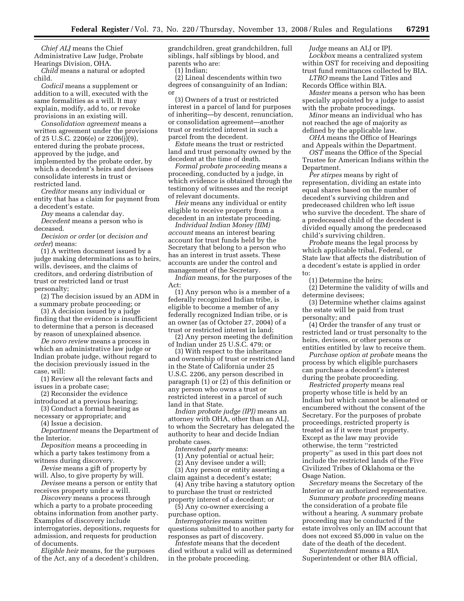*Chief ALJ* means the Chief Administrative Law Judge, Probate Hearings Division, OHA.

*Child* means a natural or adopted child.

*Codicil* means a supplement or addition to a will, executed with the same formalities as a will. It may explain, modify, add to, or revoke provisions in an existing will.

*Consolidation agreement* means a written agreement under the provisions of 25 U.S.C. 2206(e) or 2206(j)(9), entered during the probate process, approved by the judge, and implemented by the probate order, by which a decedent's heirs and devisees consolidate interests in trust or restricted land.

*Creditor* means any individual or entity that has a claim for payment from a decedent's estate.

*Day* means a calendar day.

*Decedent* means a person who is deceased.

*Decision or order* (or *decision and order*) means:

(1) A written document issued by a judge making determinations as to heirs, wills, devisees, and the claims of creditors, and ordering distribution of trust or restricted land or trust personalty;

(2) The decision issued by an ADM in a summary probate proceeding; or

(3) A decision issued by a judge finding that the evidence is insufficient to determine that a person is deceased by reason of unexplained absence.

*De novo review* means a process in which an administrative law judge or Indian probate judge, without regard to the decision previously issued in the case, will:

(1) Review all the relevant facts and issues in a probate case;

(2) Reconsider the evidence

introduced at a previous hearing; (3) Conduct a formal hearing as

necessary or appropriate; and

(4) Issue a decision. *Department* means the Department of the Interior.

*Deposition* means a proceeding in which a party takes testimony from a witness during discovery.

*Devise* means a gift of property by will. Also, to give property by will.

*Devisee* means a person or entity that receives property under a will.

*Discovery* means a process through which a party to a probate proceeding obtains information from another party. Examples of discovery include interrogatories, depositions, requests for admission, and requests for production of documents.

*Eligible heir* means, for the purposes of the Act, any of a decedent's children, grandchildren, great grandchildren, full siblings, half siblings by blood, and parents who are:

(1) Indian;

(2) Lineal descendents within two degrees of consanguinity of an Indian; or

(3) Owners of a trust or restricted interest in a parcel of land for purposes of inheriting—by descent, renunciation, or consolidation agreement—another trust or restricted interest in such a parcel from the decedent.

*Estate* means the trust or restricted land and trust personalty owned by the decedent at the time of death.

*Formal probate proceeding* means a proceeding, conducted by a judge, in which evidence is obtained through the testimony of witnesses and the receipt of relevant documents.

*Heir* means any individual or entity eligible to receive property from a decedent in an intestate proceeding.

*Individual Indian Money (IIM) account* means an interest bearing account for trust funds held by the Secretary that belong to a person who has an interest in trust assets. These accounts are under the control and management of the Secretary.

*Indian* means, for the purposes of the Act:

(1) Any person who is a member of a federally recognized Indian tribe, is eligible to become a member of any federally recognized Indian tribe, or is an owner (as of October 27, 2004) of a trust or restricted interest in land;

(2) Any person meeting the definition of Indian under 25 U.S.C. 479; or

(3) With respect to the inheritance and ownership of trust or restricted land in the State of California under 25 U.S.C. 2206, any person described in paragraph (1) or (2) of this definition or any person who owns a trust or restricted interest in a parcel of such land in that State.

*Indian probate judge (IPJ)* means an attorney with OHA, other than an ALJ, to whom the Secretary has delegated the authority to hear and decide Indian probate cases.

*Interested party* means:

(1) Any potential or actual heir;

(2) Any devisee under a will;

(3) Any person or entity asserting a claim against a decedent's estate;

(4) Any tribe having a statutory option to purchase the trust or restricted property interest of a decedent; or

(5) Any co-owner exercising a purchase option.

*Interrogatories* means written questions submitted to another party for responses as part of discovery.

*Intestate* means that the decedent died without a valid will as determined in the probate proceeding.

*Judge* means an ALJ or IPJ. *Lockbox* means a centralized system within OST for receiving and depositing trust fund remittances collected by BIA.

*LTRO* means the Land Titles and Records Office within BIA.

*Master* means a person who has been specially appointed by a judge to assist with the probate proceedings.

*Minor* means an individual who has not reached the age of majority as defined by the applicable law.

*OHA* means the Office of Hearings and Appeals within the Department.

*OST* means the Office of the Special Trustee for American Indians within the Department.

*Per stirpes* means by right of representation, dividing an estate into equal shares based on the number of decedent's surviving children and predeceased children who left issue who survive the decedent. The share of a predeceased child of the decedent is divided equally among the predeceased child's surviving children.

*Probate* means the legal process by which applicable tribal, Federal, or State law that affects the distribution of a decedent's estate is applied in order to:

(1) Determine the heirs;

(2) Determine the validity of wills and determine devisees;

(3) Determine whether claims against the estate will be paid from trust personalty; and

(4) Order the transfer of any trust or restricted land or trust personalty to the heirs, devisees, or other persons or entities entitled by law to receive them.

*Purchase option at probate* means the process by which eligible purchasers can purchase a decedent's interest during the probate proceeding.

*Restricted property* means real property whose title is held by an Indian but which cannot be alienated or encumbered without the consent of the Secretary. For the purposes of probate proceedings, restricted property is treated as if it were trust property. Except as the law may provide otherwise, the term ''restricted property'' as used in this part does not include the restricted lands of the Five Civilized Tribes of Oklahoma or the Osage Nation.

*Secretary* means the Secretary of the Interior or an authorized representative.

*Summary probate proceeding* means the consideration of a probate file without a hearing. A summary probate proceeding may be conducted if the estate involves only an IIM account that does not exceed \$5,000 in value on the date of the death of the decedent.

*Superintendent* means a BIA Superintendent or other BIA official,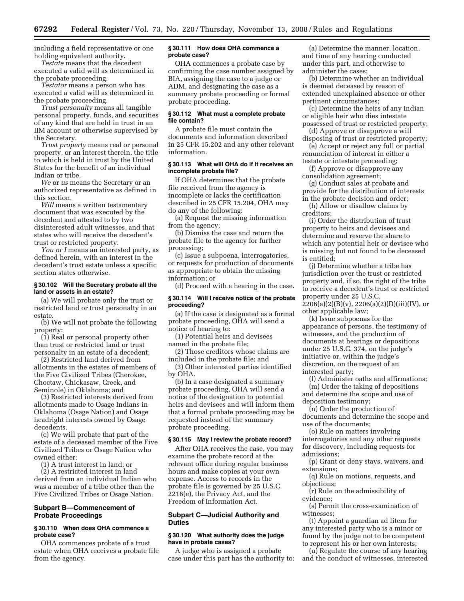including a field representative or one holding equivalent authority.

*Testate* means that the decedent executed a valid will as determined in the probate proceeding.

*Testator* means a person who has executed a valid will as determined in the probate proceeding.

*Trust personalty* means all tangible personal property, funds, and securities of any kind that are held in trust in an IIM account or otherwise supervised by the Secretary.

*Trust property* means real or personal property, or an interest therein, the title to which is held in trust by the United States for the benefit of an individual Indian or tribe.

*We* or *us* means the Secretary or an authorized representative as defined in this section.

*Will* means a written testamentary document that was executed by the decedent and attested to by two disinterested adult witnesses, and that states who will receive the decedent's trust or restricted property.

*You or I* means an interested party, as defined herein, with an interest in the decedent's trust estate unless a specific section states otherwise.

# **§ 30.102 Will the Secretary probate all the land or assets in an estate?**

(a) We will probate only the trust or restricted land or trust personalty in an estate.

(b) We will not probate the following property:

(1) Real or personal property other than trust or restricted land or trust personalty in an estate of a decedent;

(2) Restricted land derived from allotments in the estates of members of the Five Civilized Tribes (Cherokee, Choctaw, Chickasaw, Creek, and Seminole) in Oklahoma; and

(3) Restricted interests derived from allotments made to Osage Indians in Oklahoma (Osage Nation) and Osage headright interests owned by Osage decedents.

(c) We will probate that part of the estate of a deceased member of the Five Civilized Tribes or Osage Nation who owned either:

(1) A trust interest in land; or

(2) A restricted interest in land derived from an individual Indian who was a member of a tribe other than the Five Civilized Tribes or Osage Nation.

# **Subpart B—Commencement of Probate Proceedings**

# **§ 30.110 When does OHA commence a probate case?**

OHA commences probate of a trust estate when OHA receives a probate file from the agency.

#### **§ 30.111 How does OHA commence a probate case?**

OHA commences a probate case by confirming the case number assigned by BIA, assigning the case to a judge or ADM, and designating the case as a summary probate proceeding or formal probate proceeding.

## **§ 30.112 What must a complete probate file contain?**

A probate file must contain the documents and information described in 25 CFR 15.202 and any other relevant information.

## **§ 30.113 What will OHA do if it receives an incomplete probate file?**

If OHA determines that the probate file received from the agency is incomplete or lacks the certification described in 25 CFR 15.204, OHA may do any of the following:

(a) Request the missing information from the agency;

(b) Dismiss the case and return the probate file to the agency for further processing;

(c) Issue a subpoena, interrogatories, or requests for production of documents as appropriate to obtain the missing information; or

(d) Proceed with a hearing in the case.

## **§ 30.114 Will I receive notice of the probate proceeding?**

(a) If the case is designated as a formal probate proceeding, OHA will send a notice of hearing to:

(1) Potential heirs and devisees named in the probate file;

(2) Those creditors whose claims are included in the probate file; and

(3) Other interested parties identified by OHA.

(b) In a case designated a summary probate proceeding, OHA will send a notice of the designation to potential heirs and devisees and will inform them that a formal probate proceeding may be requested instead of the summary probate proceeding.

#### **§ 30.115 May I review the probate record?**

After OHA receives the case, you may examine the probate record at the relevant office during regular business hours and make copies at your own expense. Access to records in the probate file is governed by 25 U.S.C. 2216(e), the Privacy Act, and the Freedom of Information Act.

# **Subpart C—Judicial Authority and Duties**

#### **§ 30.120 What authority does the judge have in probate cases?**

A judge who is assigned a probate case under this part has the authority to:

(a) Determine the manner, location, and time of any hearing conducted under this part, and otherwise to administer the cases;

(b) Determine whether an individual is deemed deceased by reason of extended unexplained absence or other pertinent circumstances;

(c) Determine the heirs of any Indian or eligible heir who dies intestate possessed of trust or restricted property;

(d) Approve or disapprove a will disposing of trust or restricted property; (e) Accept or reject any full or partial

renunciation of interest in either a testate or intestate proceeding;

(f) Approve or disapprove any consolidation agreement;

(g) Conduct sales at probate and provide for the distribution of interests in the probate decision and order;

(h) Allow or disallow claims by creditors;

(i) Order the distribution of trust property to heirs and devisees and determine and reserve the share to which any potential heir or devisee who is missing but not found to be deceased is entitled;

(j) Determine whether a tribe has jurisdiction over the trust or restricted property and, if so, the right of the tribe to receive a decedent's trust or restricted property under 25 U.S.C.  $2206(a)(2)(B)(v)$ ,  $2206(a)(2)(D)(iii)(IV)$ , or other applicable law;

(k) Issue subpoenas for the appearance of persons, the testimony of witnesses, and the production of documents at hearings or depositions under 25 U.S.C. 374, on the judge's initiative or, within the judge's discretion, on the request of an interested party;

(l) Administer oaths and affirmations; (m) Order the taking of depositions

and determine the scope and use of deposition testimony;

(n) Order the production of documents and determine the scope and use of the documents;

(o) Rule on matters involving interrogatories and any other requests for discovery, including requests for admissions;

(p) Grant or deny stays, waivers, and extensions;

(q) Rule on motions, requests, and objections;

(r) Rule on the admissibility of evidence;

(s) Permit the cross-examination of witnesses;

(t) Appoint a guardian ad litem for any interested party who is a minor or found by the judge not to be competent to represent his or her own interests;

(u) Regulate the course of any hearing and the conduct of witnesses, interested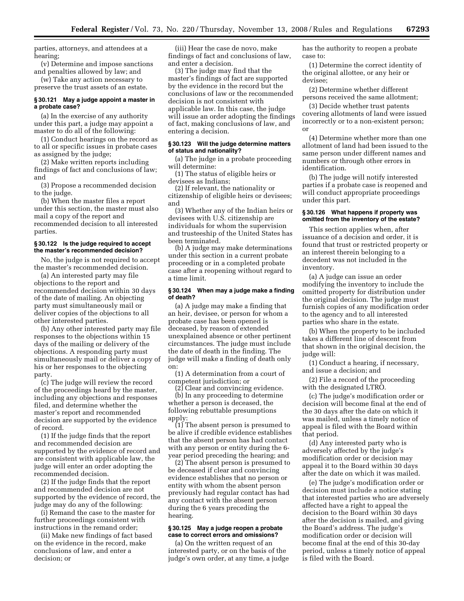parties, attorneys, and attendees at a hearing;

(v) Determine and impose sanctions and penalties allowed by law; and

(w) Take any action necessary to preserve the trust assets of an estate.

## **§ 30.121 May a judge appoint a master in a probate case?**

(a) In the exercise of any authority under this part, a judge may appoint a master to do all of the following:

(1) Conduct hearings on the record as to all or specific issues in probate cases as assigned by the judge;

(2) Make written reports including findings of fact and conclusions of law; and

(3) Propose a recommended decision to the judge.

(b) When the master files a report under this section, the master must also mail a copy of the report and recommended decision to all interested parties.

## **§ 30.122 Is the judge required to accept the master's recommended decision?**

No, the judge is not required to accept the master's recommended decision.

(a) An interested party may file objections to the report and recommended decision within 30 days of the date of mailing. An objecting party must simultaneously mail or deliver copies of the objections to all other interested parties.

(b) Any other interested party may file responses to the objections within 15 days of the mailing or delivery of the objections. A responding party must simultaneously mail or deliver a copy of his or her responses to the objecting party.

(c) The judge will review the record of the proceedings heard by the master, including any objections and responses filed, and determine whether the master's report and recommended decision are supported by the evidence of record.

(1) If the judge finds that the report and recommended decision are supported by the evidence of record and are consistent with applicable law, the judge will enter an order adopting the recommended decision.

(2) If the judge finds that the report and recommended decision are not supported by the evidence of record, the judge may do any of the following:

(i) Remand the case to the master for further proceedings consistent with instructions in the remand order;

(ii) Make new findings of fact based on the evidence in the record, make conclusions of law, and enter a decision; or

(iii) Hear the case de novo, make findings of fact and conclusions of law, and enter a decision.

(3) The judge may find that the master's findings of fact are supported by the evidence in the record but the conclusions of law or the recommended decision is not consistent with applicable law. In this case, the judge will issue an order adopting the findings of fact, making conclusions of law, and entering a decision.

## **§ 30.123 Will the judge determine matters of status and nationality?**

(a) The judge in a probate proceeding will determine:

(1) The status of eligible heirs or devisees as Indians;

(2) If relevant, the nationality or citizenship of eligible heirs or devisees; and

(3) Whether any of the Indian heirs or devisees with U.S. citizenship are individuals for whom the supervision and trusteeship of the United States has been terminated.

(b) A judge may make determinations under this section in a current probate proceeding or in a completed probate case after a reopening without regard to a time limit.

#### **§ 30.124 When may a judge make a finding of death?**

(a) A judge may make a finding that an heir, devisee, or person for whom a probate case has been opened is deceased, by reason of extended unexplained absence or other pertinent circumstances. The judge must include the date of death in the finding. The judge will make a finding of death only on:

(1) A determination from a court of competent jurisdiction; or

(2) Clear and convincing evidence. (b) In any proceeding to determine whether a person is deceased, the following rebuttable presumptions apply:

(1) The absent person is presumed to be alive if credible evidence establishes that the absent person has had contact with any person or entity during the 6 year period preceding the hearing; and

(2) The absent person is presumed to be deceased if clear and convincing evidence establishes that no person or entity with whom the absent person previously had regular contact has had any contact with the absent person during the 6 years preceding the hearing.

# **§ 30.125 May a judge reopen a probate case to correct errors and omissions?**

(a) On the written request of an interested party, or on the basis of the judge's own order, at any time, a judge has the authority to reopen a probate case to:

(1) Determine the correct identity of the original allottee, or any heir or devisee;

(2) Determine whether different persons received the same allotment;

(3) Decide whether trust patents covering allotments of land were issued incorrectly or to a non-existent person; or

(4) Determine whether more than one allotment of land had been issued to the same person under different names and numbers or through other errors in identification.

(b) The judge will notify interested parties if a probate case is reopened and will conduct appropriate proceedings under this part.

## **§ 30.126 What happens if property was omitted from the inventory of the estate?**

This section applies when, after issuance of a decision and order, it is found that trust or restricted property or an interest therein belonging to a decedent was not included in the inventory.

(a) A judge can issue an order modifying the inventory to include the omitted property for distribution under the original decision. The judge must furnish copies of any modification order to the agency and to all interested parties who share in the estate.

(b) When the property to be included takes a different line of descent from that shown in the original decision, the judge will:

(1) Conduct a hearing, if necessary, and issue a decision; and

(2) File a record of the proceeding with the designated LTRO.

(c) The judge's modification order or decision will become final at the end of the 30 days after the date on which it was mailed, unless a timely notice of appeal is filed with the Board within that period.

(d) Any interested party who is adversely affected by the judge's modification order or decision may appeal it to the Board within 30 days after the date on which it was mailed.

(e) The judge's modification order or decision must include a notice stating that interested parties who are adversely affected have a right to appeal the decision to the Board within 30 days after the decision is mailed, and giving the Board's address. The judge's modification order or decision will become final at the end of this 30-day period, unless a timely notice of appeal is filed with the Board.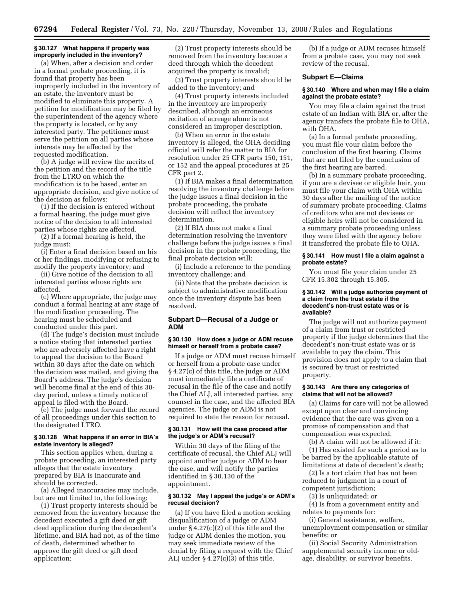## **§ 30.127 What happens if property was improperly included in the inventory?**

(a) When, after a decision and order in a formal probate proceeding, it is found that property has been improperly included in the inventory of an estate, the inventory must be modified to eliminate this property. A petition for modification may be filed by the superintendent of the agency where the property is located, or by any interested party. The petitioner must serve the petition on all parties whose interests may be affected by the requested modification.

(b) A judge will review the merits of the petition and the record of the title from the LTRO on which the modification is to be based, enter an appropriate decision, and give notice of the decision as follows:

(1) If the decision is entered without a formal hearing, the judge must give notice of the decision to all interested parties whose rights are affected.

(2) If a formal hearing is held, the judge must:

(i) Enter a final decision based on his or her findings, modifying or refusing to modify the property inventory; and

(ii) Give notice of the decision to all interested parties whose rights are affected.

(c) Where appropriate, the judge may conduct a formal hearing at any stage of the modification proceeding. The hearing must be scheduled and conducted under this part.

(d) The judge's decision must include a notice stating that interested parties who are adversely affected have a right to appeal the decision to the Board within 30 days after the date on which the decision was mailed, and giving the Board's address. The judge's decision will become final at the end of this 30 day period, unless a timely notice of appeal is filed with the Board.

(e) The judge must forward the record of all proceedings under this section to the designated LTRO.

## **§ 30.128 What happens if an error in BIA's estate inventory is alleged?**

This section applies when, during a probate proceeding, an interested party alleges that the estate inventory prepared by BIA is inaccurate and should be corrected.

(a) Alleged inaccuracies may include, but are not limited to, the following:

(1) Trust property interests should be removed from the inventory because the decedent executed a gift deed or gift deed application during the decedent's lifetime, and BIA had not, as of the time of death, determined whether to approve the gift deed or gift deed application;

(2) Trust property interests should be removed from the inventory because a deed through which the decedent acquired the property is invalid;

(3) Trust property interests should be added to the inventory; and

(4) Trust property interests included in the inventory are improperly described, although an erroneous recitation of acreage alone is not considered an improper description.

(b) When an error in the estate inventory is alleged, the OHA deciding official will refer the matter to BIA for resolution under 25 CFR parts 150, 151, or 152 and the appeal procedures at 25 CFR part 2.

(1) If BIA makes a final determination resolving the inventory challenge before the judge issues a final decision in the probate proceeding, the probate decision will reflect the inventory determination.

(2) If BIA does not make a final determination resolving the inventory challenge before the judge issues a final decision in the probate proceeding, the final probate decision will:

(i) Include a reference to the pending inventory challenge; and

(ii) Note that the probate decision is subject to administrative modification once the inventory dispute has been resolved.

## **Subpart D—Recusal of a Judge or ADM**

#### **§ 30.130 How does a judge or ADM recuse himself or herself from a probate case?**

If a judge or ADM must recuse himself or herself from a probate case under § 4.27(c) of this title, the judge or ADM must immediately file a certificate of recusal in the file of the case and notify the Chief ALJ, all interested parties, any counsel in the case, and the affected BIA agencies. The judge or ADM is not required to state the reason for recusal.

## **§ 30.131 How will the case proceed after the judge's or ADM's recusal?**

Within 30 days of the filing of the certificate of recusal, the Chief ALJ will appoint another judge or ADM to hear the case, and will notify the parties identified in § 30.130 of the appointment.

## **§ 30.132 May I appeal the judge's or ADM's recusal decision?**

(a) If you have filed a motion seeking disqualification of a judge or ADM under § 4.27(c)(2) of this title and the judge or ADM denies the motion, you may seek immediate review of the denial by filing a request with the Chief ALJ under  $\S 4.27(c)(3)$  of this title.

(b) If a judge or ADM recuses himself from a probate case, you may not seek review of the recusal.

#### **Subpart E—Claims**

#### **§ 30.140 Where and when may I file a claim against the probate estate?**

You may file a claim against the trust estate of an Indian with BIA or, after the agency transfers the probate file to OHA, with OHA.

(a) In a formal probate proceeding, you must file your claim before the conclusion of the first hearing. Claims that are not filed by the conclusion of the first hearing are barred.

(b) In a summary probate proceeding, if you are a devisee or eligible heir, you must file your claim with OHA within 30 days after the mailing of the notice of summary probate proceeding. Claims of creditors who are not devisees or eligible heirs will not be considered in a summary probate proceeding unless they were filed with the agency before it transferred the probate file to OHA.

## **§ 30.141 How must I file a claim against a probate estate?**

You must file your claim under 25 CFR 15.302 through 15.305.

## **§ 30.142 Will a judge authorize payment of a claim from the trust estate if the decedent's non-trust estate was or is available?**

The judge will not authorize payment of a claim from trust or restricted property if the judge determines that the decedent's non-trust estate was or is available to pay the claim. This provision does not apply to a claim that is secured by trust or restricted property.

## **§ 30.143 Are there any categories of claims that will not be allowed?**

(a) Claims for care will not be allowed except upon clear and convincing evidence that the care was given on a promise of compensation and that compensation was expected.

(b) A claim will not be allowed if it:

(1) Has existed for such a period as to be barred by the applicable statute of limitations at date of decedent's death;

(2) Is a tort claim that has not been reduced to judgment in a court of competent jurisdiction;

(3) Is unliquidated; or

(4) Is from a government entity and relates to payments for:

(i) General assistance, welfare, unemployment compensation or similar benefits; or

(ii) Social Security Administration supplemental security income or oldage, disability, or survivor benefits.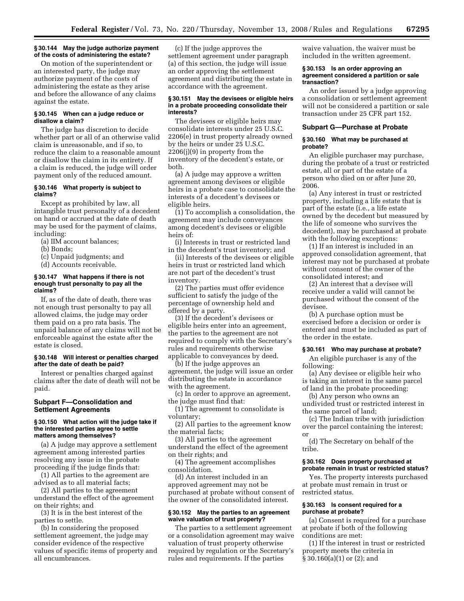#### **§ 30.144 May the judge authorize payment of the costs of administering the estate?**

On motion of the superintendent or an interested party, the judge may authorize payment of the costs of administering the estate as they arise and before the allowance of any claims against the estate.

## **§ 30.145 When can a judge reduce or disallow a claim?**

The judge has discretion to decide whether part or all of an otherwise valid claim is unreasonable, and if so, to reduce the claim to a reasonable amount or disallow the claim in its entirety. If a claim is reduced, the judge will order payment only of the reduced amount.

#### **§ 30.146 What property is subject to claims?**

Except as prohibited by law, all intangible trust personalty of a decedent on hand or accrued at the date of death may be used for the payment of claims, including:

- (a) IIM account balances;
- (b) Bonds;
- (c) Unpaid judgments; and
- (d) Accounts receivable.

#### **§ 30.147 What happens if there is not enough trust personalty to pay all the claims?**

If, as of the date of death, there was not enough trust personalty to pay all allowed claims, the judge may order them paid on a pro rata basis. The unpaid balance of any claims will not be enforceable against the estate after the estate is closed.

#### **§ 30.148 Will interest or penalties charged after the date of death be paid?**

Interest or penalties charged against claims after the date of death will not be paid.

## **Subpart F—Consolidation and Settlement Agreements**

#### **§ 30.150 What action will the judge take if the interested parties agree to settle matters among themselves?**

(a) A judge may approve a settlement agreement among interested parties resolving any issue in the probate proceeding if the judge finds that:

(1) All parties to the agreement are advised as to all material facts;

(2) All parties to the agreement understand the effect of the agreement on their rights; and

(3) It is in the best interest of the parties to settle.

(b) In considering the proposed settlement agreement, the judge may consider evidence of the respective values of specific items of property and all encumbrances.

(c) If the judge approves the settlement agreement under paragraph (a) of this section, the judge will issue an order approving the settlement agreement and distributing the estate in accordance with the agreement.

#### **§ 30.151 May the devisees or eligible heirs in a probate proceeding consolidate their interests?**

The devisees or eligible heirs may consolidate interests under 25 U.S.C. 2206(e) in trust property already owned by the heirs or under 25 U.S.C. 2206(j)(9) in property from the inventory of the decedent's estate, or both.

(a) A judge may approve a written agreement among devisees or eligible heirs in a probate case to consolidate the interests of a decedent's devisees or eligible heirs.

(1) To accomplish a consolidation, the agreement may include conveyances among decedent's devisees or eligible heirs of:

(i) Interests in trust or restricted land in the decedent's trust inventory; and

(ii) Interests of the devisees or eligible heirs in trust or restricted land which are not part of the decedent's trust inventory.

(2) The parties must offer evidence sufficient to satisfy the judge of the percentage of ownership held and offered by a party.

(3) If the decedent's devisees or eligible heirs enter into an agreement, the parties to the agreement are not required to comply with the Secretary's rules and requirements otherwise applicable to conveyances by deed.

(b) If the judge approves an agreement, the judge will issue an order distributing the estate in accordance with the agreement.

(c) In order to approve an agreement, the judge must find that:

(1) The agreement to consolidate is voluntary;

(2) All parties to the agreement know the material facts;

(3) All parties to the agreement understand the effect of the agreement on their rights; and

(4) The agreement accomplishes consolidation.

(d) An interest included in an approved agreement may not be purchased at probate without consent of the owner of the consolidated interest.

#### **§ 30.152 May the parties to an agreement waive valuation of trust property?**

The parties to a settlement agreement or a consolidation agreement may waive valuation of trust property otherwise required by regulation or the Secretary's rules and requirements. If the parties

waive valuation, the waiver must be included in the written agreement.

#### **§ 30.153 Is an order approving an agreement considered a partition or sale transaction?**

An order issued by a judge approving a consolidation or settlement agreement will not be considered a partition or sale transaction under 25 CFR part 152.

#### **Subpart G—Purchase at Probate**

#### **§ 30.160 What may be purchased at probate?**

An eligible purchaser may purchase, during the probate of a trust or restricted estate, all or part of the estate of a person who died on or after June 20, 2006.

(a) Any interest in trust or restricted property, including a life estate that is part of the estate (i.e., a life estate owned by the decedent but measured by the life of someone who survives the decedent), may be purchased at probate with the following exceptions:

(1) If an interest is included in an approved consolidation agreement, that interest may not be purchased at probate without consent of the owner of the consolidated interest; and

(2) An interest that a devisee will receive under a valid will cannot be purchased without the consent of the devisee.

(b) A purchase option must be exercised before a decision or order is entered and must be included as part of the order in the estate.

#### **§ 30.161 Who may purchase at probate?**

An eligible purchaser is any of the following:

(a) Any devisee or eligible heir who is taking an interest in the same parcel of land in the probate proceeding;

(b) Any person who owns an undivided trust or restricted interest in the same parcel of land;

(c) The Indian tribe with jurisdiction over the parcel containing the interest; or

(d) The Secretary on behalf of the tribe.

#### **§ 30.162 Does property purchased at probate remain in trust or restricted status?**

Yes. The property interests purchased at probate must remain in trust or restricted status.

# **§ 30.163 Is consent required for a purchase at probate?**

(a) Consent is required for a purchase at probate if both of the following conditions are met:

(1) If the interest in trust or restricted property meets the criteria in § 30.160(a)(1) or (2); and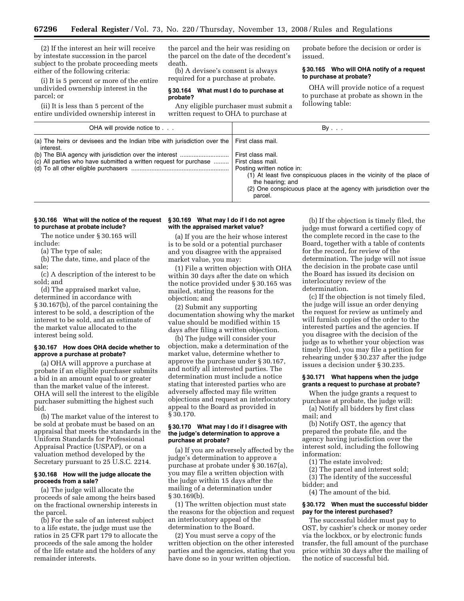(2) If the interest an heir will receive by intestate succession in the parcel subject to the probate proceeding meets either of the following criteria:

(i) It is 5 percent or more of the entire undivided ownership interest in the parcel; or

(ii) It is less than 5 percent of the entire undivided ownership interest in the parcel and the heir was residing on the parcel on the date of the decedent's death.

(b) A devisee's consent is always required for a purchase at probate.

#### **§ 30.164 What must I do to purchase at probate?**

Any eligible purchaser must submit a written request to OHA to purchase at

probate before the decision or order is issued.

## **§ 30.165 Who will OHA notify of a request to purchase at probate?**

OHA will provide notice of a request to purchase at probate as shown in the following table:

| OHA will provide notice to                                                                                                                                                            | $By \ldots$                                                                                                                                                                                                                                       |
|---------------------------------------------------------------------------------------------------------------------------------------------------------------------------------------|---------------------------------------------------------------------------------------------------------------------------------------------------------------------------------------------------------------------------------------------------|
| (a) The heirs or devisees and the Indian tribe with jurisdiction over the $\vert$ First class mail.<br>interest.<br>(c) All parties who have submitted a written request for purchase | First class mail.<br>First class mail.<br>Posting written notice in:<br>(1) At least five conspicuous places in the vicinity of the place of<br>the hearing; and<br>(2) One conspicuous place at the agency with jurisdiction over the<br>parcel. |

## **§ 30.166 What will the notice of the request to purchase at probate include?**

The notice under § 30.165 will include:

(a) The type of sale;

(b) The date, time, and place of the sale;

(c) A description of the interest to be sold; and

(d) The appraised market value, determined in accordance with § 30.167(b), of the parcel containing the interest to be sold, a description of the interest to be sold, and an estimate of the market value allocated to the interest being sold.

#### **§ 30.167 How does OHA decide whether to approve a purchase at probate?**

(a) OHA will approve a purchase at probate if an eligible purchaser submits a bid in an amount equal to or greater than the market value of the interest. OHA will sell the interest to the eligible purchaser submitting the highest such bid.

(b) The market value of the interest to be sold at probate must be based on an appraisal that meets the standards in the Uniform Standards for Professional Appraisal Practice (USPAP), or on a valuation method developed by the Secretary pursuant to 25 U.S.C. 2214.

## **§ 30.168 How will the judge allocate the proceeds from a sale?**

(a) The judge will allocate the proceeds of sale among the heirs based on the fractional ownership interests in the parcel.

(b) For the sale of an interest subject to a life estate, the judge must use the ratios in 25 CFR part 179 to allocate the proceeds of the sale among the holder of the life estate and the holders of any remainder interests.

# **§ 30.169 What may I do if I do not agree with the appraised market value?**

(a) If you are the heir whose interest is to be sold or a potential purchaser and you disagree with the appraised market value, you may:

(1) File a written objection with OHA within 30 days after the date on which the notice provided under § 30.165 was mailed, stating the reasons for the objection; and

(2) Submit any supporting documentation showing why the market value should be modified within 15 days after filing a written objection.

(b) The judge will consider your objection, make a determination of the market value, determine whether to approve the purchase under § 30.167, and notify all interested parties. The determination must include a notice stating that interested parties who are adversely affected may file written objections and request an interlocutory appeal to the Board as provided in § 30.170.

#### **§ 30.170 What may I do if I disagree with the judge's determination to approve a purchase at probate?**

(a) If you are adversely affected by the judge's determination to approve a purchase at probate under § 30.167(a), you may file a written objection with the judge within 15 days after the mailing of a determination under § 30.169(b).

(1) The written objection must state the reasons for the objection and request an interlocutory appeal of the determination to the Board.

(2) You must serve a copy of the written objection on the other interested parties and the agencies, stating that you have done so in your written objection.

(b) If the objection is timely filed, the judge must forward a certified copy of the complete record in the case to the Board, together with a table of contents for the record, for review of the determination. The judge will not issue the decision in the probate case until the Board has issued its decision on interlocutory review of the determination.

(c) If the objection is not timely filed, the judge will issue an order denying the request for review as untimely and will furnish copies of the order to the interested parties and the agencies. If you disagree with the decision of the judge as to whether your objection was timely filed, you may file a petition for rehearing under § 30.237 after the judge issues a decision under § 30.235.

## **§ 30.171 What happens when the judge grants a request to purchase at probate?**

When the judge grants a request to purchase at probate, the judge will:

(a) Notify all bidders by first class mail; and

(b) Notify OST, the agency that prepared the probate file, and the agency having jurisdiction over the interest sold, including the following information:

- (1) The estate involved;
- (2) The parcel and interest sold;

(3) The identity of the successful bidder; and

(4) The amount of the bid.

#### **§ 30.172 When must the successful bidder pay for the interest purchased?**

The successful bidder must pay to OST, by cashier's check or money order via the lockbox, or by electronic funds transfer, the full amount of the purchase price within 30 days after the mailing of the notice of successful bid.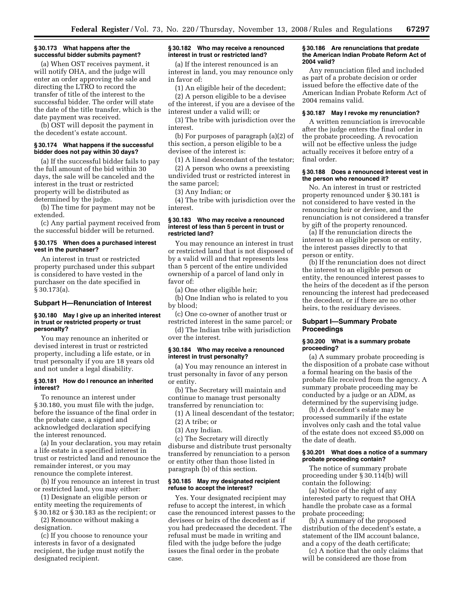## **§ 30.173 What happens after the successful bidder submits payment?**

(a) When OST receives payment, it will notify OHA, and the judge will enter an order approving the sale and directing the LTRO to record the transfer of title of the interest to the successful bidder. The order will state the date of the title transfer, which is the date payment was received.

(b) OST will deposit the payment in the decedent's estate account.

#### **§ 30.174 What happens if the successful bidder does not pay within 30 days?**

(a) If the successful bidder fails to pay the full amount of the bid within 30 days, the sale will be canceled and the interest in the trust or restricted property will be distributed as determined by the judge.

(b) The time for payment may not be extended.

(c) Any partial payment received from the successful bidder will be returned.

# **§ 30.175 When does a purchased interest vest in the purchaser?**

An interest in trust or restricted property purchased under this subpart is considered to have vested in the purchaser on the date specified in § 30.173(a).

#### **Subpart H—Renunciation of Interest**

#### **§ 30.180 May I give up an inherited interest in trust or restricted property or trust personalty?**

You may renounce an inherited or devised interest in trust or restricted property, including a life estate, or in trust personalty if you are 18 years old and not under a legal disability.

#### **§ 30.181 How do I renounce an inherited interest?**

To renounce an interest under § 30.180, you must file with the judge, before the issuance of the final order in the probate case, a signed and acknowledged declaration specifying the interest renounced.

(a) In your declaration, you may retain a life estate in a specified interest in trust or restricted land and renounce the remainder interest, or you may renounce the complete interest.

(b) If you renounce an interest in trust or restricted land, you may either:

(1) Designate an eligible person or entity meeting the requirements of § 30.182 or § 30.183 as the recipient; or

(2) Renounce without making a designation.

(c) If you choose to renounce your interests in favor of a designated recipient, the judge must notify the designated recipient.

# **§ 30.182 Who may receive a renounced interest in trust or restricted land?**

(a) If the interest renounced is an interest in land, you may renounce only in favor of:

(1) An eligible heir of the decedent;

(2) A person eligible to be a devisee of the interest, if you are a devisee of the interest under a valid will; or

(3) The tribe with jurisdiction over the interest.

(b) For purposes of paragraph (a)(2) of this section, a person eligible to be a devisee of the interest is:

(1) A lineal descendant of the testator;

(2) A person who owns a preexisting undivided trust or restricted interest in the same parcel;

(3) Any Indian; or

(4) The tribe with jurisdiction over the interest.

#### **§ 30.183 Who may receive a renounced interest of less than 5 percent in trust or restricted land?**

You may renounce an interest in trust or restricted land that is not disposed of by a valid will and that represents less than 5 percent of the entire undivided ownership of a parcel of land only in favor of:

(a) One other eligible heir;

(b) One Indian who is related to you by blood;

(c) One co-owner of another trust or restricted interest in the same parcel; or

(d) The Indian tribe with jurisdiction over the interest.

## **§ 30.184 Who may receive a renounced interest in trust personalty?**

(a) You may renounce an interest in trust personalty in favor of any person or entity.

(b) The Secretary will maintain and continue to manage trust personalty transferred by renunciation to:

(1) A lineal descendant of the testator; (2) A tribe; or

(3) Any Indian.

(c) The Secretary will directly disburse and distribute trust personalty transferred by renunciation to a person or entity other than those listed in paragraph (b) of this section.

## **§ 30.185 May my designated recipient refuse to accept the interest?**

Yes. Your designated recipient may refuse to accept the interest, in which case the renounced interest passes to the devisees or heirs of the decedent as if you had predeceased the decedent. The refusal must be made in writing and filed with the judge before the judge issues the final order in the probate case.

#### **§ 30.186 Are renunciations that predate the American Indian Probate Reform Act of 2004 valid?**

Any renunciation filed and included as part of a probate decision or order issued before the effective date of the American Indian Probate Reform Act of 2004 remains valid.

## **§ 30.187 May I revoke my renunciation?**

A written renunciation is irrevocable after the judge enters the final order in the probate proceeding. A revocation will not be effective unless the judge actually receives it before entry of a final order.

#### **§ 30.188 Does a renounced interest vest in the person who renounced it?**

No. An interest in trust or restricted property renounced under § 30.181 is not considered to have vested in the renouncing heir or devisee, and the renunciation is not considered a transfer by gift of the property renounced.

(a) If the renunciation directs the interest to an eligible person or entity, the interest passes directly to that person or entity.

(b) If the renunciation does not direct the interest to an eligible person or entity, the renounced interest passes to the heirs of the decedent as if the person renouncing the interest had predeceased the decedent, or if there are no other heirs, to the residuary devisees.

# **Subpart I—Summary Probate Proceedings**

## **§ 30.200 What is a summary probate proceeding?**

(a) A summary probate proceeding is the disposition of a probate case without a formal hearing on the basis of the probate file received from the agency. A summary probate proceeding may be conducted by a judge or an ADM, as determined by the supervising judge.

(b) A decedent's estate may be processed summarily if the estate involves only cash and the total value of the estate does not exceed \$5,000 on the date of death.

## **§ 30.201 What does a notice of a summary probate proceeding contain?**

The notice of summary probate proceeding under § 30.114(b) will contain the following:

(a) Notice of the right of any interested party to request that OHA handle the probate case as a formal probate proceeding;

(b) A summary of the proposed distribution of the decedent's estate, a statement of the IIM account balance, and a copy of the death certificate;

(c) A notice that the only claims that will be considered are those from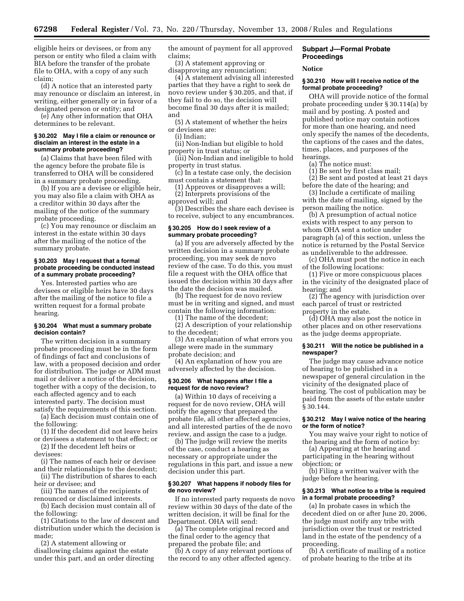eligible heirs or devisees, or from any person or entity who filed a claim with BIA before the transfer of the probate file to OHA, with a copy of any such claim;

(d) A notice that an interested party may renounce or disclaim an interest, in writing, either generally or in favor of a designated person or entity; and

(e) Any other information that OHA determines to be relevant.

#### **§ 30.202 May I file a claim or renounce or disclaim an interest in the estate in a summary probate proceeding?**

(a) Claims that have been filed with the agency before the probate file is transferred to OHA will be considered in a summary probate proceeding.

(b) If you are a devisee or eligible heir, you may also file a claim with OHA as a creditor within 30 days after the mailing of the notice of the summary probate proceeding.

(c) You may renounce or disclaim an interest in the estate within 30 days after the mailing of the notice of the summary probate.

#### **§ 30.203 May I request that a formal probate proceeding be conducted instead of a summary probate proceeding?**

Yes. Interested parties who are devisees or eligible heirs have 30 days after the mailing of the notice to file a written request for a formal probate hearing.

#### **§ 30.204 What must a summary probate decision contain?**

The written decision in a summary probate proceeding must be in the form of findings of fact and conclusions of law, with a proposed decision and order for distribution. The judge or ADM must mail or deliver a notice of the decision, together with a copy of the decision, to each affected agency and to each interested party. The decision must satisfy the requirements of this section.

(a) Each decision must contain one of the following:

(1) If the decedent did not leave heirs or devisees a statement to that effect; or

(2) If the decedent left heirs or devisees:

(i) The names of each heir or devisee and their relationships to the decedent;

(ii) The distribution of shares to each heir or devisee; and

(iii) The names of the recipients of renounced or disclaimed interests.

(b) Each decision must contain all of the following:

(1) Citations to the law of descent and distribution under which the decision is made;

(2) A statement allowing or disallowing claims against the estate under this part, and an order directing the amount of payment for all approved claims;

(3) A statement approving or disapproving any renunciation;

(4) A statement advising all interested parties that they have a right to seek de novo review under § 30.205, and that, if they fail to do so, the decision will become final 30 days after it is mailed; and

(5) A statement of whether the heirs or devisees are:

(i) Indian;

(ii) Non-Indian but eligible to hold property in trust status; or

(iii) Non-Indian and ineligible to hold property in trust status.

(c) In a testate case only, the decision must contain a statement that:

(1) Approves or disapproves a will;

(2) Interprets provisions of the

approved will; and

(3) Describes the share each devisee is to receive, subject to any encumbrances.

#### **§ 30.205 How do I seek review of a summary probate proceeding?**

(a) If you are adversely affected by the written decision in a summary probate proceeding, you may seek de novo review of the case. To do this, you must file a request with the OHA office that issued the decision within 30 days after the date the decision was mailed.

(b) The request for de novo review must be in writing and signed, and must contain the following information:

(1) The name of the decedent;

(2) A description of your relationship to the decedent;

(3) An explanation of what errors you allege were made in the summary probate decision; and

(4) An explanation of how you are adversely affected by the decision.

#### **§ 30.206 What happens after I file a request for de novo review?**

(a) Within 10 days of receiving a request for de novo review, OHA will notify the agency that prepared the probate file, all other affected agencies, and all interested parties of the de novo review, and assign the case to a judge.

(b) The judge will review the merits of the case, conduct a hearing as necessary or appropriate under the regulations in this part, and issue a new decision under this part.

# **§ 30.207 What happens if nobody files for de novo review?**

If no interested party requests de novo review within 30 days of the date of the written decision, it will be final for the Department. OHA will send:

(a) The complete original record and the final order to the agency that prepared the probate file; and

(b) A copy of any relevant portions of the record to any other affected agency.

# **Subpart J—Formal Probate Proceedings**

#### **Notice**

# **§ 30.210 How will I receive notice of the formal probate proceeding?**

OHA will provide notice of the formal probate proceeding under § 30.114(a) by mail and by posting. A posted and published notice may contain notices for more than one hearing, and need only specify the names of the decedents, the captions of the cases and the dates, times, places, and purposes of the hearings.

(a) The notice must:

(1) Be sent by first class mail;

(2) Be sent and posted at least 21 days before the date of the hearing; and

(3) Include a certificate of mailing with the date of mailing, signed by the person mailing the notice.

(b) A presumption of actual notice exists with respect to any person to whom OHA sent a notice under paragraph (a) of this section, unless the notice is returned by the Postal Service as undeliverable to the addressee.

(c) OHA must post the notice in each of the following locations:

(1) Five or more conspicuous places in the vicinity of the designated place of hearing; and

(2) The agency with jurisdiction over each parcel of trust or restricted property in the estate.

(d) OHA may also post the notice in other places and on other reservations as the judge deems appropriate.

#### **§ 30.211 Will the notice be published in a newspaper?**

The judge may cause advance notice of hearing to be published in a newspaper of general circulation in the vicinity of the designated place of hearing. The cost of publication may be paid from the assets of the estate under § 30.144.

## **§ 30.212 May I waive notice of the hearing or the form of notice?**

You may waive your right to notice of the hearing and the form of notice by:

(a) Appearing at the hearing and participating in the hearing without objection; or

(b) Filing a written waiver with the judge before the hearing.

#### **§ 30.213 What notice to a tribe is required in a formal probate proceeding?**

(a) In probate cases in which the decedent died on or after June 20, 2006, the judge must notify any tribe with jurisdiction over the trust or restricted land in the estate of the pendency of a proceeding.

(b) A certificate of mailing of a notice of probate hearing to the tribe at its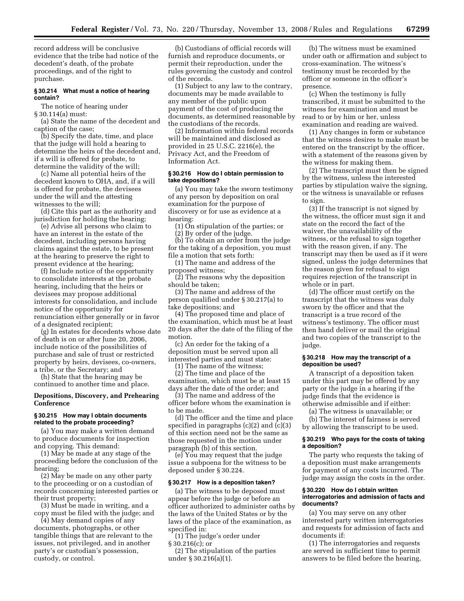record address will be conclusive evidence that the tribe had notice of the decedent's death, of the probate proceedings, and of the right to purchase.

## **§ 30.214 What must a notice of hearing contain?**

The notice of hearing under § 30.114(a) must:

(a) State the name of the decedent and caption of the case;

(b) Specify the date, time, and place that the judge will hold a hearing to determine the heirs of the decedent and, if a will is offered for probate, to determine the validity of the will;

(c) Name all potential heirs of the decedent known to OHA, and, if a will is offered for probate, the devisees under the will and the attesting witnesses to the will;

(d) Cite this part as the authority and jurisdiction for holding the hearing;

(e) Advise all persons who claim to have an interest in the estate of the decedent, including persons having claims against the estate, to be present at the hearing to preserve the right to present evidence at the hearing;

(f) Include notice of the opportunity to consolidate interests at the probate hearing, including that the heirs or devisees may propose additional interests for consolidation, and include notice of the opportunity for renunciation either generally or in favor of a designated recipient;

(g) In estates for decedents whose date of death is on or after June 20, 2006, include notice of the possibilities of purchase and sale of trust or restricted property by heirs, devisees, co-owners, a tribe, or the Secretary; and

(h) State that the hearing may be continued to another time and place.

## **Depositions, Discovery, and Prehearing Conference**

# **§ 30.215 How may I obtain documents related to the probate proceeding?**

(a) You may make a written demand to produce documents for inspection and copying. This demand:

(1) May be made at any stage of the proceeding before the conclusion of the hearing;

(2) May be made on any other party to the proceeding or on a custodian of records concerning interested parties or their trust property;

(3) Must be made in writing, and a copy must be filed with the judge; and

(4) May demand copies of any documents, photographs, or other tangible things that are relevant to the issues, not privileged, and in another party's or custodian's possession, custody, or control.

(b) Custodians of official records will furnish and reproduce documents, or permit their reproduction, under the rules governing the custody and control of the records.

(1) Subject to any law to the contrary, documents may be made available to any member of the public upon payment of the cost of producing the documents, as determined reasonable by the custodians of the records.

(2) Information within federal records will be maintained and disclosed as provided in 25 U.S.C. 2216(e), the Privacy Act, and the Freedom of Information Act.

## **§ 30.216 How do I obtain permission to take depositions?**

(a) You may take the sworn testimony of any person by deposition on oral examination for the purpose of discovery or for use as evidence at a hearing:

(1) On stipulation of the parties; or (2) By order of the judge.

(b) To obtain an order from the judge for the taking of a deposition, you must file a motion that sets forth:

(1) The name and address of the proposed witness;

(2) The reasons why the deposition should be taken;

(3) The name and address of the person qualified under § 30.217(a) to take depositions; and

(4) The proposed time and place of the examination, which must be at least 20 days after the date of the filing of the motion.

(c) An order for the taking of a deposition must be served upon all interested parties and must state:

(1) The name of the witness;

(2) The time and place of the examination, which must be at least 15 days after the date of the order; and

(3) The name and address of the officer before whom the examination is to be made.

(d) The officer and the time and place specified in paragraphs (c)(2) and (c)(3) of this section need not be the same as those requested in the motion under paragraph (b) of this section.

(e) You may request that the judge issue a subpoena for the witness to be deposed under § 30.224.

# **§ 30.217 How is a deposition taken?**

(a) The witness to be deposed must appear before the judge or before an officer authorized to administer oaths by the laws of the United States or by the laws of the place of the examination, as specified in:

(1) The judge's order under

§ 30.216(c); or

(2) The stipulation of the parties under § 30.216(a)(1).

(b) The witness must be examined under oath or affirmation and subject to cross-examination. The witness's testimony must be recorded by the officer or someone in the officer's presence.

(c) When the testimony is fully transcribed, it must be submitted to the witness for examination and must be read to or by him or her, unless examination and reading are waived.

(1) Any changes in form or substance that the witness desires to make must be entered on the transcript by the officer, with a statement of the reasons given by the witness for making them.

(2) The transcript must then be signed by the witness, unless the interested parties by stipulation waive the signing, or the witness is unavailable or refuses to sign.

(3) If the transcript is not signed by the witness, the officer must sign it and state on the record the fact of the waiver, the unavailability of the witness, or the refusal to sign together with the reason given, if any. The transcript may then be used as if it were signed, unless the judge determines that the reason given for refusal to sign requires rejection of the transcript in whole or in part.

(d) The officer must certify on the transcript that the witness was duly sworn by the officer and that the transcript is a true record of the witness's testimony. The officer must then hand deliver or mail the original and two copies of the transcript to the judge.

#### **§ 30.218 How may the transcript of a deposition be used?**

A transcript of a deposition taken under this part may be offered by any party or the judge in a hearing if the judge finds that the evidence is otherwise admissible and if either:

(a) The witness is unavailable; or

(b) The interest of fairness is served by allowing the transcript to be used.

## **§ 30.219 Who pays for the costs of taking a deposition?**

The party who requests the taking of a deposition must make arrangements for payment of any costs incurred. The judge may assign the costs in the order.

#### **§ 30.220 How do I obtain written interrogatories and admission of facts and documents?**

(a) You may serve on any other interested party written interrogatories and requests for admission of facts and documents if:

(1) The interrogatories and requests are served in sufficient time to permit answers to be filed before the hearing,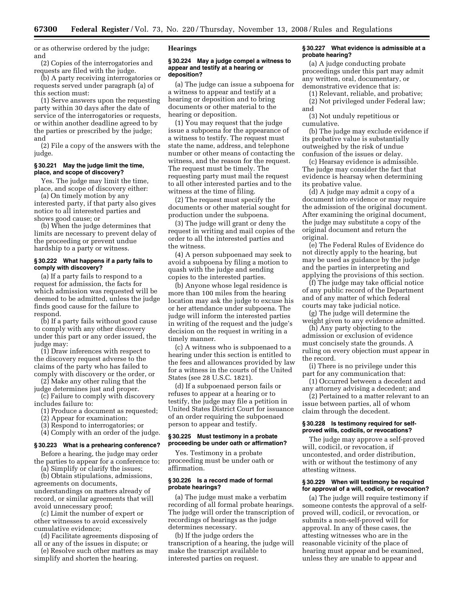or as otherwise ordered by the judge; and

(2) Copies of the interrogatories and requests are filed with the judge.

(b) A party receiving interrogatories or requests served under paragraph (a) of this section must:

(1) Serve answers upon the requesting party within 30 days after the date of service of the interrogatories or requests, or within another deadline agreed to by the parties or prescribed by the judge; and

(2) File a copy of the answers with the judge.

## **§ 30.221 May the judge limit the time, place, and scope of discovery?**

Yes. The judge may limit the time, place, and scope of discovery either:

(a) On timely motion by any interested party, if that party also gives notice to all interested parties and shows good cause; or

(b) When the judge determines that limits are necessary to prevent delay of the proceeding or prevent undue hardship to a party or witness.

#### **§ 30.222 What happens if a party fails to comply with discovery?**

(a) If a party fails to respond to a request for admission, the facts for which admission was requested will be deemed to be admitted, unless the judge finds good cause for the failure to respond.

(b) If a party fails without good cause to comply with any other discovery under this part or any order issued, the judge may:

(1) Draw inferences with respect to the discovery request adverse to the claims of the party who has failed to comply with discovery or the order, or

(2) Make any other ruling that the judge determines just and proper.

(c) Failure to comply with discovery includes failure to:

(1) Produce a document as requested;

(2) Appear for examination;

(3) Respond to interrogatories; or

(4) Comply with an order of the judge.

**§ 30.223 What is a prehearing conference?** 

Before a hearing, the judge may order

the parties to appear for a conference to: (a) Simplify or clarify the issues;

(b) Obtain stipulations, admissions, agreements on documents, understandings on matters already of record, or similar agreements that will

avoid unnecessary proof; (c) Limit the number of expert or other witnesses to avoid excessively cumulative evidence;

(d) Facilitate agreements disposing of all or any of the issues in dispute; or

(e) Resolve such other matters as may simplify and shorten the hearing.

## **Hearings**

#### **§ 30.224 May a judge compel a witness to appear and testify at a hearing or deposition?**

(a) The judge can issue a subpoena for a witness to appear and testify at a hearing or deposition and to bring documents or other material to the hearing or deposition.

(1) You may request that the judge issue a subpoena for the appearance of a witness to testify. The request must state the name, address, and telephone number or other means of contacting the witness, and the reason for the request. The request must be timely. The requesting party must mail the request to all other interested parties and to the witness at the time of filing.

(2) The request must specify the documents or other material sought for production under the subpoena.

(3) The judge will grant or deny the request in writing and mail copies of the order to all the interested parties and the witness.

(4) A person subpoenaed may seek to avoid a subpoena by filing a motion to quash with the judge and sending copies to the interested parties.

(b) Anyone whose legal residence is more than 100 miles from the hearing location may ask the judge to excuse his or her attendance under subpoena. The judge will inform the interested parties in writing of the request and the judge's decision on the request in writing in a timely manner.

(c) A witness who is subpoenaed to a hearing under this section is entitled to the fees and allowances provided by law for a witness in the courts of the United States (see 28 U.S.C. 1821).

(d) If a subpoenaed person fails or refuses to appear at a hearing or to testify, the judge may file a petition in United States District Court for issuance of an order requiring the subpoenaed person to appear and testify.

#### **§ 30.225 Must testimony in a probate proceeding be under oath or affirmation?**

Yes. Testimony in a probate proceeding must be under oath or affirmation.

#### **§ 30.226 Is a record made of formal probate hearings?**

(a) The judge must make a verbatim recording of all formal probate hearings. The judge will order the transcription of recordings of hearings as the judge determines necessary.

(b) If the judge orders the transcription of a hearing, the judge will make the transcript available to interested parties on request.

#### **§ 30.227 What evidence is admissible at a probate hearing?**

(a) A judge conducting probate proceedings under this part may admit any written, oral, documentary, or demonstrative evidence that is:

(1) Relevant, reliable, and probative; (2) Not privileged under Federal law; and

(3) Not unduly repetitious or cumulative.

(b) The judge may exclude evidence if its probative value is substantially outweighed by the risk of undue confusion of the issues or delay.

(c) Hearsay evidence is admissible. The judge may consider the fact that evidence is hearsay when determining its probative value.

(d) A judge may admit a copy of a document into evidence or may require the admission of the original document. After examining the original document, the judge may substitute a copy of the original document and return the original.

(e) The Federal Rules of Evidence do not directly apply to the hearing, but may be used as guidance by the judge and the parties in interpreting and applying the provisions of this section.

(f) The judge may take official notice of any public record of the Department and of any matter of which federal courts may take judicial notice.

(g) The judge will determine the weight given to any evidence admitted.

(h) Any party objecting to the admission or exclusion of evidence must concisely state the grounds. A ruling on every objection must appear in the record.

(i) There is no privilege under this part for any communication that:

(1) Occurred between a decedent and any attorney advising a decedent; and

(2) Pertained to a matter relevant to an issue between parties, all of whom claim through the decedent.

## **§ 30.228 Is testimony required for selfproved wills, codicils, or revocations?**

The judge may approve a self-proved will, codicil, or revocation, if uncontested, and order distribution, with or without the testimony of any attesting witness.

#### **§ 30.229 When will testimony be required for approval of a will, codicil, or revocation?**

(a) The judge will require testimony if someone contests the approval of a selfproved will, codicil, or revocation, or submits a non-self-proved will for approval. In any of these cases, the attesting witnesses who are in the reasonable vicinity of the place of hearing must appear and be examined, unless they are unable to appear and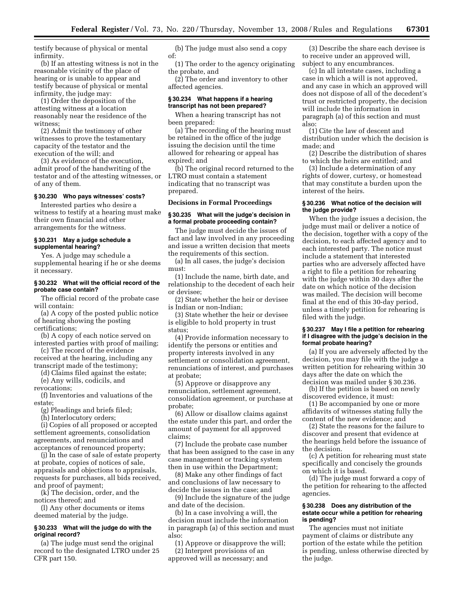testify because of physical or mental infirmity.

(b) If an attesting witness is not in the reasonable vicinity of the place of hearing or is unable to appear and testify because of physical or mental infirmity, the judge may:

(1) Order the deposition of the attesting witness at a location reasonably near the residence of the witness;

(2) Admit the testimony of other witnesses to prove the testamentary capacity of the testator and the execution of the will; and

(3) As evidence of the execution, admit proof of the handwriting of the testator and of the attesting witnesses, or of any of them.

## **§ 30.230 Who pays witnesses' costs?**

Interested parties who desire a witness to testify at a hearing must make their own financial and other arrangements for the witness.

#### **§ 30.231 May a judge schedule a supplemental hearing?**

Yes. A judge may schedule a supplemental hearing if he or she deems it necessary.

## **§ 30.232 What will the official record of the probate case contain?**

The official record of the probate case will contain:

(a) A copy of the posted public notice of hearing showing the posting certifications;

(b) A copy of each notice served on interested parties with proof of mailing;

(c) The record of the evidence received at the hearing, including any transcript made of the testimony;

(d) Claims filed against the estate;

(e) Any wills, codicils, and

revocations;

(f) Inventories and valuations of the estate;

(g) Pleadings and briefs filed;

(h) Interlocutory orders;

(i) Copies of all proposed or accepted settlement agreements, consolidation agreements, and renunciations and acceptances of renounced property;

(j) In the case of sale of estate property at probate, copies of notices of sale, appraisals and objections to appraisals, requests for purchases, all bids received, and proof of payment;

(k) The decision, order, and the notices thereof; and

(l) Any other documents or items deemed material by the judge.

# **§ 30.233 What will the judge do with the original record?**

(a) The judge must send the original record to the designated LTRO under 25 CFR part 150.

(b) The judge must also send a copy of:

(1) The order to the agency originating the probate, and

(2) The order and inventory to other affected agencies.

# **§ 30.234 What happens if a hearing transcript has not been prepared?**

When a hearing transcript has not been prepared:

(a) The recording of the hearing must be retained in the office of the judge issuing the decision until the time allowed for rehearing or appeal has expired; and

(b) The original record returned to the LTRO must contain a statement indicating that no transcript was prepared.

# **Decisions in Formal Proceedings**

#### **§ 30.235 What will the judge's decision in a formal probate proceeding contain?**

The judge must decide the issues of fact and law involved in any proceeding and issue a written decision that meets the requirements of this section.

(a) In all cases, the judge's decision must:

(1) Include the name, birth date, and relationship to the decedent of each heir or devisee;

(2) State whether the heir or devisee is Indian or non-Indian;

(3) State whether the heir or devisee is eligible to hold property in trust status;

(4) Provide information necessary to identify the persons or entities and property interests involved in any settlement or consolidation agreement, renunciations of interest, and purchases at probate;

(5) Approve or disapprove any renunciation, settlement agreement, consolidation agreement, or purchase at probate;

(6) Allow or disallow claims against the estate under this part, and order the amount of payment for all approved claims;

(7) Include the probate case number that has been assigned to the case in any case management or tracking system then in use within the Department;

(8) Make any other findings of fact and conclusions of law necessary to decide the issues in the case; and

(9) Include the signature of the judge and date of the decision.

(b) In a case involving a will, the decision must include the information in paragraph (a) of this section and must also:

(1) Approve or disapprove the will; (2) Interpret provisions of an approved will as necessary; and

(3) Describe the share each devisee is to receive under an approved will, subject to any encumbrances.

(c) In all intestate cases, including a case in which a will is not approved, and any case in which an approved will does not dispose of all of the decedent's trust or restricted property, the decision will include the information in paragraph (a) of this section and must also:

(1) Cite the law of descent and distribution under which the decision is made; and

(2) Describe the distribution of shares to which the heirs are entitled; and

(3) Include a determination of any rights of dower, curtesy, or homestead that may constitute a burden upon the interest of the heirs.

# **§ 30.236 What notice of the decision will the judge provide?**

When the judge issues a decision, the judge must mail or deliver a notice of the decision, together with a copy of the decision, to each affected agency and to each interested party. The notice must include a statement that interested parties who are adversely affected have a right to file a petition for rehearing with the judge within 30 days after the date on which notice of the decision was mailed. The decision will become final at the end of this 30-day period, unless a timely petition for rehearing is filed with the judge.

#### **§ 30.237 May I file a petition for rehearing if I disagree with the judge's decision in the formal probate hearing?**

(a) If you are adversely affected by the decision, you may file with the judge a written petition for rehearing within 30 days after the date on which the decision was mailed under § 30.236.

(b) If the petition is based on newly discovered evidence, it must:

(1) Be accompanied by one or more affidavits of witnesses stating fully the content of the new evidence; and

(2) State the reasons for the failure to discover and present that evidence at the hearings held before the issuance of the decision.

(c) A petition for rehearing must state specifically and concisely the grounds on which it is based.

(d) The judge must forward a copy of the petition for rehearing to the affected agencies.

#### **§ 30.238 Does any distribution of the estate occur while a petition for rehearing is pending?**

The agencies must not initiate payment of claims or distribute any portion of the estate while the petition is pending, unless otherwise directed by the judge.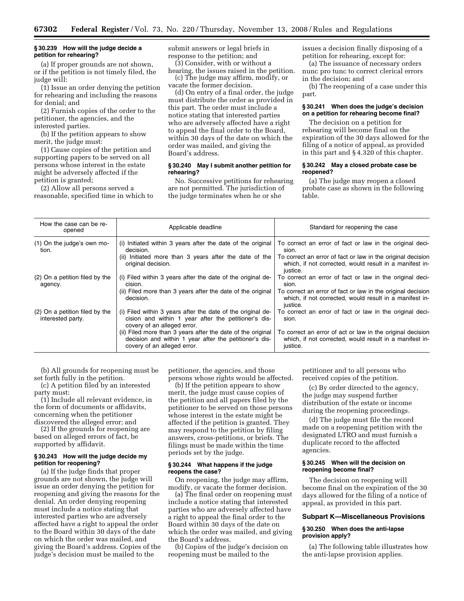#### **§ 30.239 How will the judge decide a petition for rehearing?**

(a) If proper grounds are not shown, or if the petition is not timely filed, the judge will:

(1) Issue an order denying the petition for rehearing and including the reasons for denial; and

(2) Furnish copies of the order to the petitioner, the agencies, and the interested parties.

(b) If the petition appears to show merit, the judge must:

(1) Cause copies of the petition and supporting papers to be served on all persons whose interest in the estate might be adversely affected if the petition is granted;

(2) Allow all persons served a reasonable, specified time in which to submit answers or legal briefs in response to the petition; and

(3) Consider, with or without a hearing, the issues raised in the petition.

(c) The judge may affirm, modify, or vacate the former decision.

(d) On entry of a final order, the judge must distribute the order as provided in this part. The order must include a notice stating that interested parties who are adversely affected have a right to appeal the final order to the Board, within 30 days of the date on which the order was mailed, and giving the Board's address.

## **§ 30.240 May I submit another petition for rehearing?**

No. Successive petitions for rehearing are not permitted. The jurisdiction of the judge terminates when he or she

issues a decision finally disposing of a petition for rehearing, except for:

(a) The issuance of necessary orders nunc pro tunc to correct clerical errors in the decision; and

(b) The reopening of a case under this part.

## **§ 30.241 When does the judge's decision on a petition for rehearing become final?**

The decision on a petition for rehearing will become final on the expiration of the 30 days allowed for the filing of a notice of appeal, as provided in this part and § 4.320 of this chapter.

#### **§ 30.242 May a closed probate case be reopened?**

(a) The judge may reopen a closed probate case as shown in the following table.

| How the case can be re-<br>opened                   | Applicable deadline                                                                                                                                  | Standard for reopening the case                                                                                                    |
|-----------------------------------------------------|------------------------------------------------------------------------------------------------------------------------------------------------------|------------------------------------------------------------------------------------------------------------------------------------|
| (1) On the judge's own mo-<br>tion.                 | (i) Initiated within 3 years after the date of the original<br>decision.                                                                             | To correct an error of fact or law in the original deci-<br>sion.                                                                  |
|                                                     | (ii) Initiated more than 3 years after the date of the<br>original decision.                                                                         | To correct an error of fact or law in the original decision<br>which, if not corrected, would result in a manifest in-<br>justice. |
| (2) On a petition filed by the<br>agency.           | (i) Filed within 3 years after the date of the original de-<br>cision.                                                                               | To correct an error of fact or law in the original deci-<br>sion.                                                                  |
|                                                     | (ii) Filed more than 3 years after the date of the original<br>decision.                                                                             | To correct an error of fact or law in the original decision<br>which, if not corrected, would result in a manifest in-<br>justice. |
| (2) On a petition filed by the<br>interested party. | (i) Filed within 3 years after the date of the original de-<br>cision and within 1 year after the petitioner's dis-<br>covery of an alleged error.   | To correct an error of fact or law in the original deci-<br>sion.                                                                  |
|                                                     | (ii) Filed more than 3 years after the date of the original<br>decision and within 1 year after the petitioner's dis-<br>covery of an alleged error. | To correct an error of act or law in the original decision<br>which, if not corrected, would result in a manifest in-<br>justice.  |

(b) All grounds for reopening must be set forth fully in the petition.

(c) A petition filed by an interested party must:

(1) Include all relevant evidence, in the form of documents or affidavits, concerning when the petitioner discovered the alleged error; and

(2) If the grounds for reopening are based on alleged errors of fact, be supported by affidavit.

#### **§ 30.243 How will the judge decide my petition for reopening?**

(a) If the judge finds that proper grounds are not shown, the judge will issue an order denying the petition for reopening and giving the reasons for the denial. An order denying reopening must include a notice stating that interested parties who are adversely affected have a right to appeal the order to the Board within 30 days of the date on which the order was mailed, and giving the Board's address. Copies of the judge's decision must be mailed to the

petitioner, the agencies, and those persons whose rights would be affected.

(b) If the petition appears to show merit, the judge must cause copies of the petition and all papers filed by the petitioner to be served on those persons whose interest in the estate might be affected if the petition is granted. They may respond to the petition by filing answers, cross-petitions, or briefs. The filings must be made within the time periods set by the judge.

#### **§ 30.244 What happens if the judge reopens the case?**

On reopening, the judge may affirm, modify, or vacate the former decision.

(a) The final order on reopening must include a notice stating that interested parties who are adversely affected have a right to appeal the final order to the Board within 30 days of the date on which the order was mailed, and giving the Board's address.

(b) Copies of the judge's decision on reopening must be mailed to the

petitioner and to all persons who received copies of the petition.

(c) By order directed to the agency, the judge may suspend further distribution of the estate or income during the reopening proceedings.

(d) The judge must file the record made on a reopening petition with the designated LTRO and must furnish a duplicate record to the affected agencies.

# **§ 30.245 When will the decision on reopening become final?**

The decision on reopening will become final on the expiration of the 30 days allowed for the filing of a notice of appeal, as provided in this part.

# **Subpart K—Miscellaneous Provisions**

# **§ 30.250 When does the anti-lapse provision apply?**

(a) The following table illustrates how the anti-lapse provision applies.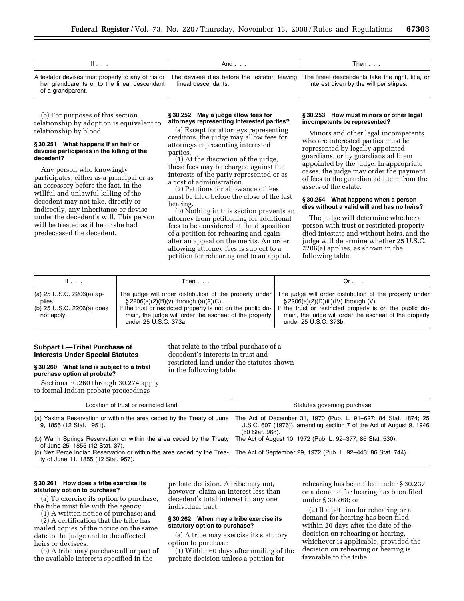| IT                                                                                                                                                                                                                     | And                 | Then $\ldots$                           |
|------------------------------------------------------------------------------------------------------------------------------------------------------------------------------------------------------------------------|---------------------|-----------------------------------------|
| A testator devises trust property to any of his or The devisee dies before the testator, leaving The lineal descendants take the right, title, or<br>her grandparents or to the lineal descendant<br>of a grandparent. | lineal descendants. | interest given by the will per stirpes. |

(b) For purposes of this section, relationship by adoption is equivalent to relationship by blood.

#### **§ 30.251 What happens if an heir or devisee participates in the killing of the decedent?**

Any person who knowingly participates, either as a principal or as an accessory before the fact, in the willful and unlawful killing of the decedent may not take, directly or indirectly, any inheritance or devise under the decedent's will. This person will be treated as if he or she had predeceased the decedent.

## **§ 30.252 May a judge allow fees for attorneys representing interested parties?**

(a) Except for attorneys representing creditors, the judge may allow fees for attorneys representing interested parties.

(1) At the discretion of the judge, these fees may be charged against the interests of the party represented or as a cost of administration.

(2) Petitions for allowance of fees must be filed before the close of the last hearing.

(b) Nothing in this section prevents an attorney from petitioning for additional fees to be considered at the disposition of a petition for rehearing and again after an appeal on the merits. An order allowing attorney fees is subject to a petition for rehearing and to an appeal.

#### **§ 30.253 How must minors or other legal incompetents be represented?**

Minors and other legal incompetents who are interested parties must be represented by legally appointed guardians, or by guardians ad litem appointed by the judge. In appropriate cases, the judge may order the payment of fees to the guardian ad litem from the assets of the estate.

## **§ 30.254 What happens when a person dies without a valid will and has no heirs?**

The judge will determine whether a person with trust or restricted property died intestate and without heirs, and the judge will determine whether 25 U.S.C. 2206(a) applies, as shown in the following table.

| If $\ldots$                                                                                | Then                                                                                                                                                                                           | Or.                                                                                                                                                                                                                                                                                                        |
|--------------------------------------------------------------------------------------------|------------------------------------------------------------------------------------------------------------------------------------------------------------------------------------------------|------------------------------------------------------------------------------------------------------------------------------------------------------------------------------------------------------------------------------------------------------------------------------------------------------------|
| (a) $25 \text{ U.S.C. } 2206(a)$ ap-<br>plies.<br>(b) 25 U.S.C. 2206(a) does<br>not apply. | $\S 2206(a)(2)(B)(v)$ through $(a)(2)(C)$ .<br>If the trust or restricted property is not on the public do-<br>main, the judge will order the escheat of the property<br>under 25 U.S.C. 373a. | The judge will order distribution of the property under The judge will order distribution of the property under<br>$\S 2206(a)(2)(D)(iii)(IV)$ through (V).<br>If the trust or restricted property is on the public do-<br>main, the judge will order the escheat of the property<br>under 25 U.S.C. 373b. |

that relate to the tribal purchase of a decedent's interests in trust and

in the following table.

restricted land under the statutes shown

# **Subpart L—Tribal Purchase of Interests Under Special Statutes**

# **§ 30.260 What land is subject to a tribal purchase option at probate?**

Sections 30.260 through 30.274 apply to formal Indian probate proceedings

| Location of trust or restricted land                                                                                                                                        | Statutes governing purchase                                                            |  |
|-----------------------------------------------------------------------------------------------------------------------------------------------------------------------------|----------------------------------------------------------------------------------------|--|
| (a) Yakima Reservation or within the area ceded by the Treaty of June   The Act of December 31, 1970 (Pub. L. 91–627; 84 Stat. 1874; 25<br>9, 1855 (12 Stat. 1951).         | U.S.C. 607 (1976)), amending section 7 of the Act of August 9, 1946<br>(60 Stat. 968). |  |
| (b) Warm Springs Reservation or within the area ceded by the Treaty   The Act of August 10, 1972 (Pub. L. 92–377; 86 Stat. 530).<br>of June 25, 1855 (12 Stat. 37).         |                                                                                        |  |
| (c) Nez Perce Indian Reservation or within the area ceded by the Trea- The Act of September 29, 1972 (Pub. L. 92–443; 86 Stat. 744).<br>ty of June 11, 1855 (12 Stat. 957). |                                                                                        |  |

# **§ 30.261 How does a tribe exercise its statutory option to purchase?**

(a) To exercise its option to purchase, the tribe must file with the agency:

(1) A written notice of purchase; and

(2) A certification that the tribe has mailed copies of the notice on the same date to the judge and to the affected heirs or devisees.

(b) A tribe may purchase all or part of the available interests specified in the

probate decision. A tribe may not, however, claim an interest less than decedent's total interest in any one individual tract.

## **§ 30.262 When may a tribe exercise its statutory option to purchase?**

(a) A tribe may exercise its statutory option to purchase:

(1) Within 60 days after mailing of the probate decision unless a petition for

rehearing has been filed under § 30.237 or a demand for hearing has been filed under § 30.268; or

(2) If a petition for rehearing or a demand for hearing has been filed, within 20 days after the date of the decision on rehearing or hearing, whichever is applicable, provided the decision on rehearing or hearing is favorable to the tribe.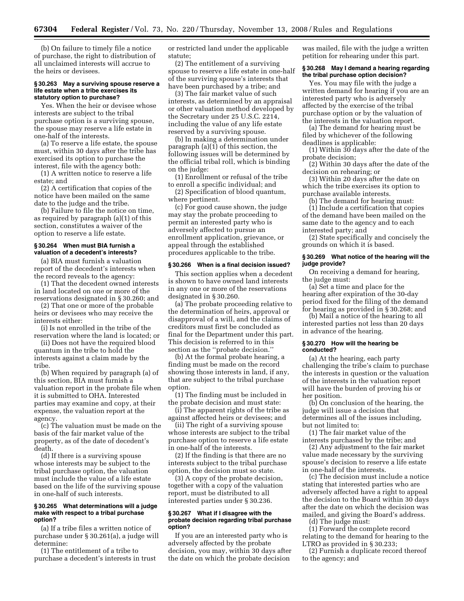(b) On failure to timely file a notice of purchase, the right to distribution of all unclaimed interests will accrue to the heirs or devisees.

#### **§ 30.263 May a surviving spouse reserve a life estate when a tribe exercises its statutory option to purchase?**

Yes. When the heir or devisee whose interests are subject to the tribal purchase option is a surviving spouse, the spouse may reserve a life estate in one-half of the interests.

(a) To reserve a life estate, the spouse must, within 30 days after the tribe has exercised its option to purchase the interest, file with the agency both:

(1) A written notice to reserve a life estate; and

(2) A certification that copies of the notice have been mailed on the same date to the judge and the tribe.

(b) Failure to file the notice on time, as required by paragraph (a)(1) of this section, constitutes a waiver of the option to reserve a life estate.

## **§ 30.264 When must BIA furnish a valuation of a decedent's interests?**

(a) BIA must furnish a valuation report of the decedent's interests when the record reveals to the agency:

(1) That the decedent owned interests in land located on one or more of the reservations designated in § 30.260; and

(2) That one or more of the probable heirs or devisees who may receive the interests either:

(i) Is not enrolled in the tribe of the reservation where the land is located; or

(ii) Does not have the required blood quantum in the tribe to hold the interests against a claim made by the tribe.

(b) When required by paragraph (a) of this section, BIA must furnish a valuation report in the probate file when it is submitted to OHA. Interested parties may examine and copy, at their expense, the valuation report at the agency.

(c) The valuation must be made on the basis of the fair market value of the property, as of the date of decedent's death.

(d) If there is a surviving spouse whose interests may be subject to the tribal purchase option, the valuation must include the value of a life estate based on the life of the surviving spouse in one-half of such interests.

#### **§ 30.265 What determinations will a judge make with respect to a tribal purchase option?**

(a) If a tribe files a written notice of purchase under § 30.261(a), a judge will determine:

(1) The entitlement of a tribe to purchase a decedent's interests in trust or restricted land under the applicable statute;

(2) The entitlement of a surviving spouse to reserve a life estate in one-half of the surviving spouse's interests that have been purchased by a tribe; and

(3) The fair market value of such interests, as determined by an appraisal or other valuation method developed by the Secretary under 25 U.S.C. 2214, including the value of any life estate reserved by a surviving spouse.

(b) In making a determination under paragraph (a)(1) of this section, the following issues will be determined by the official tribal roll, which is binding on the judge:

(1) Enrollment or refusal of the tribe to enroll a specific individual; and

(2) Specification of blood quantum, where pertinent.

(c) For good cause shown, the judge may stay the probate proceeding to permit an interested party who is adversely affected to pursue an enrollment application, grievance, or appeal through the established procedures applicable to the tribe.

#### **§ 30.266 When is a final decision issued?**

This section applies when a decedent is shown to have owned land interests in any one or more of the reservations designated in § 30.260.

(a) The probate proceeding relative to the determination of heirs, approval or disapproval of a will, and the claims of creditors must first be concluded as final for the Department under this part. This decision is referred to in this section as the ''probate decision.''

(b) At the formal probate hearing, a finding must be made on the record showing those interests in land, if any, that are subject to the tribal purchase option.

(1) The finding must be included in the probate decision and must state:

(i) The apparent rights of the tribe as against affected heirs or devisees; and

(ii) The right of a surviving spouse whose interests are subject to the tribal purchase option to reserve a life estate in one-half of the interests.

(2) If the finding is that there are no interests subject to the tribal purchase option, the decision must so state.

(3) A copy of the probate decision, together with a copy of the valuation report, must be distributed to all interested parties under § 30.236.

#### **§ 30.267 What if I disagree with the probate decision regarding tribal purchase option?**

If you are an interested party who is adversely affected by the probate decision, you may, within 30 days after the date on which the probate decision

was mailed, file with the judge a written petition for rehearing under this part.

## **§ 30.268 May I demand a hearing regarding the tribal purchase option decision?**

Yes. You may file with the judge a written demand for hearing if you are an interested party who is adversely affected by the exercise of the tribal purchase option or by the valuation of the interests in the valuation report.

(a) The demand for hearing must be filed by whichever of the following deadlines is applicable:

(1) Within 30 days after the date of the probate decision;

(2) Within 30 days after the date of the decision on rehearing; or

(3) Within 20 days after the date on which the tribe exercises its option to purchase available interests.

(b) The demand for hearing must: (1) Include a certification that copies of the demand have been mailed on the same date to the agency and to each interested party; and

(2) State specifically and concisely the grounds on which it is based.

## **§ 30.269 What notice of the hearing will the judge provide?**

On receiving a demand for hearing, the judge must:

(a) Set a time and place for the hearing after expiration of the 30-day period fixed for the filing of the demand for hearing as provided in § 30.268; and

(b) Mail a notice of the hearing to all interested parties not less than 20 days in advance of the hearing.

# **§ 30.270 How will the hearing be conducted?**

(a) At the hearing, each party challenging the tribe's claim to purchase the interests in question or the valuation of the interests in the valuation report will have the burden of proving his or her position.

(b) On conclusion of the hearing, the judge will issue a decision that determines all of the issues including, but not limited to:

(1) The fair market value of the interests purchased by the tribe; and

(2) Any adjustment to the fair market value made necessary by the surviving spouse's decision to reserve a life estate in one-half of the interests.

(c) The decision must include a notice stating that interested parties who are adversely affected have a right to appeal the decision to the Board within 30 days after the date on which the decision was mailed, and giving the Board's address.

(d) The judge must:

(1) Forward the complete record relating to the demand for hearing to the LTRO as provided in § 30.233;

(2) Furnish a duplicate record thereof to the agency; and